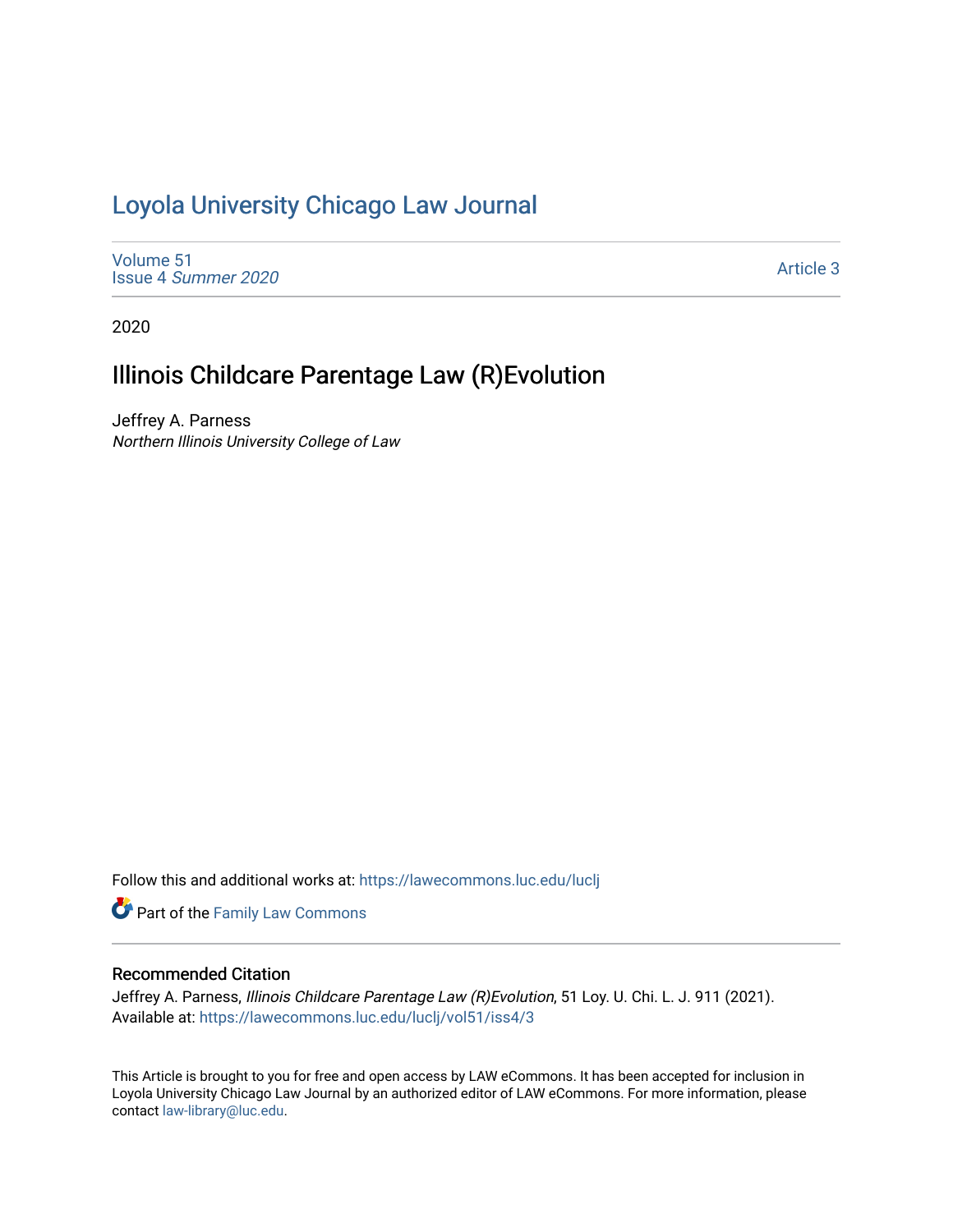## [Loyola University Chicago Law Journal](https://lawecommons.luc.edu/luclj)

[Volume 51](https://lawecommons.luc.edu/luclj/vol51) Issue 4 [Summer 2020](https://lawecommons.luc.edu/luclj/vol51/iss4) 

[Article 3](https://lawecommons.luc.edu/luclj/vol51/iss4/3) 

2020

# Illinois Childcare Parentage Law (R)Evolution

Jeffrey A. Parness Northern Illinois University College of Law

Follow this and additional works at: [https://lawecommons.luc.edu/luclj](https://lawecommons.luc.edu/luclj?utm_source=lawecommons.luc.edu%2Fluclj%2Fvol51%2Fiss4%2F3&utm_medium=PDF&utm_campaign=PDFCoverPages) 

Part of the [Family Law Commons](http://network.bepress.com/hgg/discipline/602?utm_source=lawecommons.luc.edu%2Fluclj%2Fvol51%2Fiss4%2F3&utm_medium=PDF&utm_campaign=PDFCoverPages) 

## Recommended Citation

Jeffrey A. Parness, Illinois Childcare Parentage Law (R) Evolution, 51 Loy. U. Chi. L. J. 911 (2021). Available at: [https://lawecommons.luc.edu/luclj/vol51/iss4/3](https://lawecommons.luc.edu/luclj/vol51/iss4/3?utm_source=lawecommons.luc.edu%2Fluclj%2Fvol51%2Fiss4%2F3&utm_medium=PDF&utm_campaign=PDFCoverPages) 

This Article is brought to you for free and open access by LAW eCommons. It has been accepted for inclusion in Loyola University Chicago Law Journal by an authorized editor of LAW eCommons. For more information, please contact [law-library@luc.edu.](mailto:law-library@luc.edu)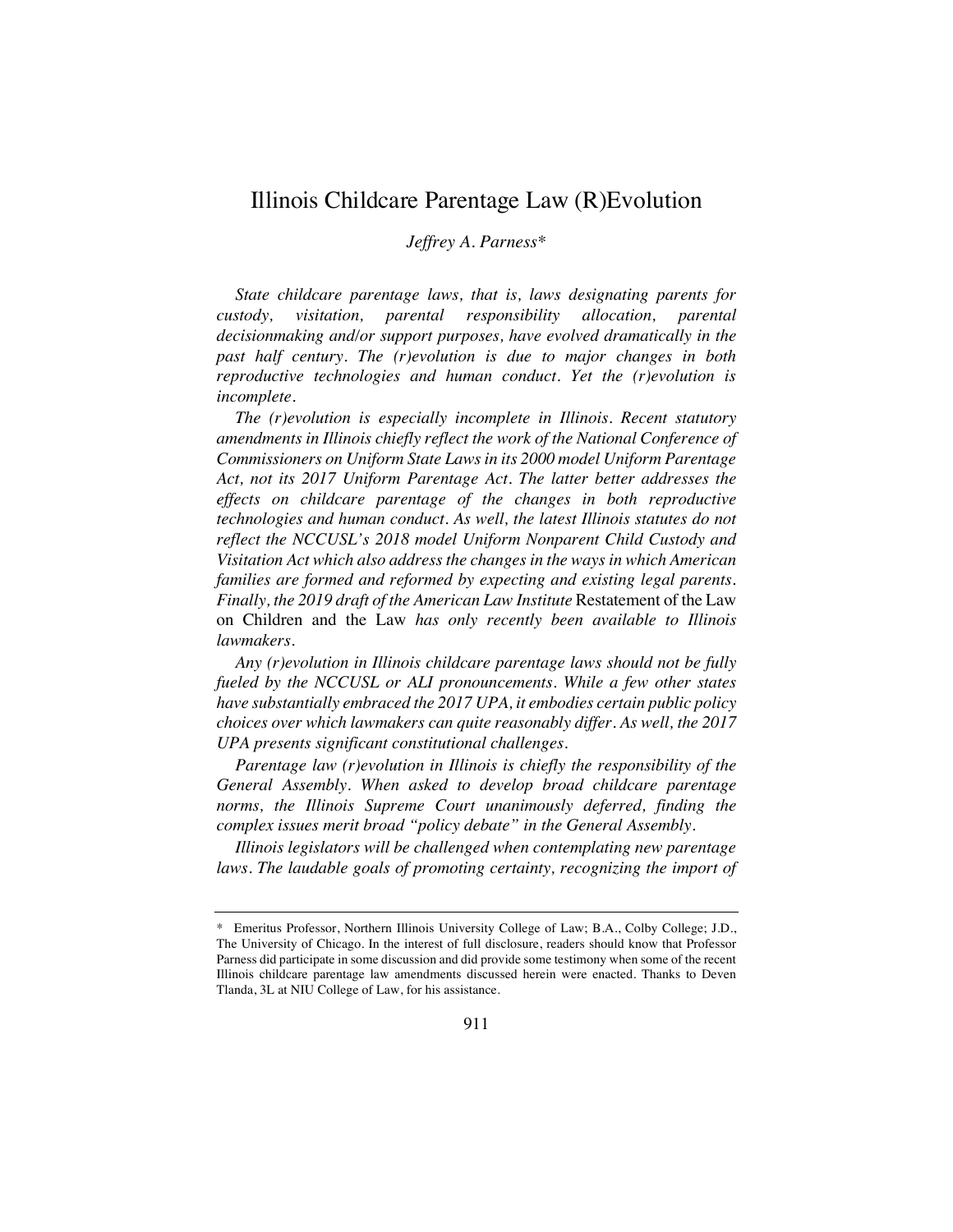## Illinois Childcare Parentage Law (R)Evolution

*Jeffrey A. Parness\**

*State childcare parentage laws, that is, laws designating parents for custody, visitation, parental responsibility allocation, parental decisionmaking and/or support purposes, have evolved dramatically in the past half century. The (r)evolution is due to major changes in both reproductive technologies and human conduct. Yet the (r)evolution is incomplete.*

*The (r)evolution is especially incomplete in Illinois. Recent statutory amendments in Illinois chiefly reflect the work of the National Conference of Commissioners on Uniform State Laws in its 2000 model Uniform Parentage Act, not its 2017 Uniform Parentage Act. The latter better addresses the effects on childcare parentage of the changes in both reproductive technologies and human conduct. As well, the latest Illinois statutes do not reflect the NCCUSL's 2018 model Uniform Nonparent Child Custody and Visitation Act which also address the changes in the ways in which American families are formed and reformed by expecting and existing legal parents. Finally, the 2019 draft of the American Law Institute* Restatement of the Law on Children and the Law *has only recently been available to Illinois lawmakers.*

*Any (r)evolution in Illinois childcare parentage laws should not be fully fueled by the NCCUSL or ALI pronouncements. While a few other states have substantially embraced the 2017 UPA, it embodies certain public policy choices over which lawmakers can quite reasonably differ. As well, the 2017 UPA presents significant constitutional challenges.* 

*Parentage law (r)evolution in Illinois is chiefly the responsibility of the General Assembly. When asked to develop broad childcare parentage norms, the Illinois Supreme Court unanimously deferred, finding the complex issues merit broad "policy debate" in the General Assembly.*

*Illinois legislators will be challenged when contemplating new parentage*  laws. The laudable goals of promoting certainty, recognizing the import of

<sup>\*</sup> Emeritus Professor, Northern Illinois University College of Law; B.A., Colby College; J.D., The University of Chicago. In the interest of full disclosure, readers should know that Professor Parness did participate in some discussion and did provide some testimony when some of the recent Illinois childcare parentage law amendments discussed herein were enacted. Thanks to Deven Tlanda, 3L at NIU College of Law, for his assistance.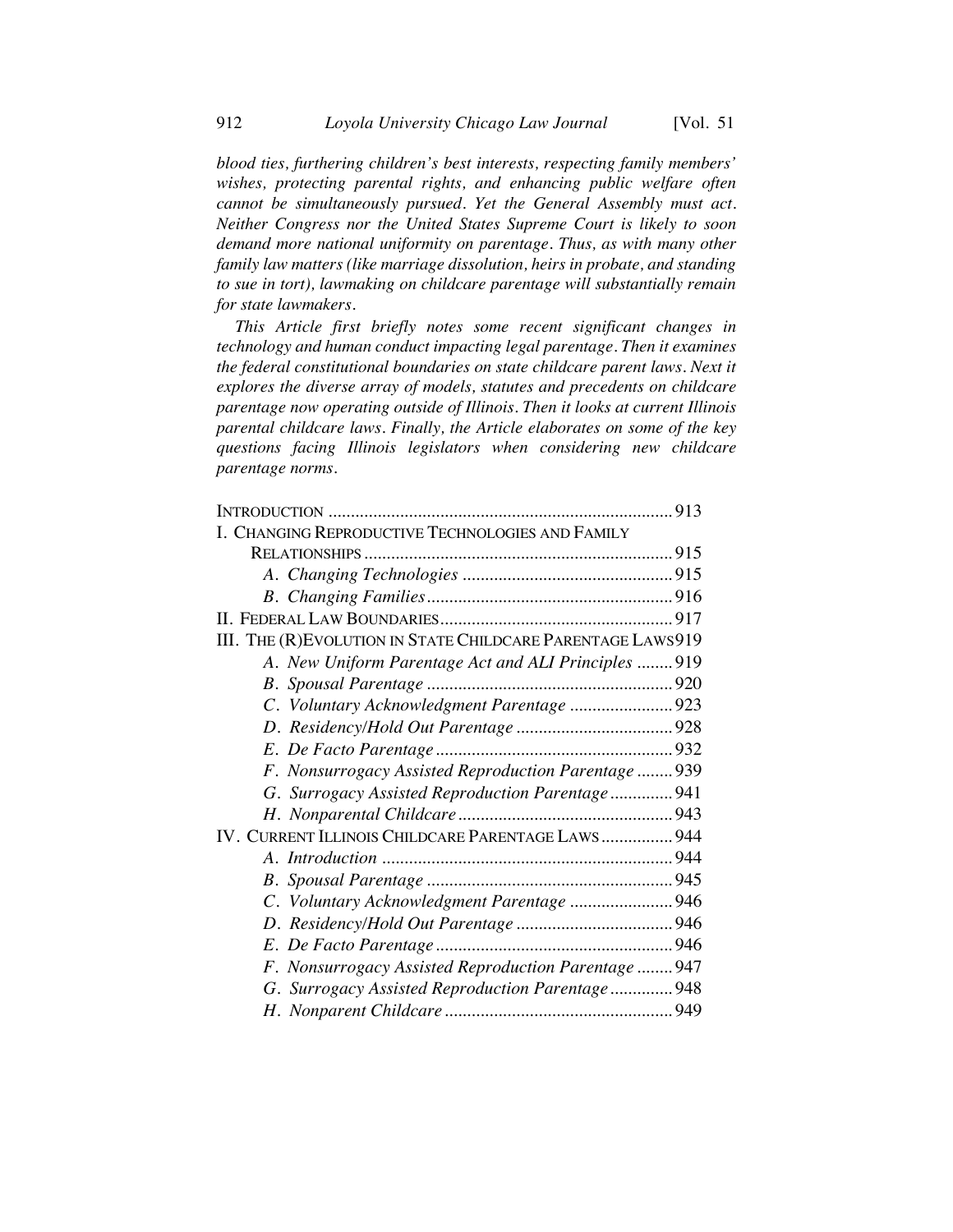*blood ties, furthering children's best interests, respecting family members' wishes, protecting parental rights, and enhancing public welfare often cannot be simultaneously pursued. Yet the General Assembly must act. Neither Congress nor the United States Supreme Court is likely to soon demand more national uniformity on parentage. Thus, as with many other family law matters (like marriage dissolution, heirs in probate, and standing to sue in tort), lawmaking on childcare parentage will substantially remain for state lawmakers.*

*This Article first briefly notes some recent significant changes in technology and human conduct impacting legal parentage. Then it examines the federal constitutional boundaries on state childcare parent laws. Next it explores the diverse array of models, statutes and precedents on childcare parentage now operating outside of Illinois. Then it looks at current Illinois parental childcare laws. Finally, the Article elaborates on some of the key questions facing Illinois legislators when considering new childcare parentage norms.*

| I. CHANGING REPRODUCTIVE TECHNOLOGIES AND FAMILY            |  |
|-------------------------------------------------------------|--|
|                                                             |  |
|                                                             |  |
|                                                             |  |
|                                                             |  |
| III. THE (R) EVOLUTION IN STATE CHILDCARE PARENTAGE LAWS919 |  |
| A. New Uniform Parentage Act and ALI Principles 919         |  |
|                                                             |  |
| C. Voluntary Acknowledgment Parentage  923                  |  |
|                                                             |  |
|                                                             |  |
| F. Nonsurrogacy Assisted Reproduction Parentage  939        |  |
| G. Surrogacy Assisted Reproduction Parentage 941            |  |
|                                                             |  |
| IV. CURRENT ILLINOIS CHILDCARE PARENTAGE LAWS 944           |  |
|                                                             |  |
|                                                             |  |
| C. Voluntary Acknowledgment Parentage  946                  |  |
|                                                             |  |
|                                                             |  |
| F. Nonsurrogacy Assisted Reproduction Parentage  947        |  |
| G. Surrogacy Assisted Reproduction Parentage 948            |  |
|                                                             |  |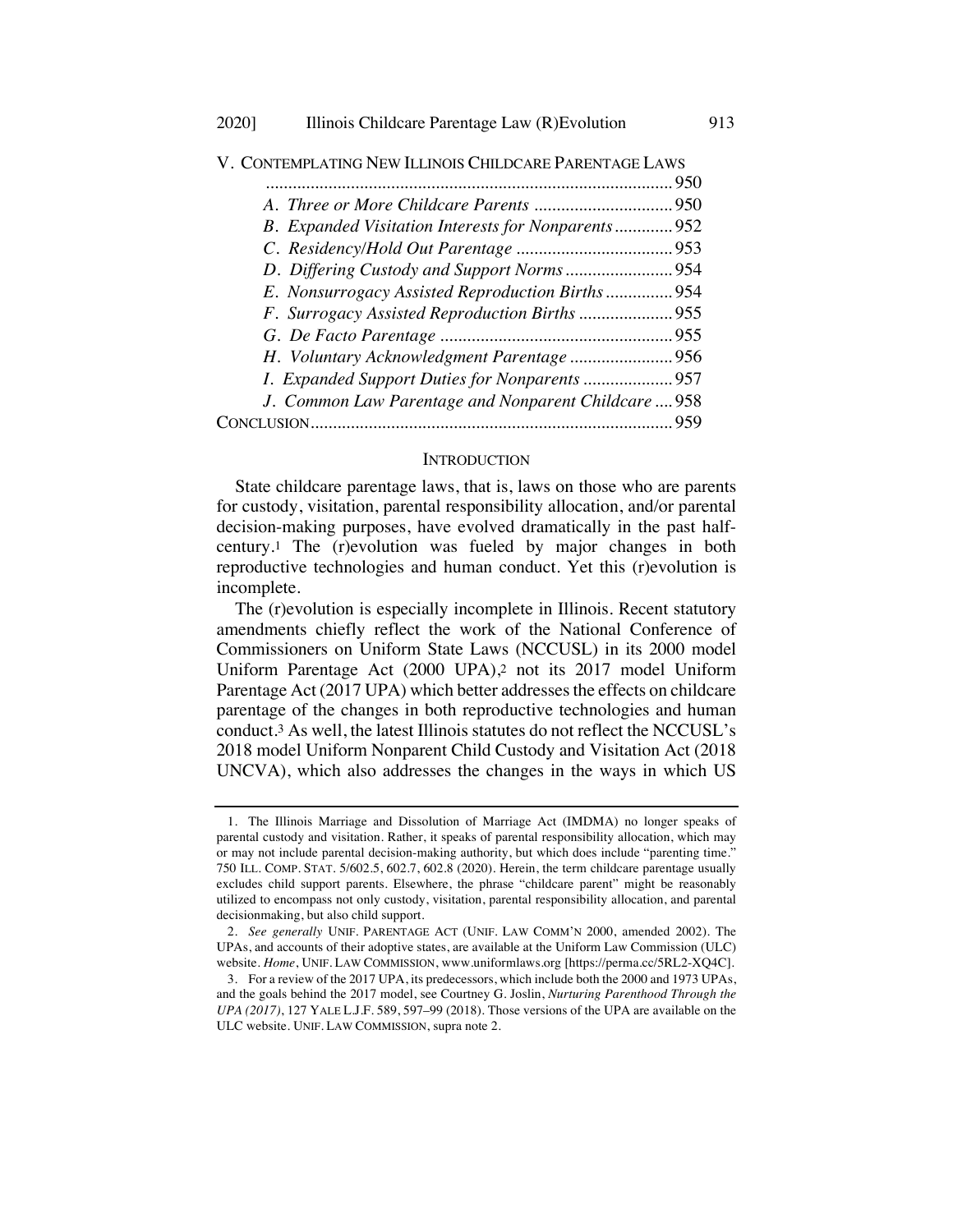|                                                      | 950 |
|------------------------------------------------------|-----|
|                                                      |     |
| B. Expanded Visitation Interests for Nonparents 952  |     |
|                                                      |     |
|                                                      |     |
| E. Nonsurrogacy Assisted Reproduction Births  954    |     |
|                                                      |     |
|                                                      |     |
|                                                      |     |
|                                                      |     |
| J. Common Law Parentage and Nonparent Childcare  958 |     |
|                                                      |     |
|                                                      |     |

V. CONTEMPLATING NEW ILLINOIS CHILDCARE PARENTAGE LAWS

#### **INTRODUCTION**

State childcare parentage laws, that is, laws on those who are parents for custody, visitation, parental responsibility allocation, and/or parental decision-making purposes, have evolved dramatically in the past halfcentury.1 The (r)evolution was fueled by major changes in both reproductive technologies and human conduct. Yet this (r)evolution is incomplete.

The (r)evolution is especially incomplete in Illinois. Recent statutory amendments chiefly reflect the work of the National Conference of Commissioners on Uniform State Laws (NCCUSL) in its 2000 model Uniform Parentage Act (2000 UPA),2 not its 2017 model Uniform Parentage Act (2017 UPA) which better addresses the effects on childcare parentage of the changes in both reproductive technologies and human conduct.3 As well, the latest Illinois statutes do not reflect the NCCUSL's 2018 model Uniform Nonparent Child Custody and Visitation Act (2018 UNCVA), which also addresses the changes in the ways in which US

<sup>1.</sup> The Illinois Marriage and Dissolution of Marriage Act (IMDMA) no longer speaks of parental custody and visitation. Rather, it speaks of parental responsibility allocation, which may or may not include parental decision-making authority, but which does include "parenting time." 750 ILL. COMP. STAT. 5/602.5, 602.7, 602.8 (2020). Herein, the term childcare parentage usually excludes child support parents. Elsewhere, the phrase "childcare parent" might be reasonably utilized to encompass not only custody, visitation, parental responsibility allocation, and parental decisionmaking, but also child support.

<sup>2.</sup> *See generally* UNIF. PARENTAGE ACT (UNIF. LAW COMM'N 2000, amended 2002). The UPAs, and accounts of their adoptive states, are available at the Uniform Law Commission (ULC) website. *Home*, UNIF. LAW COMMISSION, www.uniformlaws.org [https://perma.cc/5RL2-XQ4C].

<sup>3.</sup> For a review of the 2017 UPA, its predecessors, which include both the 2000 and 1973 UPAs, and the goals behind the 2017 model, see Courtney G. Joslin, *Nurturing Parenthood Through the UPA (2017)*, 127 YALE L.J.F. 589, 597–99 (2018). Those versions of the UPA are available on the ULC website. UNIF. LAW COMMISSION, supra note 2.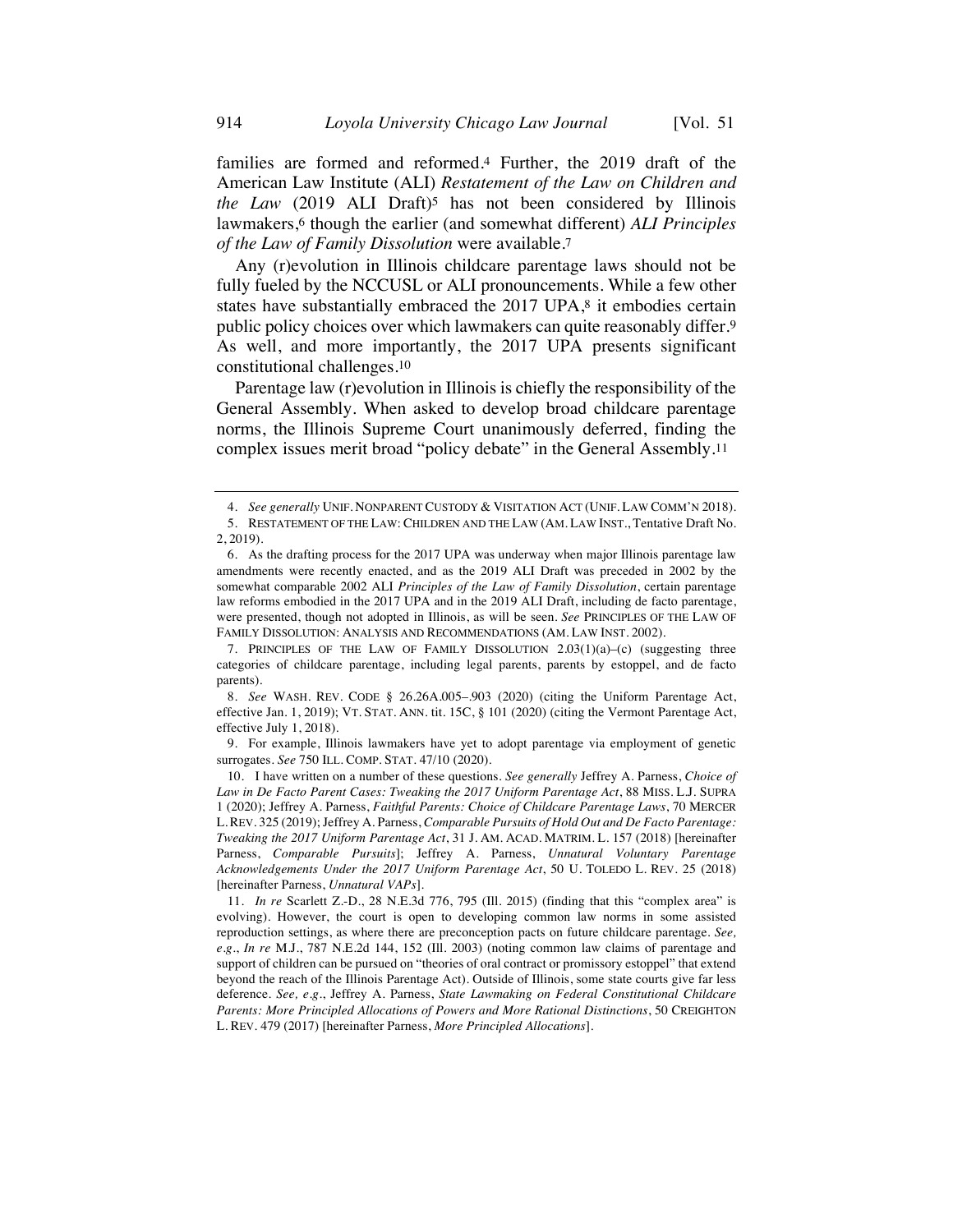families are formed and reformed.4 Further, the 2019 draft of the American Law Institute (ALI) *Restatement of the Law on Children and the Law* (2019 ALI Draft)<sup>5</sup> has not been considered by Illinois lawmakers,6 though the earlier (and somewhat different) *ALI Principles of the Law of Family Dissolution* were available.7

Any (r)evolution in Illinois childcare parentage laws should not be fully fueled by the NCCUSL or ALI pronouncements. While a few other states have substantially embraced the 2017 UPA,<sup>8</sup> it embodies certain public policy choices over which lawmakers can quite reasonably differ.9 As well, and more importantly, the 2017 UPA presents significant constitutional challenges.10

Parentage law (r)evolution in Illinois is chiefly the responsibility of the General Assembly. When asked to develop broad childcare parentage norms, the Illinois Supreme Court unanimously deferred, finding the complex issues merit broad "policy debate" in the General Assembly.11

7. PRINCIPLES OF THE LAW OF FAMILY DISSOLUTION  $2.03(1)(a)-(c)$  (suggesting three categories of childcare parentage, including legal parents, parents by estoppel, and de facto parents).

8. *See* WASH. REV. CODE § 26.26A.005–.903 (2020) (citing the Uniform Parentage Act, effective Jan. 1, 2019); VT. STAT. ANN. tit. 15C, § 101 (2020) (citing the Vermont Parentage Act, effective July 1, 2018).

9. For example, Illinois lawmakers have yet to adopt parentage via employment of genetic surrogates. *See* 750 ILL. COMP. STAT. 47/10 (2020).

<sup>4.</sup> *See generally* UNIF. NONPARENT CUSTODY & VISITATION ACT (UNIF. LAW COMM'N 2018). 5. RESTATEMENT OF THE LAW: CHILDREN AND THE LAW (AM. LAW INST., Tentative Draft No. 2, 2019).

<sup>6.</sup> As the drafting process for the 2017 UPA was underway when major Illinois parentage law amendments were recently enacted, and as the 2019 ALI Draft was preceded in 2002 by the somewhat comparable 2002 ALI *Principles of the Law of Family Dissolution*, certain parentage law reforms embodied in the 2017 UPA and in the 2019 ALI Draft, including de facto parentage, were presented, though not adopted in Illinois, as will be seen. *See* PRINCIPLES OF THE LAW OF FAMILY DISSOLUTION: ANALYSIS AND RECOMMENDATIONS (AM. LAW INST. 2002).

<sup>10.</sup> I have written on a number of these questions. *See generally* Jeffrey A. Parness, *Choice of Law in De Facto Parent Cases: Tweaking the 2017 Uniform Parentage Act*, 88 MISS. L.J. SUPRA 1 (2020); Jeffrey A. Parness, *Faithful Parents: Choice of Childcare Parentage Laws*, 70 MERCER L.REV. 325 (2019); Jeffrey A. Parness, *Comparable Pursuits of Hold Out and De Facto Parentage: Tweaking the 2017 Uniform Parentage Act*, 31 J. AM. ACAD. MATRIM. L. 157 (2018) [hereinafter Parness, *Comparable Pursuits*]; Jeffrey A. Parness, *Unnatural Voluntary Parentage Acknowledgements Under the 2017 Uniform Parentage Act*, 50 U. TOLEDO L. REV. 25 (2018) [hereinafter Parness, *Unnatural VAPs*].

<sup>11.</sup> *In re* Scarlett Z.-D., 28 N.E.3d 776, 795 (Ill. 2015) (finding that this "complex area" is evolving). However, the court is open to developing common law norms in some assisted reproduction settings, as where there are preconception pacts on future childcare parentage. *See, e.g.*, *In re* M.J., 787 N.E.2d 144, 152 (Ill. 2003) (noting common law claims of parentage and support of children can be pursued on "theories of oral contract or promissory estoppel" that extend beyond the reach of the Illinois Parentage Act). Outside of Illinois, some state courts give far less deference. *See, e.g.*, Jeffrey A. Parness, *State Lawmaking on Federal Constitutional Childcare Parents: More Principled Allocations of Powers and More Rational Distinctions*, 50 CREIGHTON L. REV. 479 (2017) [hereinafter Parness, *More Principled Allocations*].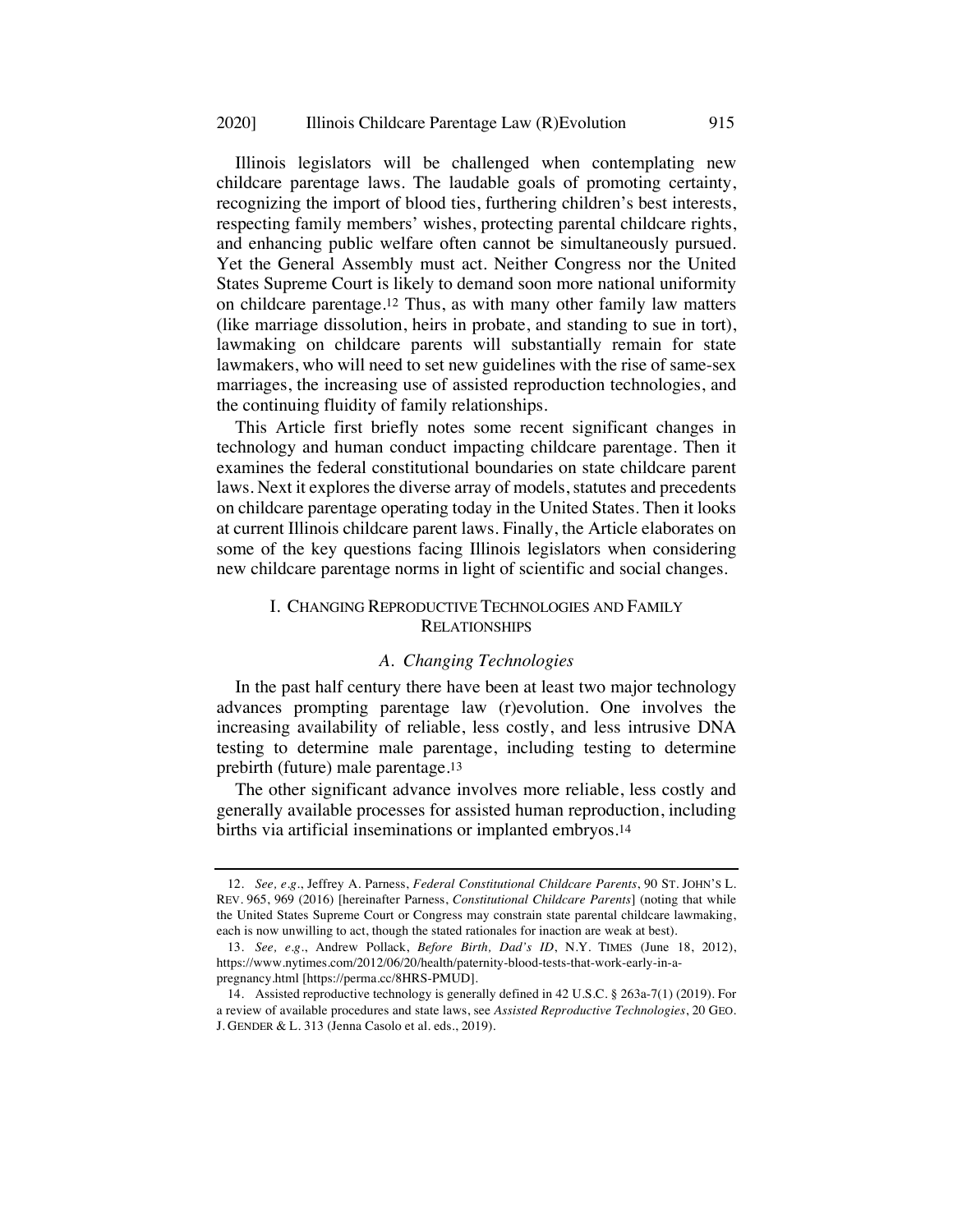Illinois legislators will be challenged when contemplating new childcare parentage laws. The laudable goals of promoting certainty, recognizing the import of blood ties, furthering children's best interests, respecting family members' wishes, protecting parental childcare rights, and enhancing public welfare often cannot be simultaneously pursued. Yet the General Assembly must act. Neither Congress nor the United States Supreme Court is likely to demand soon more national uniformity on childcare parentage.12 Thus, as with many other family law matters (like marriage dissolution, heirs in probate, and standing to sue in tort), lawmaking on childcare parents will substantially remain for state lawmakers, who will need to set new guidelines with the rise of same-sex marriages, the increasing use of assisted reproduction technologies, and the continuing fluidity of family relationships.

This Article first briefly notes some recent significant changes in technology and human conduct impacting childcare parentage. Then it examines the federal constitutional boundaries on state childcare parent laws. Next it explores the diverse array of models, statutes and precedents on childcare parentage operating today in the United States. Then it looks at current Illinois childcare parent laws. Finally, the Article elaborates on some of the key questions facing Illinois legislators when considering new childcare parentage norms in light of scientific and social changes.

## I. CHANGING REPRODUCTIVE TECHNOLOGIES AND FAMILY **RELATIONSHIPS**

#### *A. Changing Technologies*

In the past half century there have been at least two major technology advances prompting parentage law (r)evolution. One involves the increasing availability of reliable, less costly, and less intrusive DNA testing to determine male parentage, including testing to determine prebirth (future) male parentage.13

The other significant advance involves more reliable, less costly and generally available processes for assisted human reproduction, including births via artificial inseminations or implanted embryos.14

<sup>12.</sup> *See, e.g.*, Jeffrey A. Parness, *Federal Constitutional Childcare Parents*, 90 ST. JOHN'S L. REV. 965, 969 (2016) [hereinafter Parness, *Constitutional Childcare Parents*] (noting that while the United States Supreme Court or Congress may constrain state parental childcare lawmaking, each is now unwilling to act, though the stated rationales for inaction are weak at best).

<sup>13.</sup> *See, e.g.*, Andrew Pollack, *Before Birth, Dad's ID*, N.Y. TIMES (June 18, 2012), https://www.nytimes.com/2012/06/20/health/paternity-blood-tests-that-work-early-in-apregnancy.html [https://perma.cc/8HRS-PMUD].

<sup>14.</sup> Assisted reproductive technology is generally defined in 42 U.S.C. § 263a-7(1) (2019). For a review of available procedures and state laws, see *Assisted Reproductive Technologies*, 20 GEO. J. GENDER & L. 313 (Jenna Casolo et al. eds., 2019).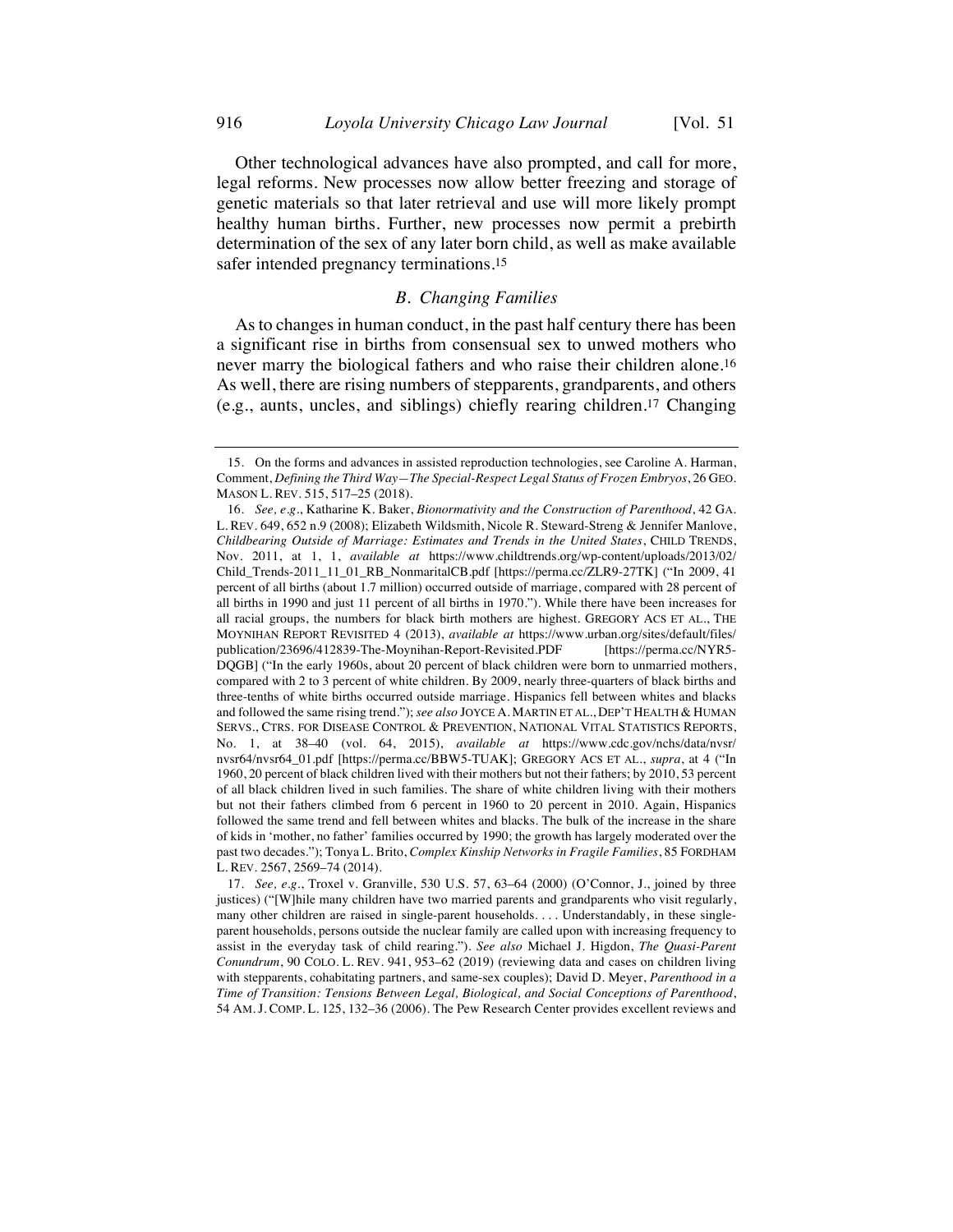Other technological advances have also prompted, and call for more, legal reforms. New processes now allow better freezing and storage of genetic materials so that later retrieval and use will more likely prompt healthy human births. Further, new processes now permit a prebirth determination of the sex of any later born child, as well as make available safer intended pregnancy terminations.15

## *B. Changing Families*

As to changes in human conduct, in the past half century there has been a significant rise in births from consensual sex to unwed mothers who never marry the biological fathers and who raise their children alone.16 As well, there are rising numbers of stepparents, grandparents, and others (e.g., aunts, uncles, and siblings) chiefly rearing children.17 Changing

<sup>15.</sup> On the forms and advances in assisted reproduction technologies, see Caroline A. Harman, Comment, *Defining the Third Way—The Special-Respect Legal Status of Frozen Embryos*, 26 GEO. MASON L. REV. 515, 517–25 (2018).

<sup>16.</sup> *See, e.g.*, Katharine K. Baker, *Bionormativity and the Construction of Parenthood*, 42 GA. L. REV. 649, 652 n.9 (2008); Elizabeth Wildsmith, Nicole R. Steward-Streng & Jennifer Manlove, *Childbearing Outside of Marriage: Estimates and Trends in the United States*, CHILD TRENDS, Nov. 2011, at 1, 1, *available at* https://www.childtrends.org/wp-content/uploads/2013/02/ Child\_Trends-2011\_11\_01\_RB\_NonmaritalCB.pdf [https://perma.cc/ZLR9-27TK] ("In 2009, 41 percent of all births (about 1.7 million) occurred outside of marriage, compared with 28 percent of all births in 1990 and just 11 percent of all births in 1970."). While there have been increases for all racial groups, the numbers for black birth mothers are highest. GREGORY ACS ET AL., THE MOYNIHAN REPORT REVISITED 4 (2013), *available at* https://www.urban.org/sites/default/files/ publication/23696/412839-The-Moynihan-Report-Revisited.PDF [https://perma.cc/NYR5- DQGB] ("In the early 1960s, about 20 percent of black children were born to unmarried mothers, compared with 2 to 3 percent of white children. By 2009, nearly three-quarters of black births and three-tenths of white births occurred outside marriage. Hispanics fell between whites and blacks and followed the same rising trend."); *see also* JOYCE A. MARTIN ET AL., DEP'T HEALTH & HUMAN SERVS., CTRS. FOR DISEASE CONTROL & PREVENTION, NATIONAL VITAL STATISTICS REPORTS, No. 1, at 38–40 (vol. 64, 2015), *available at* https://www.cdc.gov/nchs/data/nvsr/ nvsr64/nvsr64\_01.pdf [https://perma.cc/BBW5-TUAK]; GREGORY ACS ET AL., *supra*, at 4 ("In 1960, 20 percent of black children lived with their mothers but not their fathers; by 2010, 53 percent of all black children lived in such families. The share of white children living with their mothers but not their fathers climbed from 6 percent in 1960 to 20 percent in 2010. Again, Hispanics followed the same trend and fell between whites and blacks. The bulk of the increase in the share of kids in 'mother, no father' families occurred by 1990; the growth has largely moderated over the past two decades."); Tonya L. Brito, *Complex Kinship Networks in Fragile Families*, 85 FORDHAM L. REV. 2567, 2569–74 (2014).

<sup>17.</sup> *See, e.g.*, Troxel v. Granville, 530 U.S. 57, 63–64 (2000) (O'Connor, J., joined by three justices) ("[W]hile many children have two married parents and grandparents who visit regularly, many other children are raised in single-parent households. . . . Understandably, in these singleparent households, persons outside the nuclear family are called upon with increasing frequency to assist in the everyday task of child rearing."). *See also* Michael J. Higdon, *The Quasi-Parent Conundrum*, 90 COLO. L. REV. 941, 953–62 (2019) (reviewing data and cases on children living with stepparents, cohabitating partners, and same-sex couples); David D. Meyer, *Parenthood in a Time of Transition: Tensions Between Legal, Biological, and Social Conceptions of Parenthood*, 54 AM. J. COMP. L. 125, 132–36 (2006). The Pew Research Center provides excellent reviews and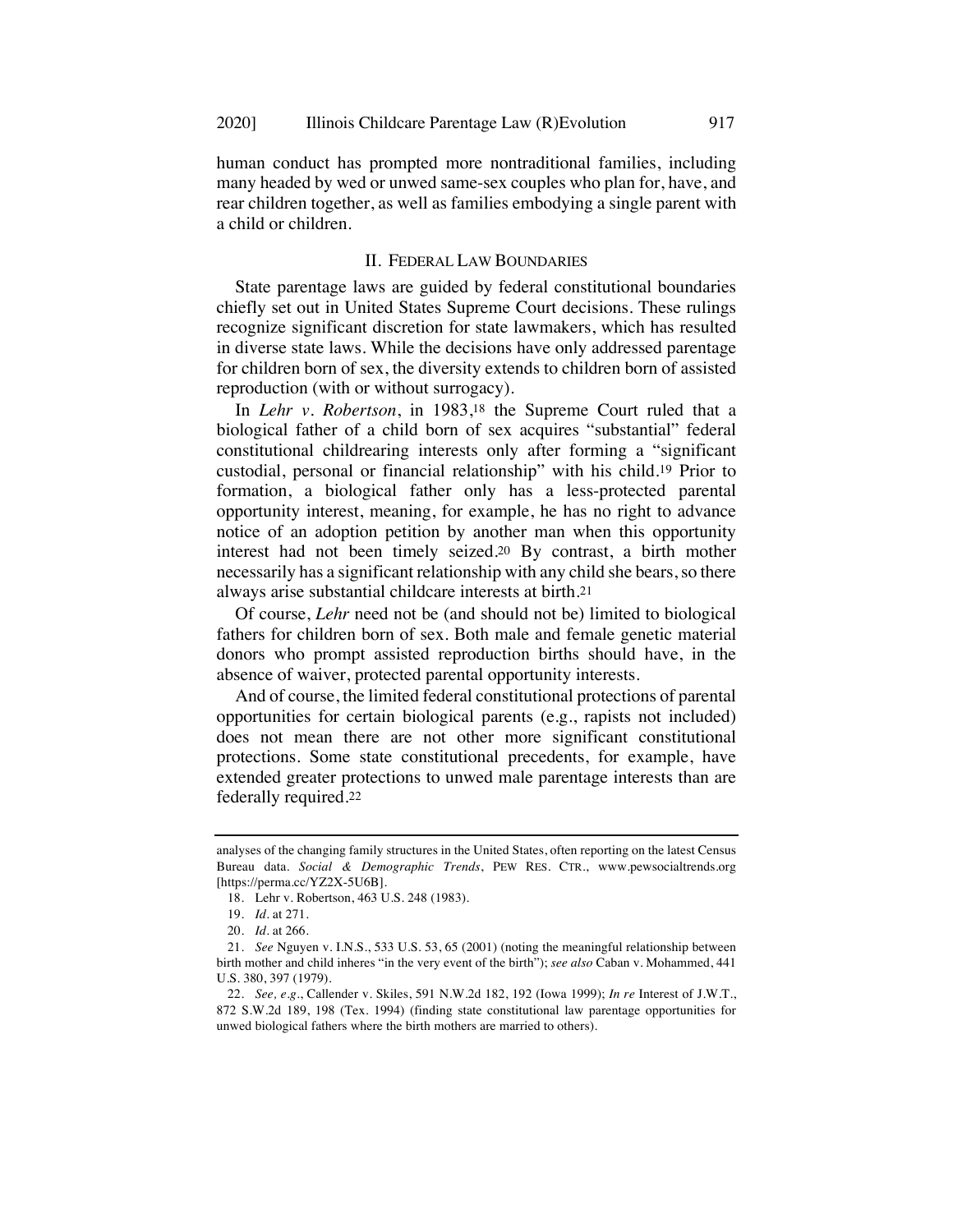human conduct has prompted more nontraditional families, including many headed by wed or unwed same-sex couples who plan for, have, and rear children together, as well as families embodying a single parent with a child or children.

## II. FEDERAL LAW BOUNDARIES

State parentage laws are guided by federal constitutional boundaries chiefly set out in United States Supreme Court decisions. These rulings recognize significant discretion for state lawmakers, which has resulted in diverse state laws. While the decisions have only addressed parentage for children born of sex, the diversity extends to children born of assisted reproduction (with or without surrogacy).

In *Lehr v. Robertson*, in 1983,18 the Supreme Court ruled that a biological father of a child born of sex acquires "substantial" federal constitutional childrearing interests only after forming a "significant custodial, personal or financial relationship" with his child.19 Prior to formation, a biological father only has a less-protected parental opportunity interest, meaning, for example, he has no right to advance notice of an adoption petition by another man when this opportunity interest had not been timely seized.20 By contrast, a birth mother necessarily has a significant relationship with any child she bears, so there always arise substantial childcare interests at birth.21

Of course, *Lehr* need not be (and should not be) limited to biological fathers for children born of sex. Both male and female genetic material donors who prompt assisted reproduction births should have, in the absence of waiver, protected parental opportunity interests.

And of course, the limited federal constitutional protections of parental opportunities for certain biological parents (e.g., rapists not included) does not mean there are not other more significant constitutional protections. Some state constitutional precedents, for example, have extended greater protections to unwed male parentage interests than are federally required.22

analyses of the changing family structures in the United States, often reporting on the latest Census Bureau data. *Social & Demographic Trends*, PEW RES. CTR., www.pewsocialtrends.org [https://perma.cc/YZ2X-5U6B].

<sup>18.</sup> Lehr v. Robertson, 463 U.S. 248 (1983).

<sup>19.</sup> *Id.* at 271.

<sup>20.</sup> *Id.* at 266.

<sup>21.</sup> *See* Nguyen v. I.N.S., 533 U.S. 53, 65 (2001) (noting the meaningful relationship between birth mother and child inheres "in the very event of the birth"); *see also* Caban v. Mohammed, 441 U.S. 380, 397 (1979).

<sup>22.</sup> *See, e.g.*, Callender v. Skiles, 591 N.W.2d 182, 192 (Iowa 1999); *In re* Interest of J.W.T., 872 S.W.2d 189, 198 (Tex. 1994) (finding state constitutional law parentage opportunities for unwed biological fathers where the birth mothers are married to others).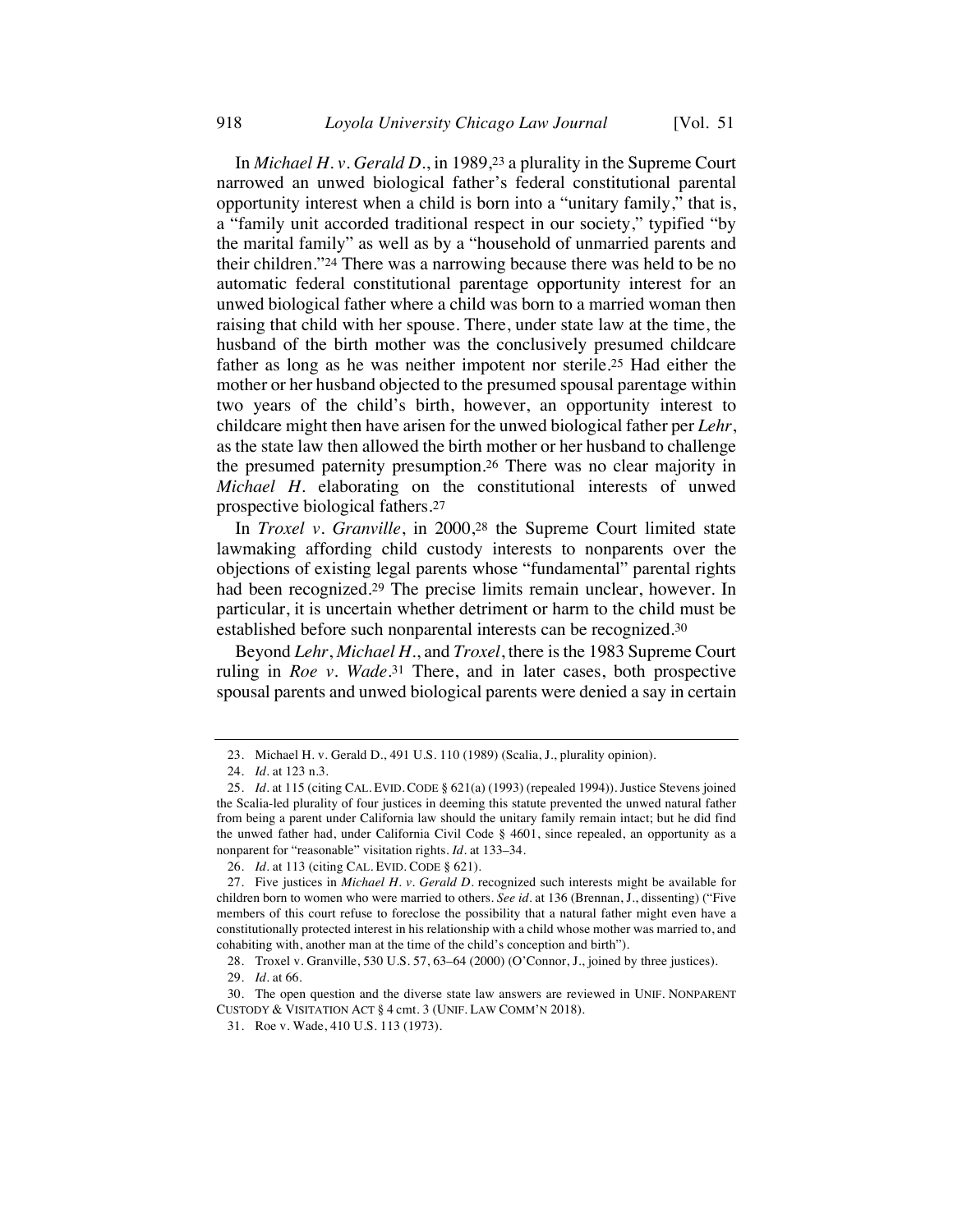In *Michael H. v. Gerald D.*, in 1989,23 a plurality in the Supreme Court narrowed an unwed biological father's federal constitutional parental opportunity interest when a child is born into a "unitary family," that is, a "family unit accorded traditional respect in our society," typified "by the marital family" as well as by a "household of unmarried parents and their children."24 There was a narrowing because there was held to be no automatic federal constitutional parentage opportunity interest for an unwed biological father where a child was born to a married woman then raising that child with her spouse. There, under state law at the time, the husband of the birth mother was the conclusively presumed childcare father as long as he was neither impotent nor sterile.25 Had either the mother or her husband objected to the presumed spousal parentage within two years of the child's birth, however, an opportunity interest to childcare might then have arisen for the unwed biological father per *Lehr*, as the state law then allowed the birth mother or her husband to challenge the presumed paternity presumption.26 There was no clear majority in *Michael H.* elaborating on the constitutional interests of unwed prospective biological fathers.27

In *Troxel v. Granville*, in 2000,28 the Supreme Court limited state lawmaking affording child custody interests to nonparents over the objections of existing legal parents whose "fundamental" parental rights had been recognized.29 The precise limits remain unclear, however. In particular, it is uncertain whether detriment or harm to the child must be established before such nonparental interests can be recognized.30

Beyond *Lehr*, *Michael H.*, and *Troxel*, there is the 1983 Supreme Court ruling in *Roe v. Wade*.31 There, and in later cases, both prospective spousal parents and unwed biological parents were denied a say in certain

<sup>23.</sup> Michael H. v. Gerald D., 491 U.S. 110 (1989) (Scalia, J., plurality opinion).

<sup>24.</sup> *Id.* at 123 n.3.

<sup>25.</sup> *Id.* at 115 (citing CAL. EVID. CODE § 621(a) (1993) (repealed 1994)). Justice Stevens joined the Scalia-led plurality of four justices in deeming this statute prevented the unwed natural father from being a parent under California law should the unitary family remain intact; but he did find the unwed father had, under California Civil Code § 4601, since repealed, an opportunity as a nonparent for "reasonable" visitation rights. *Id.* at 133–34.

<sup>26.</sup> *Id.* at 113 (citing CAL. EVID. CODE § 621).

<sup>27.</sup> Five justices in *Michael H. v. Gerald D.* recognized such interests might be available for children born to women who were married to others. *See id.* at 136 (Brennan, J., dissenting) ("Five members of this court refuse to foreclose the possibility that a natural father might even have a constitutionally protected interest in his relationship with a child whose mother was married to, and cohabiting with, another man at the time of the child's conception and birth").

<sup>28.</sup> Troxel v. Granville, 530 U.S. 57, 63–64 (2000) (O'Connor, J., joined by three justices).

<sup>29.</sup> *Id.* at 66.

<sup>30.</sup> The open question and the diverse state law answers are reviewed in UNIF. NONPARENT CUSTODY & VISITATION ACT § 4 cmt. 3 (UNIF. LAW COMM'N 2018).

<sup>31.</sup> Roe v. Wade, 410 U.S. 113 (1973).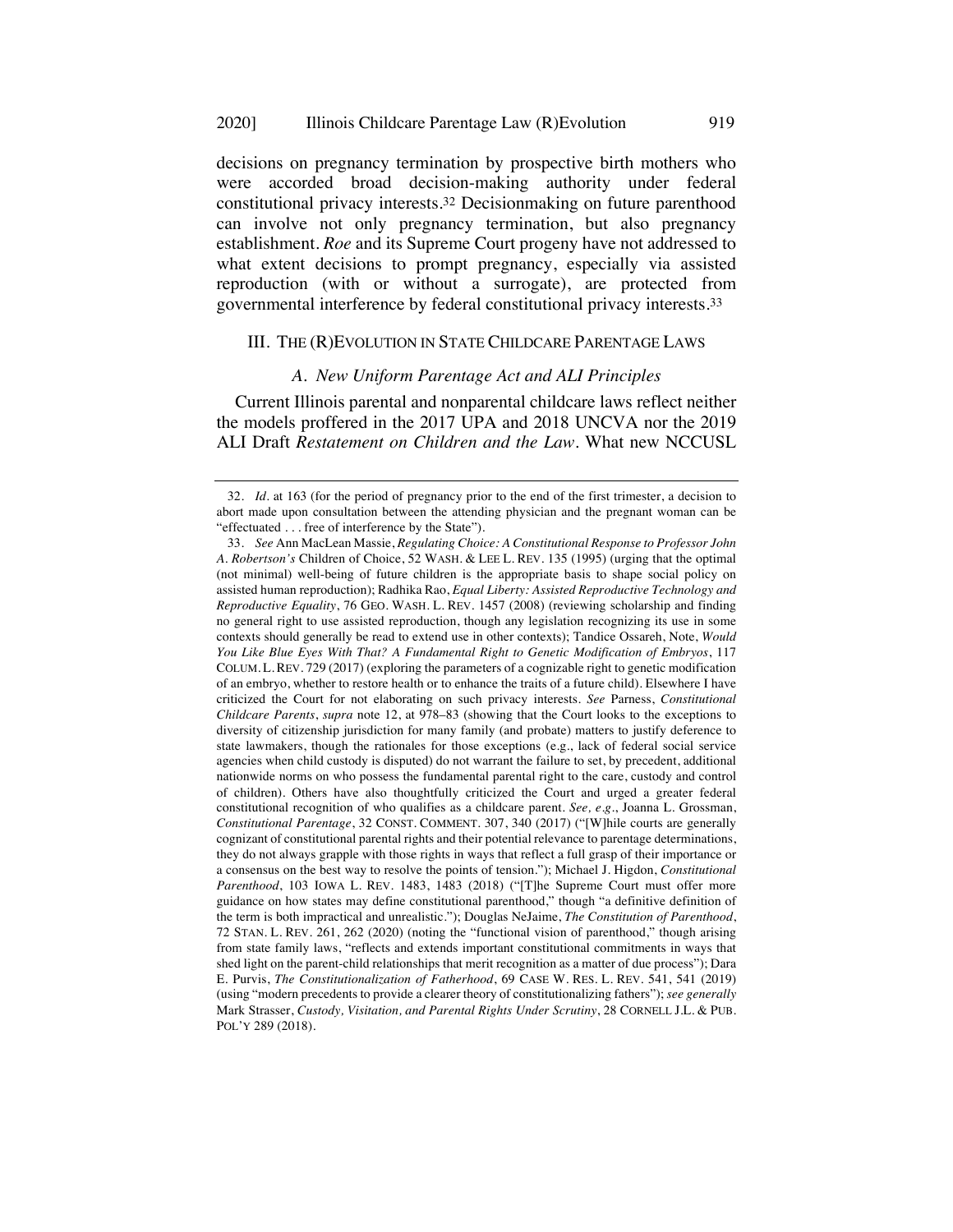#### 2020] Illinois Childcare Parentage Law (R)Evolution 919

decisions on pregnancy termination by prospective birth mothers who were accorded broad decision-making authority under federal constitutional privacy interests.32 Decisionmaking on future parenthood can involve not only pregnancy termination, but also pregnancy establishment. *Roe* and its Supreme Court progeny have not addressed to what extent decisions to prompt pregnancy, especially via assisted reproduction (with or without a surrogate), are protected from governmental interference by federal constitutional privacy interests.33

## III. THE (R)EVOLUTION IN STATE CHILDCARE PARENTAGE LAWS

## *A. New Uniform Parentage Act and ALI Principles*

Current Illinois parental and nonparental childcare laws reflect neither the models proffered in the 2017 UPA and 2018 UNCVA nor the 2019 ALI Draft *Restatement on Children and the Law*. What new NCCUSL

<sup>32.</sup> *Id.* at 163 (for the period of pregnancy prior to the end of the first trimester, a decision to abort made upon consultation between the attending physician and the pregnant woman can be "effectuated . . . free of interference by the State").

<sup>33.</sup> *See* Ann MacLean Massie, *Regulating Choice: A Constitutional Response to Professor John A. Robertson's* Children of Choice, 52 WASH. & LEE L. REV. 135 (1995) (urging that the optimal (not minimal) well-being of future children is the appropriate basis to shape social policy on assisted human reproduction); Radhika Rao, *Equal Liberty: Assisted Reproductive Technology and Reproductive Equality*, 76 GEO. WASH. L. REV. 1457 (2008) (reviewing scholarship and finding no general right to use assisted reproduction, though any legislation recognizing its use in some contexts should generally be read to extend use in other contexts); Tandice Ossareh, Note, *Would You Like Blue Eyes With That? A Fundamental Right to Genetic Modification of Embryos*, 117 COLUM. L. REV. 729 (2017) (exploring the parameters of a cognizable right to genetic modification of an embryo, whether to restore health or to enhance the traits of a future child). Elsewhere I have criticized the Court for not elaborating on such privacy interests. *See* Parness, *Constitutional Childcare Parents*, *supra* note 12, at 978–83 (showing that the Court looks to the exceptions to diversity of citizenship jurisdiction for many family (and probate) matters to justify deference to state lawmakers, though the rationales for those exceptions (e.g., lack of federal social service agencies when child custody is disputed) do not warrant the failure to set, by precedent, additional nationwide norms on who possess the fundamental parental right to the care, custody and control of children). Others have also thoughtfully criticized the Court and urged a greater federal constitutional recognition of who qualifies as a childcare parent. *See, e.g.*, Joanna L. Grossman, *Constitutional Parentage*, 32 CONST. COMMENT. 307, 340 (2017) ("[W]hile courts are generally cognizant of constitutional parental rights and their potential relevance to parentage determinations, they do not always grapple with those rights in ways that reflect a full grasp of their importance or a consensus on the best way to resolve the points of tension."); Michael J. Higdon, *Constitutional Parenthood*, 103 IOWA L. REV. 1483, 1483 (2018) ("[T]he Supreme Court must offer more guidance on how states may define constitutional parenthood," though "a definitive definition of the term is both impractical and unrealistic."); Douglas NeJaime, *The Constitution of Parenthood*, 72 STAN. L. REV. 261, 262 (2020) (noting the "functional vision of parenthood," though arising from state family laws, "reflects and extends important constitutional commitments in ways that shed light on the parent-child relationships that merit recognition as a matter of due process"); Dara E. Purvis, *The Constitutionalization of Fatherhood*, 69 CASE W. RES. L. REV. 541, 541 (2019) (using "modern precedents to provide a clearer theory of constitutionalizing fathers"); *see generally*  Mark Strasser, *Custody, Visitation, and Parental Rights Under Scrutiny*, 28 CORNELL J.L. & PUB. POL'Y 289 (2018).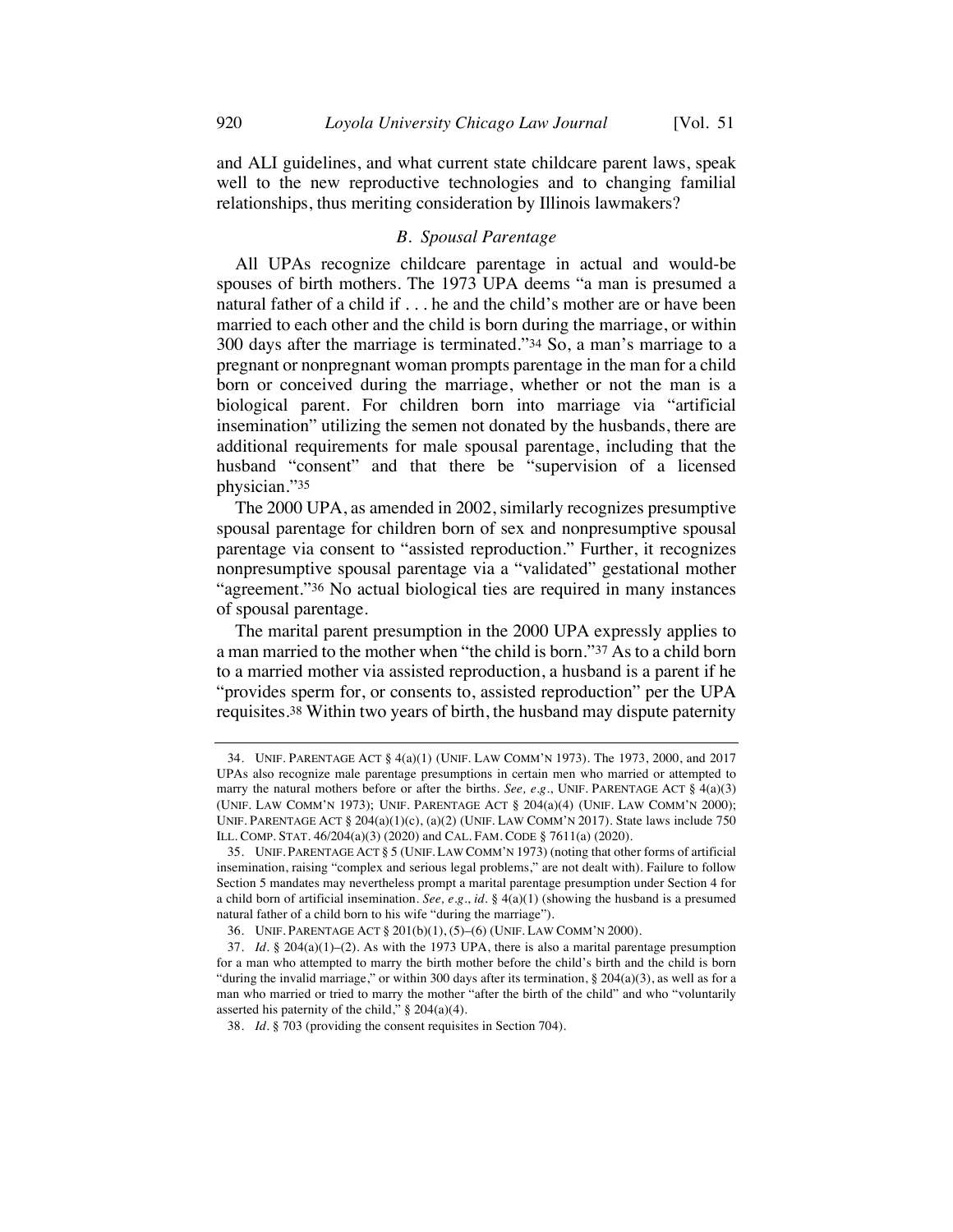and ALI guidelines, and what current state childcare parent laws, speak well to the new reproductive technologies and to changing familial relationships, thus meriting consideration by Illinois lawmakers?

#### *B. Spousal Parentage*

All UPAs recognize childcare parentage in actual and would-be spouses of birth mothers. The 1973 UPA deems "a man is presumed a natural father of a child if . . . he and the child's mother are or have been married to each other and the child is born during the marriage, or within 300 days after the marriage is terminated."34 So, a man's marriage to a pregnant or nonpregnant woman prompts parentage in the man for a child born or conceived during the marriage, whether or not the man is a biological parent. For children born into marriage via "artificial insemination" utilizing the semen not donated by the husbands, there are additional requirements for male spousal parentage, including that the husband "consent" and that there be "supervision of a licensed physician."35

The 2000 UPA, as amended in 2002, similarly recognizes presumptive spousal parentage for children born of sex and nonpresumptive spousal parentage via consent to "assisted reproduction." Further, it recognizes nonpresumptive spousal parentage via a "validated" gestational mother "agreement."36 No actual biological ties are required in many instances of spousal parentage.

The marital parent presumption in the 2000 UPA expressly applies to a man married to the mother when "the child is born."37 As to a child born to a married mother via assisted reproduction, a husband is a parent if he "provides sperm for, or consents to, assisted reproduction" per the UPA requisites.38 Within two years of birth, the husband may dispute paternity

<sup>34.</sup> UNIF. PARENTAGE ACT § 4(a)(1) (UNIF. LAW COMM'N 1973). The 1973, 2000, and 2017 UPAs also recognize male parentage presumptions in certain men who married or attempted to marry the natural mothers before or after the births. *See, e.g.*, UNIF. PARENTAGE ACT § 4(a)(3) (UNIF. LAW COMM'N 1973); UNIF. PARENTAGE ACT § 204(a)(4) (UNIF. LAW COMM'N 2000); UNIF. PARENTAGE ACT § 204(a)(1)(c), (a)(2) (UNIF. LAW COMM'N 2017). State laws include 750 ILL. COMP. STAT. 46/204(a)(3) (2020) and CAL. FAM. CODE § 7611(a) (2020).

<sup>35.</sup> UNIF. PARENTAGE ACT § 5 (UNIF. LAW COMM'N 1973) (noting that other forms of artificial insemination, raising "complex and serious legal problems," are not dealt with). Failure to follow Section 5 mandates may nevertheless prompt a marital parentage presumption under Section 4 for a child born of artificial insemination. *See, e.g.*, *id.* § 4(a)(1) (showing the husband is a presumed natural father of a child born to his wife "during the marriage").

<sup>36.</sup> UNIF. PARENTAGE ACT § 201(b)(1), (5)–(6) (UNIF. LAW COMM'N 2000).

<sup>37.</sup> *Id.* § 204(a)(1)–(2). As with the 1973 UPA, there is also a marital parentage presumption for a man who attempted to marry the birth mother before the child's birth and the child is born "during the invalid marriage," or within 300 days after its termination,  $\S$  204(a)(3), as well as for a man who married or tried to marry the mother "after the birth of the child" and who "voluntarily asserted his paternity of the child," § 204(a)(4).

<sup>38.</sup> *Id.* § 703 (providing the consent requisites in Section 704).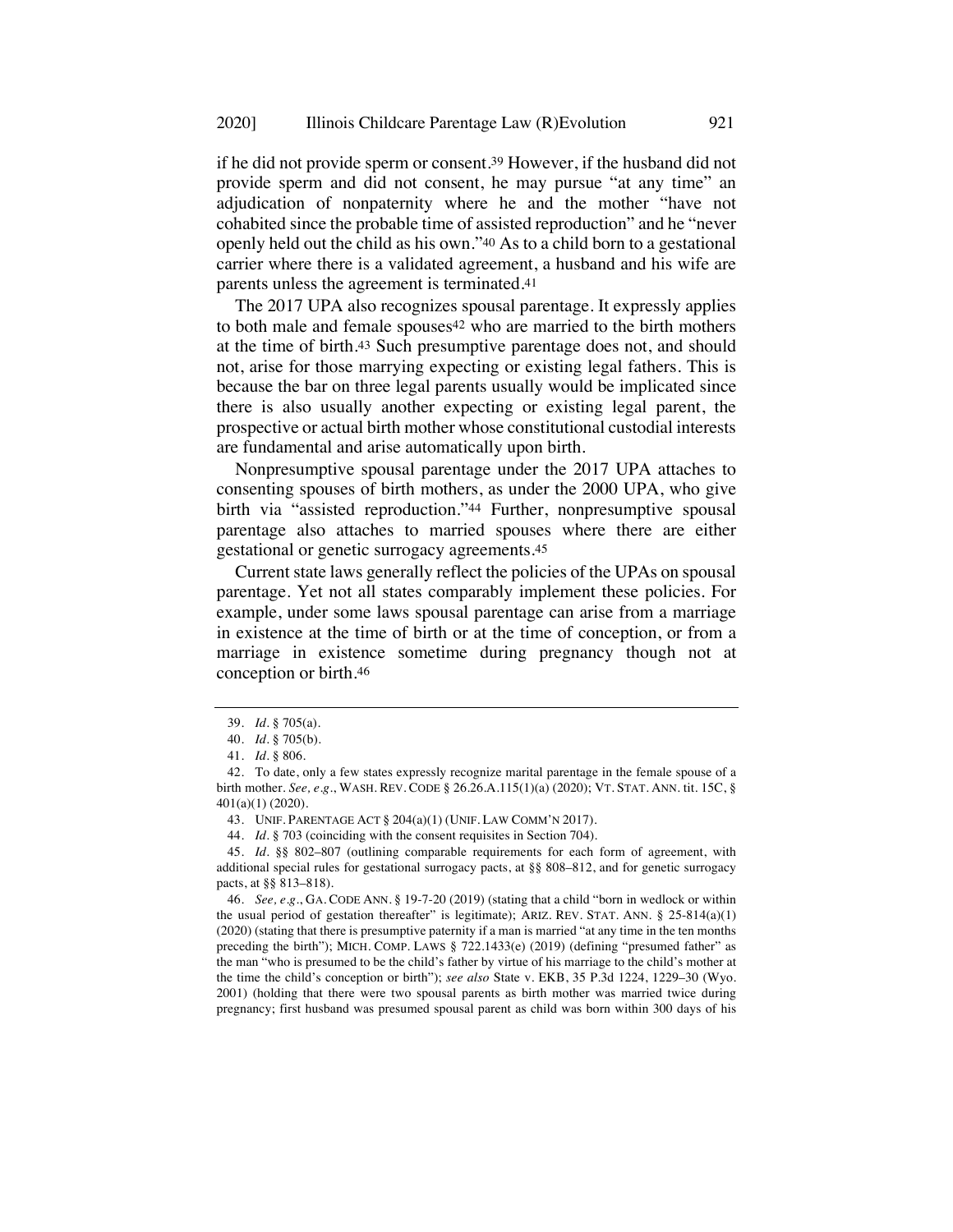if he did not provide sperm or consent.39 However, if the husband did not provide sperm and did not consent, he may pursue "at any time" an adjudication of nonpaternity where he and the mother "have not cohabited since the probable time of assisted reproduction" and he "never openly held out the child as his own."40 As to a child born to a gestational carrier where there is a validated agreement, a husband and his wife are parents unless the agreement is terminated.41

The 2017 UPA also recognizes spousal parentage. It expressly applies to both male and female spouses<sup>42</sup> who are married to the birth mothers at the time of birth.43 Such presumptive parentage does not, and should not, arise for those marrying expecting or existing legal fathers. This is because the bar on three legal parents usually would be implicated since there is also usually another expecting or existing legal parent, the prospective or actual birth mother whose constitutional custodial interests are fundamental and arise automatically upon birth.

Nonpresumptive spousal parentage under the 2017 UPA attaches to consenting spouses of birth mothers, as under the 2000 UPA, who give birth via "assisted reproduction."44 Further, nonpresumptive spousal parentage also attaches to married spouses where there are either gestational or genetic surrogacy agreements.45

Current state laws generally reflect the policies of the UPAs on spousal parentage. Yet not all states comparably implement these policies. For example, under some laws spousal parentage can arise from a marriage in existence at the time of birth or at the time of conception, or from a marriage in existence sometime during pregnancy though not at conception or birth.46

44. *Id.* § 703 (coinciding with the consent requisites in Section 704).

45. *Id.* §§ 802–807 (outlining comparable requirements for each form of agreement, with additional special rules for gestational surrogacy pacts, at §§ 808–812, and for genetic surrogacy pacts, at §§ 813–818).

46. *See, e.g.*, GA. CODE ANN. § 19-7-20 (2019) (stating that a child "born in wedlock or within the usual period of gestation thereafter" is legitimate); ARIZ. REV. STAT. ANN. § 25-814(a)(1) (2020) (stating that there is presumptive paternity if a man is married "at any time in the ten months preceding the birth"); MICH. COMP. LAWS § 722.1433(e) (2019) (defining "presumed father" as the man "who is presumed to be the child's father by virtue of his marriage to the child's mother at the time the child's conception or birth"); *see also* State v. EKB, 35 P.3d 1224, 1229–30 (Wyo. 2001) (holding that there were two spousal parents as birth mother was married twice during pregnancy; first husband was presumed spousal parent as child was born within 300 days of his

<sup>39.</sup> *Id.* § 705(a).

<sup>40.</sup> *Id.* § 705(b).

<sup>41.</sup> *Id.* § 806.

<sup>42.</sup> To date, only a few states expressly recognize marital parentage in the female spouse of a birth mother. *See, e.g.*, WASH. REV. CODE § 26.26.A.115(1)(a) (2020); VT. STAT. ANN. tit. 15C, § 401(a)(1) (2020).

<sup>43.</sup> UNIF. PARENTAGE ACT § 204(a)(1) (UNIF. LAW COMM'N 2017).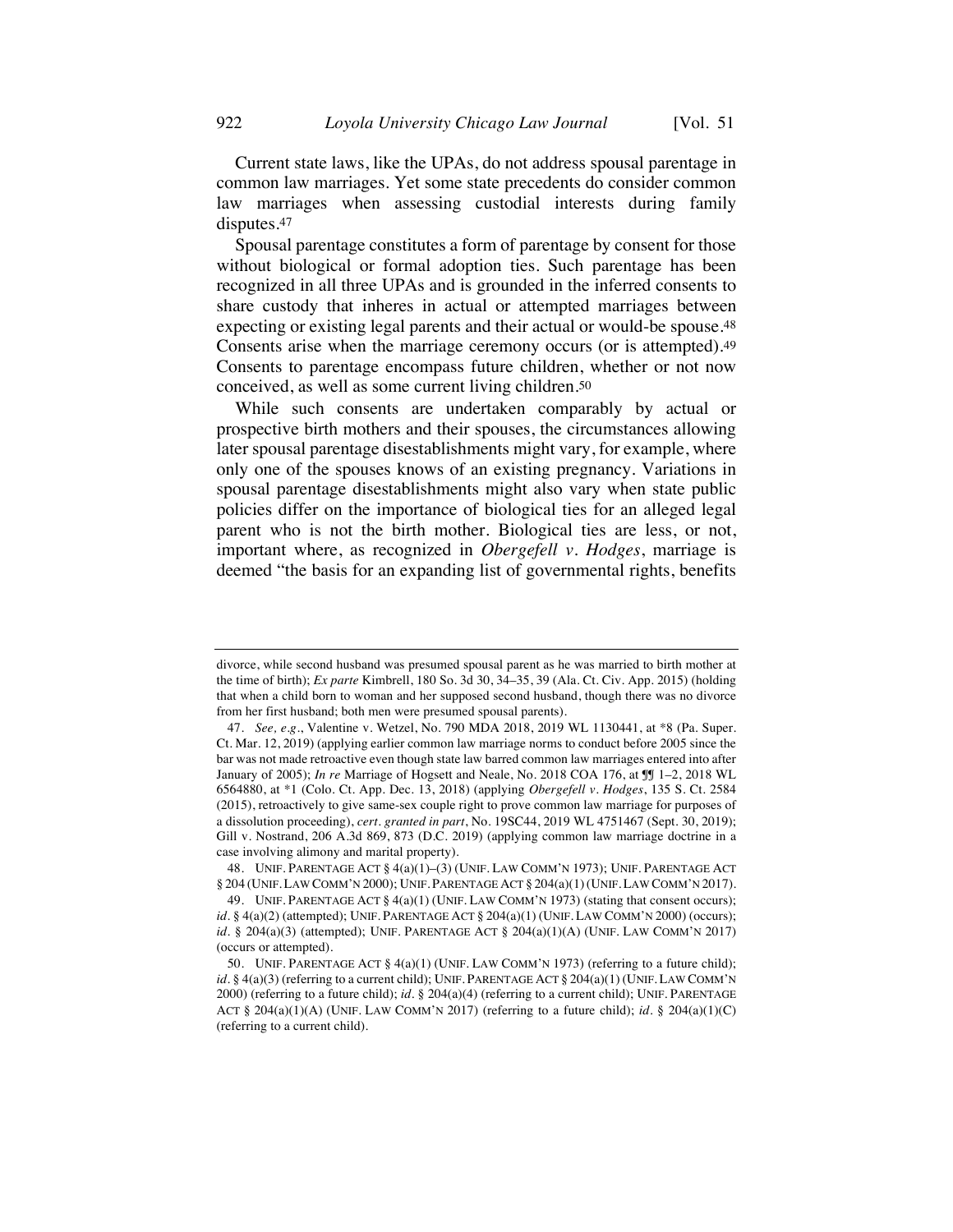Current state laws, like the UPAs, do not address spousal parentage in common law marriages. Yet some state precedents do consider common law marriages when assessing custodial interests during family disputes.47

Spousal parentage constitutes a form of parentage by consent for those without biological or formal adoption ties. Such parentage has been recognized in all three UPAs and is grounded in the inferred consents to share custody that inheres in actual or attempted marriages between expecting or existing legal parents and their actual or would-be spouse.48 Consents arise when the marriage ceremony occurs (or is attempted).49 Consents to parentage encompass future children, whether or not now conceived, as well as some current living children.50

While such consents are undertaken comparably by actual or prospective birth mothers and their spouses, the circumstances allowing later spousal parentage disestablishments might vary, for example, where only one of the spouses knows of an existing pregnancy. Variations in spousal parentage disestablishments might also vary when state public policies differ on the importance of biological ties for an alleged legal parent who is not the birth mother. Biological ties are less, or not, important where, as recognized in *Obergefell v. Hodges*, marriage is deemed "the basis for an expanding list of governmental rights, benefits

divorce, while second husband was presumed spousal parent as he was married to birth mother at the time of birth); *Ex parte* Kimbrell, 180 So. 3d 30, 34–35, 39 (Ala. Ct. Civ. App. 2015) (holding that when a child born to woman and her supposed second husband, though there was no divorce from her first husband; both men were presumed spousal parents).

<sup>47.</sup> *See, e.g.*, Valentine v. Wetzel, No. 790 MDA 2018, 2019 WL 1130441, at \*8 (Pa. Super. Ct. Mar. 12, 2019) (applying earlier common law marriage norms to conduct before 2005 since the bar was not made retroactive even though state law barred common law marriages entered into after January of 2005); *In re* Marriage of Hogsett and Neale, No. 2018 COA 176, at ¶¶ 1–2, 2018 WL 6564880, at \*1 (Colo. Ct. App. Dec. 13, 2018) (applying *Obergefell v. Hodges*, 135 S. Ct. 2584 (2015), retroactively to give same-sex couple right to prove common law marriage for purposes of a dissolution proceeding), *cert. granted in part*, No. 19SC44, 2019 WL 4751467 (Sept. 30, 2019); Gill v. Nostrand, 206 A.3d 869, 873 (D.C. 2019) (applying common law marriage doctrine in a case involving alimony and marital property).

<sup>48.</sup> UNIF. PARENTAGE ACT § 4(a)(1)–(3) (UNIF. LAW COMM'N 1973); UNIF. PARENTAGE ACT § 204 (UNIF. LAW COMM'N 2000); UNIF. PARENTAGE ACT § 204(a)(1)(UNIF. LAW COMM'N 2017).

<sup>49.</sup> UNIF. PARENTAGE ACT § 4(a)(1) (UNIF. LAW COMM'N 1973) (stating that consent occurs); *id.* § 4(a)(2) (attempted); UNIF. PARENTAGE ACT § 204(a)(1) (UNIF. LAW COMM'N 2000) (occurs); *id.* § 204(a)(3) (attempted); UNIF. PARENTAGE ACT § 204(a)(1)(A) (UNIF. LAW COMM'N 2017) (occurs or attempted).

<sup>50.</sup> UNIF. PARENTAGE ACT § 4(a)(1) (UNIF. LAW COMM'N 1973) (referring to a future child);  $id. \S$  4(a)(3) (referring to a current child); UNIF. PARENTAGE ACT  $\S$  204(a)(1) (UNIF. LAW COMM'N 2000) (referring to a future child); *id.* § 204(a)(4) (referring to a current child); UNIF. PARENTAGE ACT § 204(a)(1)(A) (UNIF. LAW COMM'N 2017) (referring to a future child); *id.* § 204(a)(1)(C) (referring to a current child).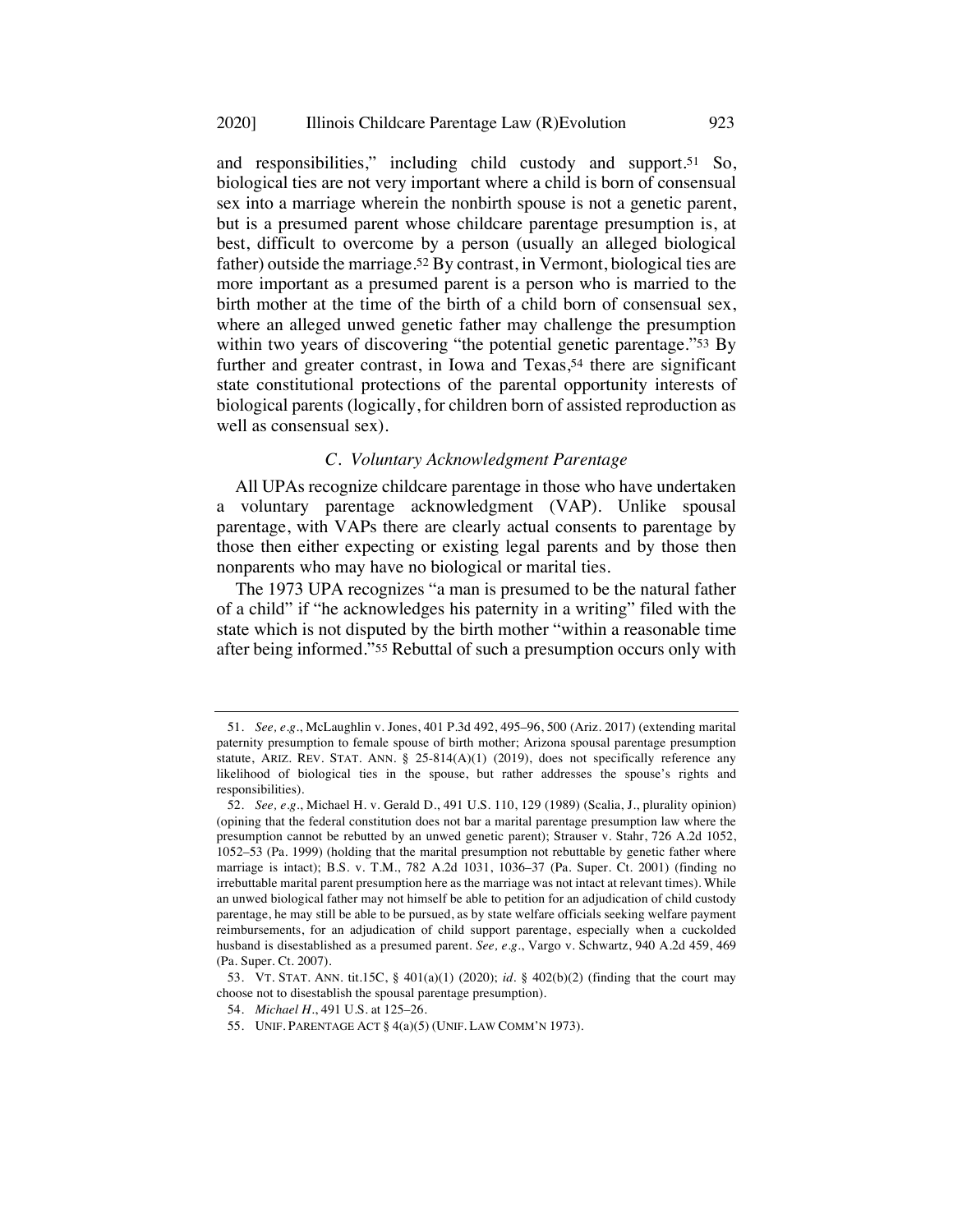and responsibilities," including child custody and support.51 So, biological ties are not very important where a child is born of consensual sex into a marriage wherein the nonbirth spouse is not a genetic parent, but is a presumed parent whose childcare parentage presumption is, at best, difficult to overcome by a person (usually an alleged biological father) outside the marriage.52 By contrast, in Vermont, biological ties are more important as a presumed parent is a person who is married to the birth mother at the time of the birth of a child born of consensual sex, where an alleged unwed genetic father may challenge the presumption within two years of discovering "the potential genetic parentage."<sup>53</sup> By further and greater contrast, in Iowa and Texas,<sup>54</sup> there are significant state constitutional protections of the parental opportunity interests of biological parents (logically, for children born of assisted reproduction as well as consensual sex).

### *C. Voluntary Acknowledgment Parentage*

All UPAs recognize childcare parentage in those who have undertaken a voluntary parentage acknowledgment (VAP). Unlike spousal parentage, with VAPs there are clearly actual consents to parentage by those then either expecting or existing legal parents and by those then nonparents who may have no biological or marital ties.

The 1973 UPA recognizes "a man is presumed to be the natural father of a child" if "he acknowledges his paternity in a writing" filed with the state which is not disputed by the birth mother "within a reasonable time after being informed."55 Rebuttal of such a presumption occurs only with

<sup>51.</sup> *See, e.g.*, McLaughlin v. Jones, 401 P.3d 492, 495–96, 500 (Ariz. 2017) (extending marital paternity presumption to female spouse of birth mother; Arizona spousal parentage presumption statute, ARIZ. REV. STAT. ANN.  $\S$  25-814(A)(1) (2019), does not specifically reference any likelihood of biological ties in the spouse, but rather addresses the spouse's rights and responsibilities).

<sup>52.</sup> *See, e.g.*, Michael H. v. Gerald D., 491 U.S. 110, 129 (1989) (Scalia, J., plurality opinion) (opining that the federal constitution does not bar a marital parentage presumption law where the presumption cannot be rebutted by an unwed genetic parent); Strauser v. Stahr, 726 A.2d 1052, 1052–53 (Pa. 1999) (holding that the marital presumption not rebuttable by genetic father where marriage is intact); B.S. v. T.M., 782 A.2d 1031, 1036–37 (Pa. Super. Ct. 2001) (finding no irrebuttable marital parent presumption here as the marriage was not intact at relevant times). While an unwed biological father may not himself be able to petition for an adjudication of child custody parentage, he may still be able to be pursued, as by state welfare officials seeking welfare payment reimbursements, for an adjudication of child support parentage, especially when a cuckolded husband is disestablished as a presumed parent. *See, e.g.*, Vargo v. Schwartz, 940 A.2d 459, 469 (Pa. Super. Ct. 2007).

<sup>53.</sup> VT. STAT. ANN. tit.15C, § 401(a)(1) (2020); *id.* § 402(b)(2) (finding that the court may choose not to disestablish the spousal parentage presumption).

<sup>54.</sup> *Michael H.*, 491 U.S. at 125–26.

<sup>55.</sup> UNIF. PARENTAGE ACT § 4(a)(5) (UNIF. LAW COMM'N 1973).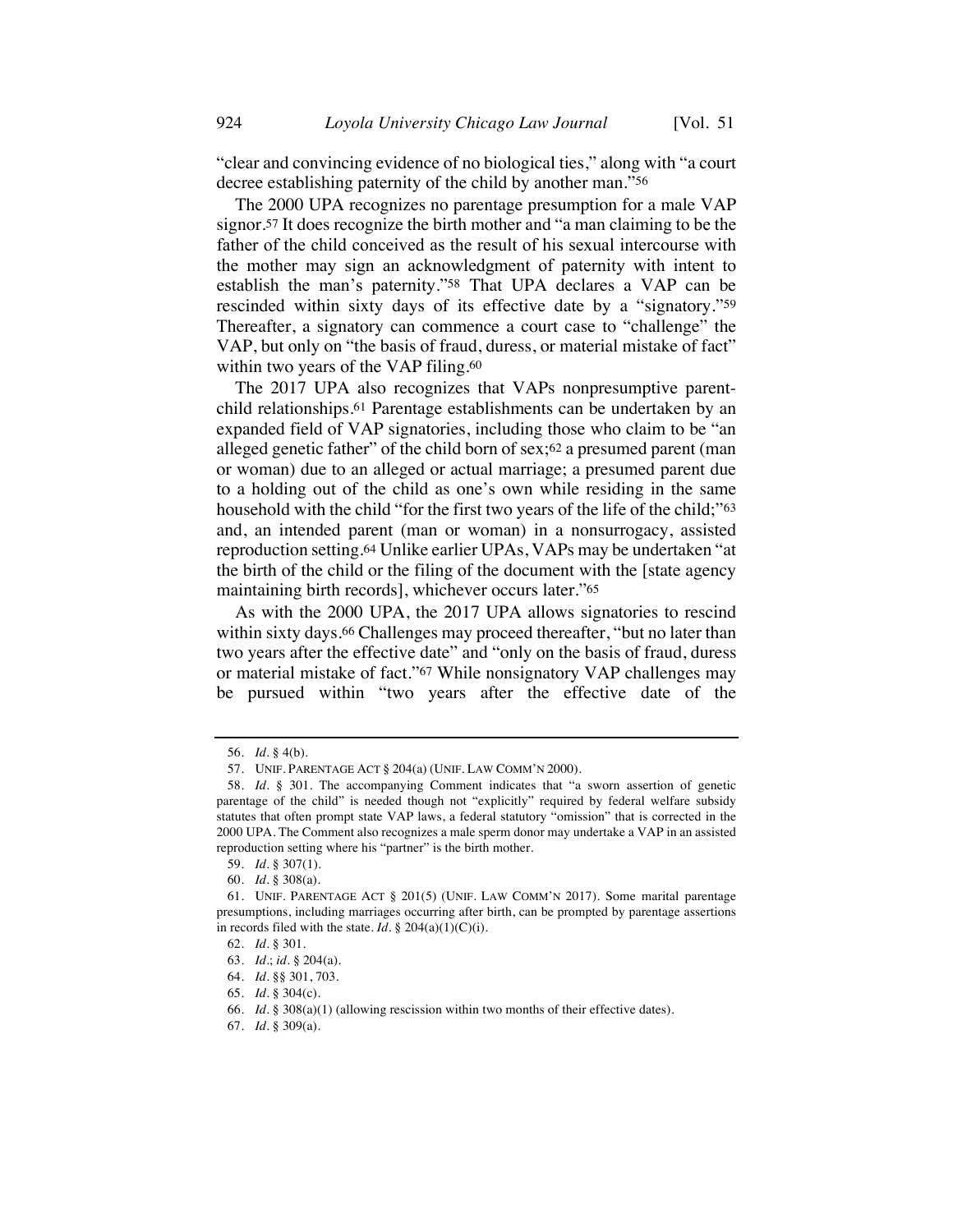"clear and convincing evidence of no biological ties," along with "a court decree establishing paternity of the child by another man."56

The 2000 UPA recognizes no parentage presumption for a male VAP signor.57 It does recognize the birth mother and "a man claiming to be the father of the child conceived as the result of his sexual intercourse with the mother may sign an acknowledgment of paternity with intent to establish the man's paternity."58 That UPA declares a VAP can be rescinded within sixty days of its effective date by a "signatory."59 Thereafter, a signatory can commence a court case to "challenge" the VAP, but only on "the basis of fraud, duress, or material mistake of fact" within two years of the VAP filing.<sup>60</sup>

The 2017 UPA also recognizes that VAPs nonpresumptive parentchild relationships.61 Parentage establishments can be undertaken by an expanded field of VAP signatories, including those who claim to be "an alleged genetic father" of the child born of sex;62 a presumed parent (man or woman) due to an alleged or actual marriage; a presumed parent due to a holding out of the child as one's own while residing in the same household with the child "for the first two years of the life of the child;"<sup>63</sup> and, an intended parent (man or woman) in a nonsurrogacy, assisted reproduction setting.64 Unlike earlier UPAs, VAPs may be undertaken "at the birth of the child or the filing of the document with the [state agency maintaining birth records], whichever occurs later."65

As with the 2000 UPA, the 2017 UPA allows signatories to rescind within sixty days.<sup>66</sup> Challenges may proceed thereafter, "but no later than two years after the effective date" and "only on the basis of fraud, duress or material mistake of fact."67 While nonsignatory VAP challenges may be pursued within "two years after the effective date of the

67. *Id.* § 309(a).

<sup>56.</sup> *Id.* § 4(b).

<sup>57.</sup> UNIF. PARENTAGE ACT § 204(a) (UNIF. LAW COMM'N 2000).

<sup>58.</sup> *Id.* § 301. The accompanying Comment indicates that "a sworn assertion of genetic parentage of the child" is needed though not "explicitly" required by federal welfare subsidy statutes that often prompt state VAP laws, a federal statutory "omission" that is corrected in the 2000 UPA. The Comment also recognizes a male sperm donor may undertake a VAP in an assisted reproduction setting where his "partner" is the birth mother.

<sup>59.</sup> *Id.* § 307(1).

<sup>60.</sup> *Id.* § 308(a).

<sup>61.</sup> UNIF. PARENTAGE ACT § 201(5) (UNIF. LAW COMM'N 2017). Some marital parentage presumptions, including marriages occurring after birth, can be prompted by parentage assertions in records filed with the state.  $Id. \S$  204(a)(1)(C)(i).

<sup>62.</sup> *Id.* § 301.

<sup>63.</sup> *Id.*; *id.* § 204(a).

<sup>64.</sup> *Id.* §§ 301, 703.

<sup>65.</sup> *Id.* § 304(c).

<sup>66.</sup> *Id.* § 308(a)(1) (allowing rescission within two months of their effective dates).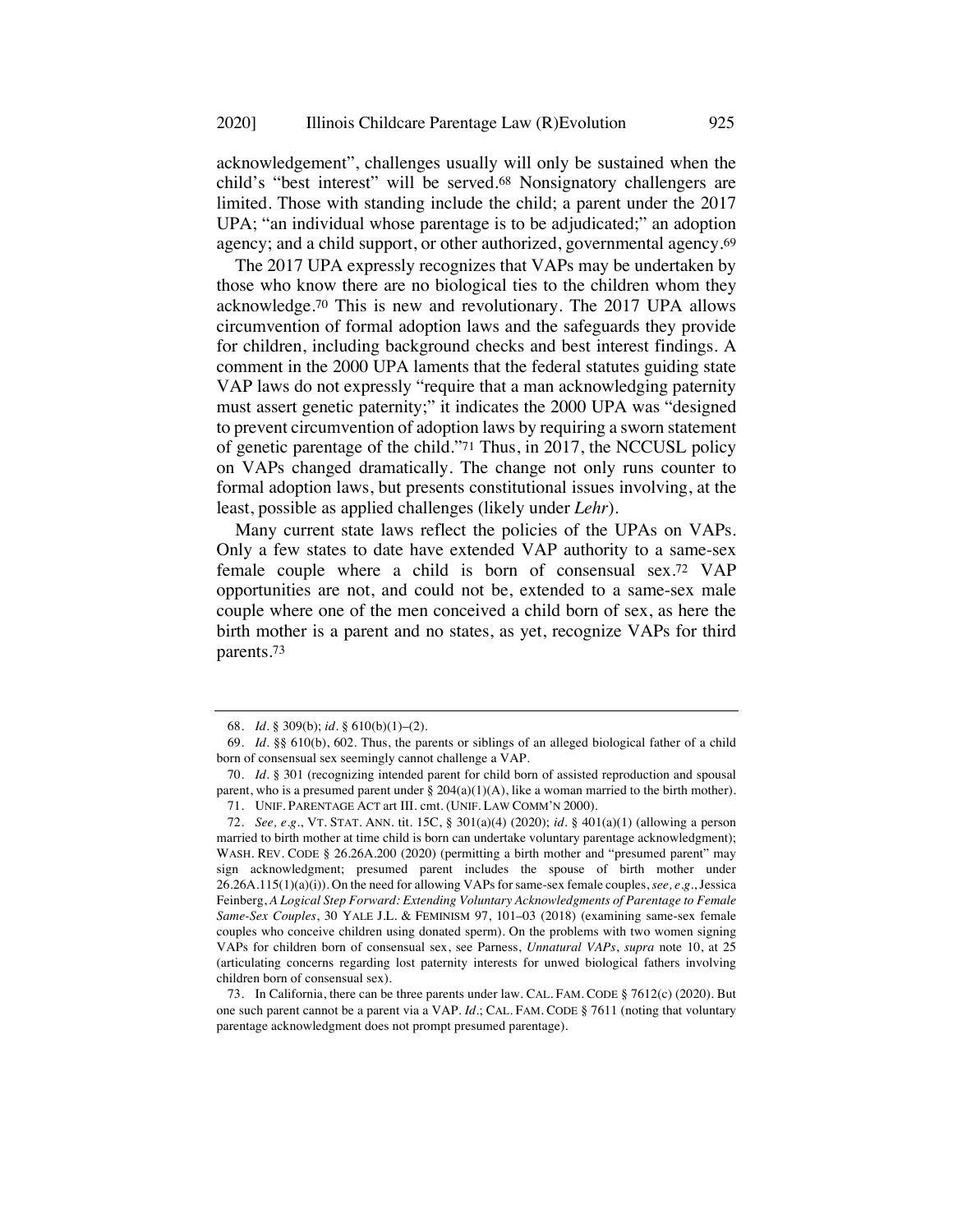acknowledgement", challenges usually will only be sustained when the child's "best interest" will be served.68 Nonsignatory challengers are limited. Those with standing include the child; a parent under the 2017 UPA; "an individual whose parentage is to be adjudicated;" an adoption agency; and a child support, or other authorized, governmental agency.69

The 2017 UPA expressly recognizes that VAPs may be undertaken by those who know there are no biological ties to the children whom they acknowledge.70 This is new and revolutionary. The 2017 UPA allows circumvention of formal adoption laws and the safeguards they provide for children, including background checks and best interest findings. A comment in the 2000 UPA laments that the federal statutes guiding state VAP laws do not expressly "require that a man acknowledging paternity must assert genetic paternity;" it indicates the 2000 UPA was "designed to prevent circumvention of adoption laws by requiring a sworn statement of genetic parentage of the child."71 Thus, in 2017, the NCCUSL policy on VAPs changed dramatically. The change not only runs counter to formal adoption laws, but presents constitutional issues involving, at the least, possible as applied challenges (likely under *Lehr*).

Many current state laws reflect the policies of the UPAs on VAPs. Only a few states to date have extended VAP authority to a same-sex female couple where a child is born of consensual sex.72 VAP opportunities are not, and could not be, extended to a same-sex male couple where one of the men conceived a child born of sex, as here the birth mother is a parent and no states, as yet, recognize VAPs for third parents.73

<sup>68.</sup> *Id.* § 309(b); *id.* § 610(b)(1)–(2).

<sup>69.</sup> *Id.* §§ 610(b), 602. Thus, the parents or siblings of an alleged biological father of a child born of consensual sex seemingly cannot challenge a VAP.

<sup>70.</sup> *Id.* § 301 (recognizing intended parent for child born of assisted reproduction and spousal parent, who is a presumed parent under  $\S$  204(a)(1)(A), like a woman married to the birth mother). 71. UNIF. PARENTAGE ACT art III. cmt. (UNIF. LAW COMM'N 2000).

<sup>72.</sup> *See, e.g.*, VT. STAT. ANN. tit. 15C, § 301(a)(4) (2020); *id.* § 401(a)(1) (allowing a person married to birth mother at time child is born can undertake voluntary parentage acknowledgment); WASH. REV. CODE § 26.26A.200 (2020) (permitting a birth mother and "presumed parent" may sign acknowledgment; presumed parent includes the spouse of birth mother under 26.26A.115(1)(a)(i)). On the need for allowing VAPs for same-sex female couples, *see, e.g.*, Jessica Feinberg, *A Logical Step Forward: Extending Voluntary Acknowledgments of Parentage to Female Same-Sex Couples*, 30 YALE J.L. & FEMINISM 97, 101–03 (2018) (examining same-sex female couples who conceive children using donated sperm). On the problems with two women signing VAPs for children born of consensual sex, see Parness, *Unnatural VAPs*, *supra* note 10, at 25 (articulating concerns regarding lost paternity interests for unwed biological fathers involving children born of consensual sex).

<sup>73.</sup> In California, there can be three parents under law. CAL. FAM. CODE § 7612(c) (2020). But one such parent cannot be a parent via a VAP. *Id.*; CAL. FAM. CODE § 7611 (noting that voluntary parentage acknowledgment does not prompt presumed parentage).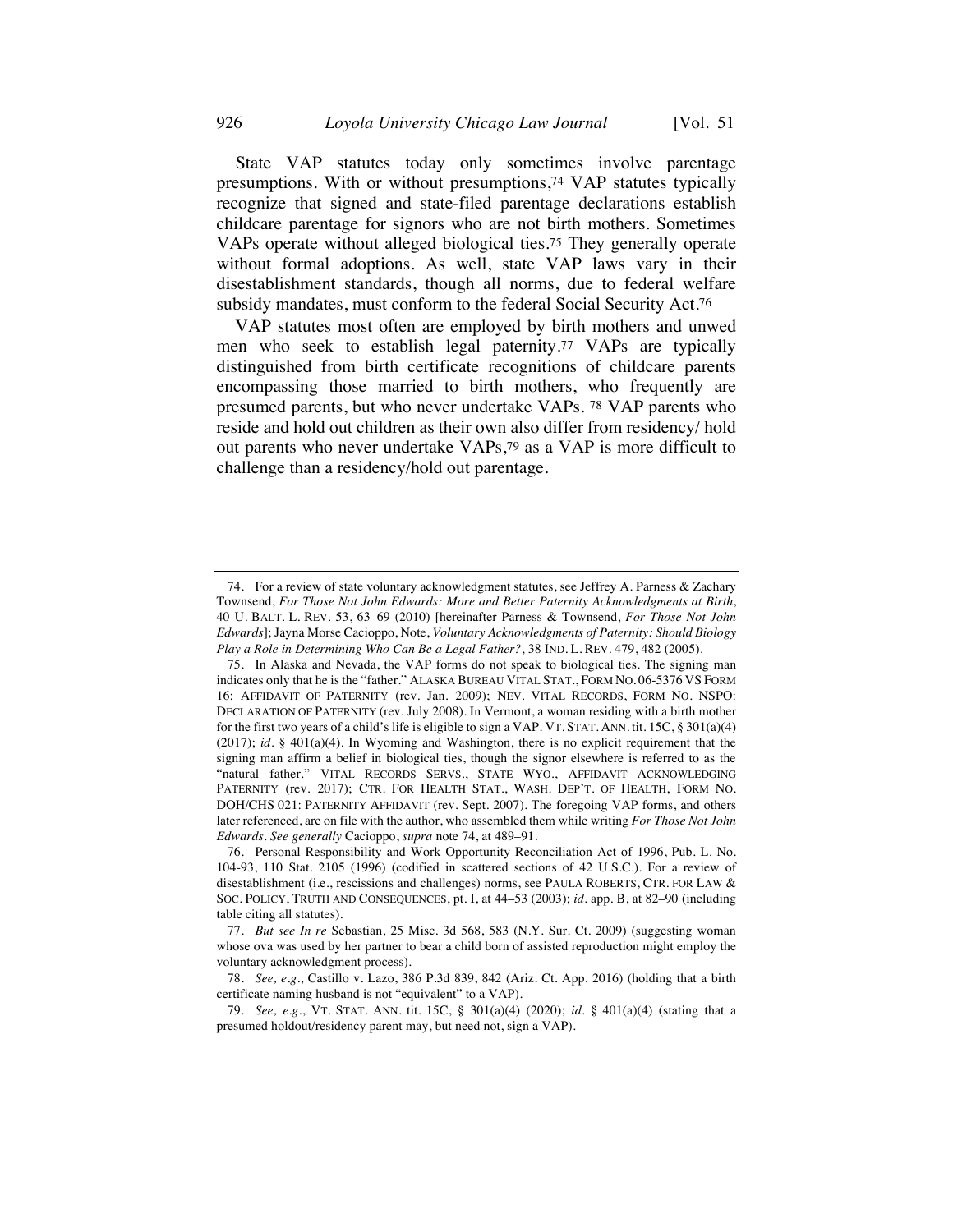State VAP statutes today only sometimes involve parentage presumptions. With or without presumptions,74 VAP statutes typically recognize that signed and state-filed parentage declarations establish childcare parentage for signors who are not birth mothers. Sometimes VAPs operate without alleged biological ties.75 They generally operate without formal adoptions. As well, state VAP laws vary in their disestablishment standards, though all norms, due to federal welfare subsidy mandates, must conform to the federal Social Security Act.76

VAP statutes most often are employed by birth mothers and unwed men who seek to establish legal paternity.77 VAPs are typically distinguished from birth certificate recognitions of childcare parents encompassing those married to birth mothers, who frequently are presumed parents, but who never undertake VAPs. 78 VAP parents who reside and hold out children as their own also differ from residency/ hold out parents who never undertake VAPs,79 as a VAP is more difficult to challenge than a residency/hold out parentage.

<sup>74.</sup> For a review of state voluntary acknowledgment statutes, see Jeffrey A. Parness & Zachary Townsend, *For Those Not John Edwards: More and Better Paternity Acknowledgments at Birth*, 40 U. BALT. L. REV. 53, 63–69 (2010) [hereinafter Parness & Townsend, *For Those Not John Edwards*]; Jayna Morse Cacioppo, Note, *Voluntary Acknowledgments of Paternity: Should Biology Play a Role in Determining Who Can Be a Legal Father?*, 38 IND. L. REV. 479, 482 (2005).

<sup>75.</sup> In Alaska and Nevada, the VAP forms do not speak to biological ties. The signing man indicates only that he is the "father." ALASKA BUREAU VITAL STAT., FORM NO. 06-5376 VS FORM 16: AFFIDAVIT OF PATERNITY (rev. Jan. 2009); NEV. VITAL RECORDS, FORM NO. NSPO: DECLARATION OF PATERNITY (rev. July 2008). In Vermont, a woman residing with a birth mother for the first two years of a child's life is eligible to sign a VAP. VT. STAT. ANN. tit. 15C, § 301(a)(4) (2017); *id.* § 401(a)(4). In Wyoming and Washington, there is no explicit requirement that the signing man affirm a belief in biological ties, though the signor elsewhere is referred to as the "natural father." VITAL RECORDS SERVS., STATE WYO., AFFIDAVIT ACKNOWLEDGING PATERNITY (rev. 2017); CTR. FOR HEALTH STAT., WASH. DEP'T. OF HEALTH, FORM NO. DOH/CHS 021: PATERNITY AFFIDAVIT (rev. Sept. 2007). The foregoing VAP forms, and others later referenced, are on file with the author, who assembled them while writing *For Those Not John Edwards*. *See generally* Cacioppo, *supra* note 74, at 489–91.

<sup>76.</sup> Personal Responsibility and Work Opportunity Reconciliation Act of 1996, Pub. L. No. 104-93, 110 Stat. 2105 (1996) (codified in scattered sections of 42 U.S.C.). For a review of disestablishment (i.e., rescissions and challenges) norms, see PAULA ROBERTS, CTR. FOR LAW & SOC. POLICY, TRUTH AND CONSEQUENCES, pt. I, at 44–53 (2003); *id.* app. B, at 82–90 (including table citing all statutes).

<sup>77.</sup> *But see In re* Sebastian, 25 Misc. 3d 568, 583 (N.Y. Sur. Ct. 2009) (suggesting woman whose ova was used by her partner to bear a child born of assisted reproduction might employ the voluntary acknowledgment process).

<sup>78.</sup> *See, e.g.*, Castillo v. Lazo, 386 P.3d 839, 842 (Ariz. Ct. App. 2016) (holding that a birth certificate naming husband is not "equivalent" to a VAP).

<sup>79.</sup> *See, e.g.*, VT. STAT. ANN. tit. 15C, § 301(a)(4) (2020); *id.* § 401(a)(4) (stating that a presumed holdout/residency parent may, but need not, sign a VAP).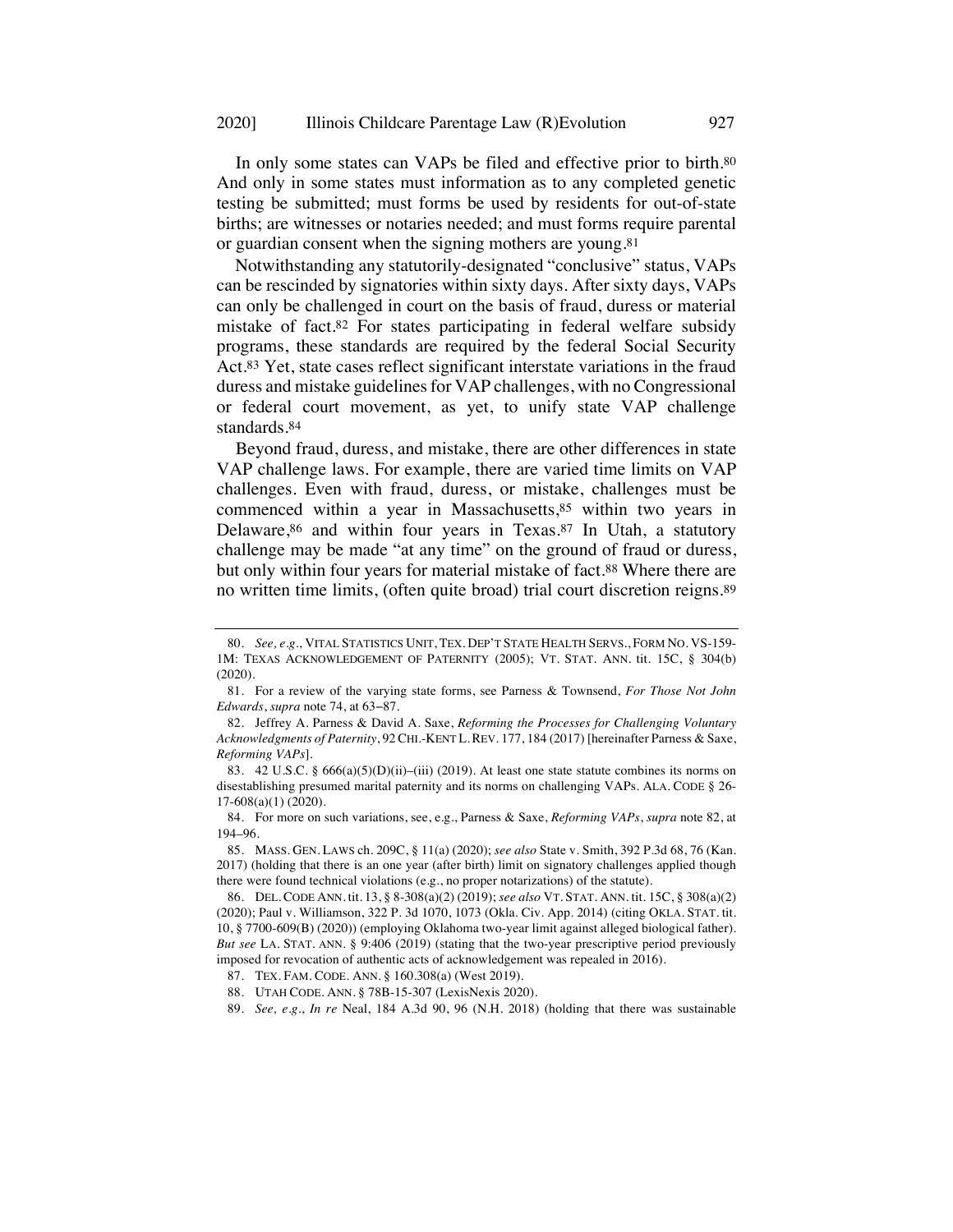In only some states can VAPs be filed and effective prior to birth.80 And only in some states must information as to any completed genetic testing be submitted; must forms be used by residents for out-of-state births; are witnesses or notaries needed; and must forms require parental or guardian consent when the signing mothers are young.81

Notwithstanding any statutorily-designated "conclusive" status, VAPs can be rescinded by signatories within sixty days. After sixty days, VAPs can only be challenged in court on the basis of fraud, duress or material mistake of fact.82 For states participating in federal welfare subsidy programs, these standards are required by the federal Social Security Act.83 Yet, state cases reflect significant interstate variations in the fraud duress and mistake guidelines for VAP challenges, with no Congressional or federal court movement, as yet, to unify state VAP challenge standards.84

Beyond fraud, duress, and mistake, there are other differences in state VAP challenge laws. For example, there are varied time limits on VAP challenges. Even with fraud, duress, or mistake, challenges must be commenced within a year in Massachusetts,<sup>85</sup> within two years in Delaware,<sup>86</sup> and within four years in Texas.<sup>87</sup> In Utah, a statutory challenge may be made "at any time" on the ground of fraud or duress, but only within four years for material mistake of fact.88 Where there are no written time limits, (often quite broad) trial court discretion reigns.89

<sup>80.</sup> *See, e.g.*, VITAL STATISTICS UNIT, TEX. DEP'T STATE HEALTH SERVS., FORM NO. VS-159- 1M: TEXAS ACKNOWLEDGEMENT OF PATERNITY (2005); VT. STAT. ANN. tit. 15C, § 304(b) (2020).

<sup>81.</sup> For a review of the varying state forms, see Parness & Townsend, *For Those Not John Edwards*, *supra* note 74, at 63−87.

<sup>82.</sup> Jeffrey A. Parness & David A. Saxe, *Reforming the Processes for Challenging Voluntary Acknowledgments of Paternity*, 92CHI.-KENT L.REV. 177, 184 (2017) [hereinafter Parness & Saxe, *Reforming VAPs*].

<sup>83. 42</sup> U.S.C. § 666(a)(5)(D)(ii)–(iii) (2019). At least one state statute combines its norms on disestablishing presumed marital paternity and its norms on challenging VAPs. ALA. CODE § 26- 17-608(a)(1) (2020).

<sup>84.</sup> For more on such variations, see, e.g., Parness & Saxe, *Reforming VAPs*, *supra* note 82, at 194–96.

<sup>85.</sup> MASS. GEN. LAWS ch. 209C, § 11(a) (2020); *see also* State v. Smith, 392 P.3d 68, 76 (Kan. 2017) (holding that there is an one year (after birth) limit on signatory challenges applied though there were found technical violations (e.g., no proper notarizations) of the statute).

<sup>86.</sup> DEL. CODE ANN. tit. 13, § 8-308(a)(2) (2019); *see also* VT. STAT. ANN. tit. 15C, § 308(a)(2) (2020); Paul v. Williamson, 322 P. 3d 1070, 1073 (Okla. Civ. App. 2014) (citing OKLA. STAT. tit. 10, § 7700-609(B) (2020)) (employing Oklahoma two-year limit against alleged biological father). *But see* LA. STAT. ANN. § 9:406 (2019) (stating that the two-year prescriptive period previously imposed for revocation of authentic acts of acknowledgement was repealed in 2016).

<sup>87.</sup> TEX. FAM. CODE. ANN. § 160.308(a) (West 2019).

<sup>88.</sup> UTAH CODE. ANN. § 78B-15-307 (LexisNexis 2020).

<sup>89.</sup> *See, e.g.*, *In re* Neal, 184 A.3d 90, 96 (N.H. 2018) (holding that there was sustainable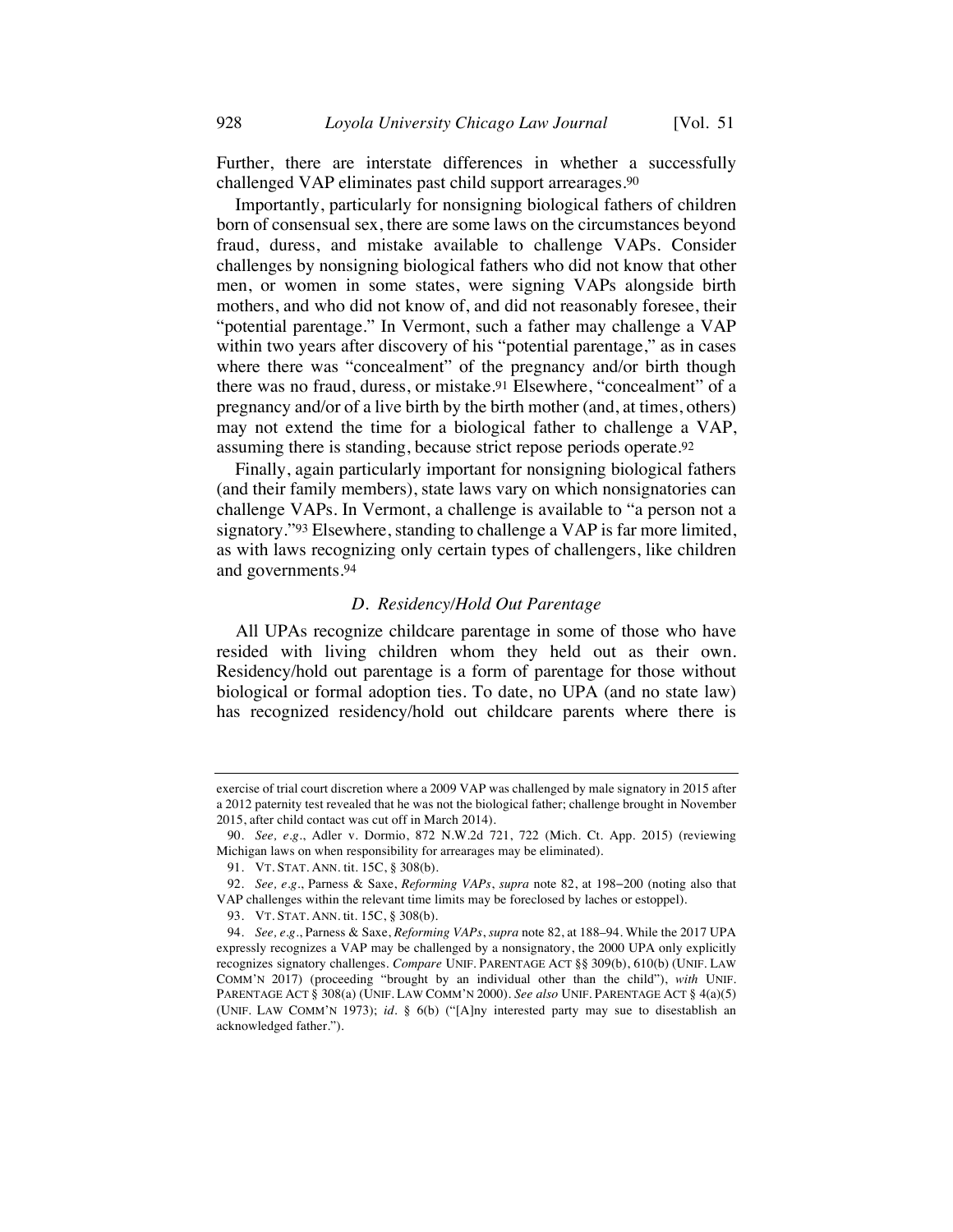Further, there are interstate differences in whether a successfully challenged VAP eliminates past child support arrearages.90

Importantly, particularly for nonsigning biological fathers of children born of consensual sex, there are some laws on the circumstances beyond fraud, duress, and mistake available to challenge VAPs. Consider challenges by nonsigning biological fathers who did not know that other men, or women in some states, were signing VAPs alongside birth mothers, and who did not know of, and did not reasonably foresee, their "potential parentage." In Vermont, such a father may challenge a VAP within two years after discovery of his "potential parentage," as in cases where there was "concealment" of the pregnancy and/or birth though there was no fraud, duress, or mistake.91 Elsewhere, "concealment" of a pregnancy and/or of a live birth by the birth mother (and, at times, others) may not extend the time for a biological father to challenge a VAP, assuming there is standing, because strict repose periods operate.92

Finally, again particularly important for nonsigning biological fathers (and their family members), state laws vary on which nonsignatories can challenge VAPs. In Vermont, a challenge is available to "a person not a signatory."93 Elsewhere, standing to challenge a VAP is far more limited, as with laws recognizing only certain types of challengers, like children and governments.94

### *D. Residency/Hold Out Parentage*

All UPAs recognize childcare parentage in some of those who have resided with living children whom they held out as their own. Residency/hold out parentage is a form of parentage for those without biological or formal adoption ties. To date, no UPA (and no state law) has recognized residency/hold out childcare parents where there is

exercise of trial court discretion where a 2009 VAP was challenged by male signatory in 2015 after a 2012 paternity test revealed that he was not the biological father; challenge brought in November 2015, after child contact was cut off in March 2014).

<sup>90.</sup> *See, e.g.*, Adler v. Dormio, 872 N.W.2d 721, 722 (Mich. Ct. App. 2015) (reviewing Michigan laws on when responsibility for arrearages may be eliminated).

<sup>91.</sup> VT. STAT. ANN. tit. 15C, § 308(b).

<sup>92.</sup> *See, e.g.*, Parness & Saxe, *Reforming VAPs*, *supra* note 82, at 198−200 (noting also that VAP challenges within the relevant time limits may be foreclosed by laches or estoppel).

<sup>93.</sup> VT. STAT. ANN. tit. 15C, § 308(b).

<sup>94.</sup> *See, e.g.*, Parness & Saxe, *Reforming VAPs*, *supra* note 82, at 188–94. While the 2017 UPA expressly recognizes a VAP may be challenged by a nonsignatory, the 2000 UPA only explicitly recognizes signatory challenges. *Compare* UNIF. PARENTAGE ACT §§ 309(b), 610(b) (UNIF. LAW COMM'N 2017) (proceeding "brought by an individual other than the child"), *with* UNIF. PARENTAGE ACT § 308(a) (UNIF. LAW COMM'N 2000). *See also* UNIF. PARENTAGE ACT § 4(a)(5) (UNIF. LAW COMM'N 1973); *id.* § 6(b) ("[A]ny interested party may sue to disestablish an acknowledged father.").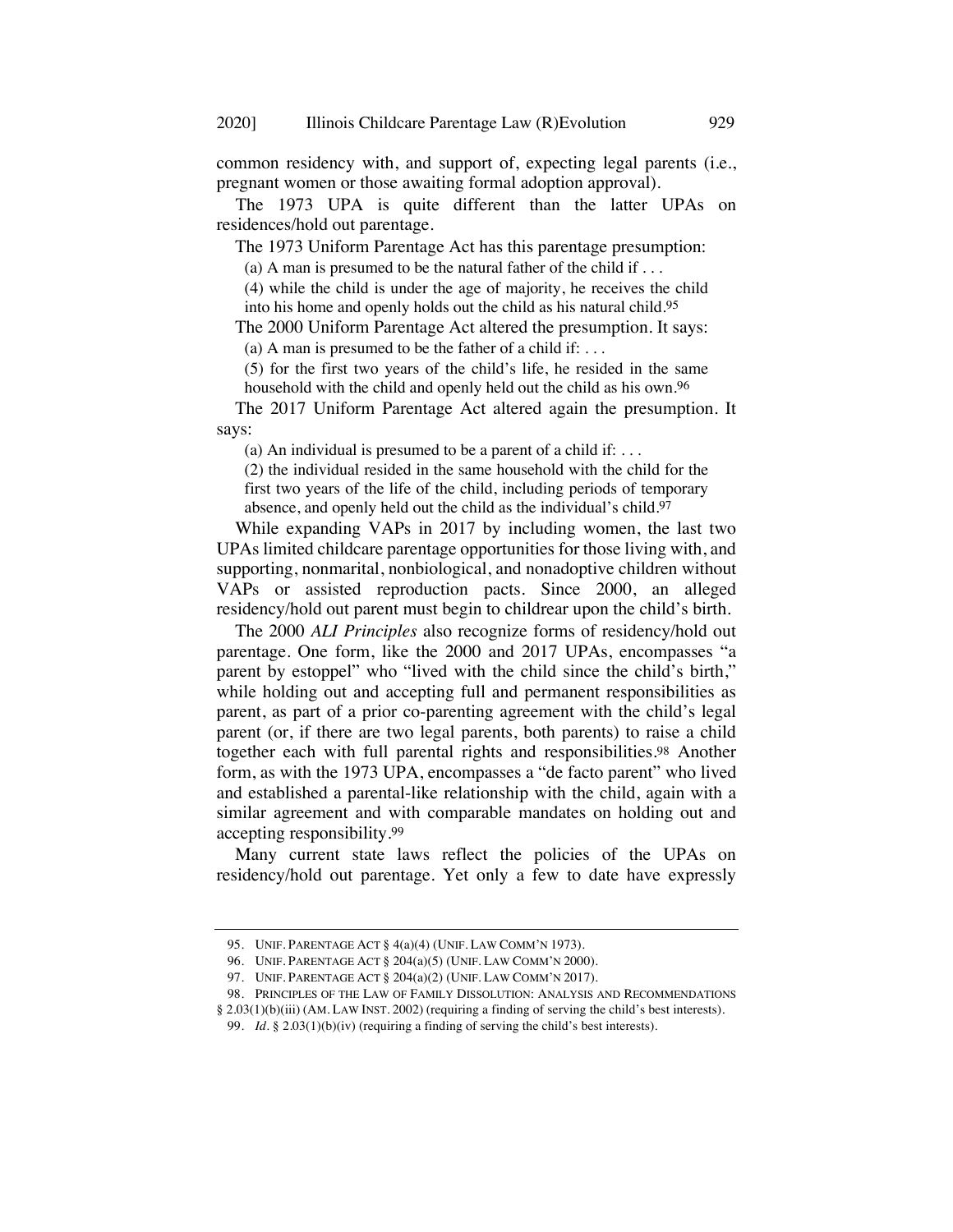common residency with, and support of, expecting legal parents (i.e., pregnant women or those awaiting formal adoption approval).

The 1973 UPA is quite different than the latter UPAs on residences/hold out parentage.

The 1973 Uniform Parentage Act has this parentage presumption:

(a) A man is presumed to be the natural father of the child if  $\dots$ 

(4) while the child is under the age of majority, he receives the child into his home and openly holds out the child as his natural child.95

The 2000 Uniform Parentage Act altered the presumption. It says: (a) A man is presumed to be the father of a child if: ...

(5) for the first two years of the child's life, he resided in the same household with the child and openly held out the child as his own.96

The 2017 Uniform Parentage Act altered again the presumption. It says:

(a) An individual is presumed to be a parent of a child if:  $\dots$ 

(2) the individual resided in the same household with the child for the first two years of the life of the child, including periods of temporary absence, and openly held out the child as the individual's child.97

While expanding VAPs in 2017 by including women, the last two UPAs limited childcare parentage opportunities for those living with, and supporting, nonmarital, nonbiological, and nonadoptive children without VAPs or assisted reproduction pacts. Since 2000, an alleged residency/hold out parent must begin to childrear upon the child's birth.

The 2000 *ALI Principles* also recognize forms of residency/hold out parentage. One form, like the 2000 and 2017 UPAs, encompasses "a parent by estoppel" who "lived with the child since the child's birth," while holding out and accepting full and permanent responsibilities as parent, as part of a prior co-parenting agreement with the child's legal parent (or, if there are two legal parents, both parents) to raise a child together each with full parental rights and responsibilities.98 Another form, as with the 1973 UPA, encompasses a "de facto parent" who lived and established a parental-like relationship with the child, again with a similar agreement and with comparable mandates on holding out and accepting responsibility.99

Many current state laws reflect the policies of the UPAs on residency/hold out parentage. Yet only a few to date have expressly

<sup>95.</sup> UNIF. PARENTAGE ACT § 4(a)(4) (UNIF. LAW COMM'N 1973).

<sup>96.</sup> UNIF. PARENTAGE ACT § 204(a)(5) (UNIF. LAW COMM'N 2000).

<sup>97.</sup> UNIF. PARENTAGE ACT § 204(a)(2) (UNIF. LAW COMM'N 2017).

<sup>98.</sup> PRINCIPLES OF THE LAW OF FAMILY DISSOLUTION: ANALYSIS AND RECOMMENDATIONS

<sup>§</sup> 2.03(1)(b)(iii) (AM. LAW INST. 2002) (requiring a finding of serving the child's best interests).

<sup>99.</sup> *Id.* § 2.03(1)(b)(iv) (requiring a finding of serving the child's best interests).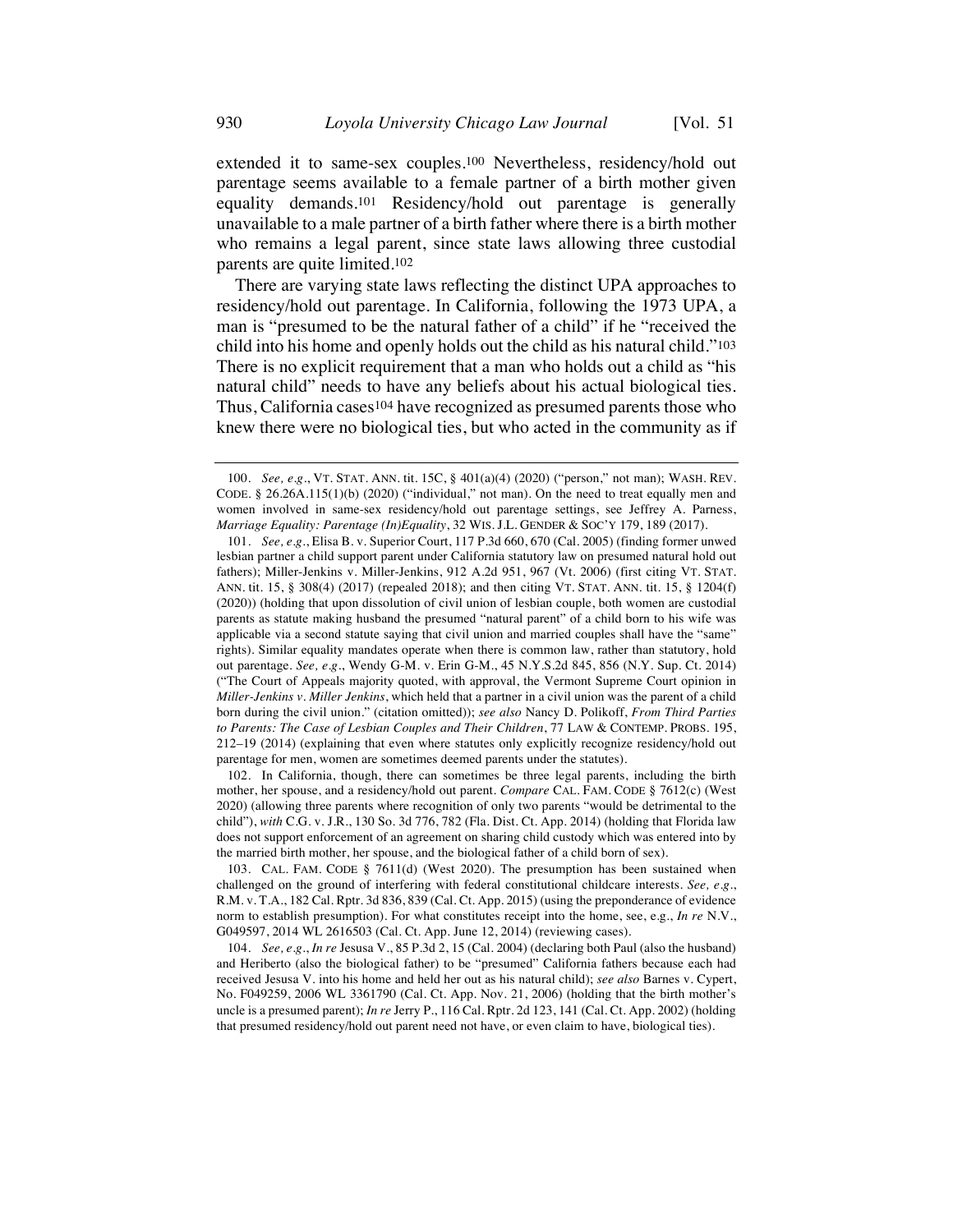extended it to same-sex couples.100 Nevertheless, residency/hold out parentage seems available to a female partner of a birth mother given equality demands.101 Residency/hold out parentage is generally unavailable to a male partner of a birth father where there is a birth mother who remains a legal parent, since state laws allowing three custodial parents are quite limited.102

There are varying state laws reflecting the distinct UPA approaches to residency/hold out parentage. In California, following the 1973 UPA, a man is "presumed to be the natural father of a child" if he "received the child into his home and openly holds out the child as his natural child."103 There is no explicit requirement that a man who holds out a child as "his natural child" needs to have any beliefs about his actual biological ties. Thus, California cases104 have recognized as presumed parents those who knew there were no biological ties, but who acted in the community as if

102. In California, though, there can sometimes be three legal parents, including the birth mother, her spouse, and a residency/hold out parent. *Compare* CAL. FAM. CODE § 7612(c) (West 2020) (allowing three parents where recognition of only two parents "would be detrimental to the child"), *with* C.G. v. J.R., 130 So. 3d 776, 782 (Fla. Dist. Ct. App. 2014) (holding that Florida law does not support enforcement of an agreement on sharing child custody which was entered into by the married birth mother, her spouse, and the biological father of a child born of sex).

103. CAL. FAM. CODE § 7611(d) (West 2020). The presumption has been sustained when challenged on the ground of interfering with federal constitutional childcare interests. *See, e.g.*, R.M. v. T.A., 182 Cal. Rptr. 3d 836, 839 (Cal. Ct. App. 2015) (using the preponderance of evidence norm to establish presumption). For what constitutes receipt into the home, see, e.g., *In re* N.V., G049597, 2014 WL 2616503 (Cal. Ct. App. June 12, 2014) (reviewing cases).

<sup>100.</sup> *See, e.g.*, VT. STAT. ANN. tit. 15C, § 401(a)(4) (2020) ("person," not man); WASH. REV. CODE. § 26.26A.115(1)(b) (2020) ("individual," not man). On the need to treat equally men and women involved in same-sex residency/hold out parentage settings, see Jeffrey A. Parness, *Marriage Equality: Parentage (In)Equality*, 32 WIS. J.L. GENDER & SOC'Y 179, 189 (2017).

<sup>101.</sup> *See, e.g.*, Elisa B. v. Superior Court, 117 P.3d 660, 670 (Cal. 2005) (finding former unwed lesbian partner a child support parent under California statutory law on presumed natural hold out fathers); Miller-Jenkins v. Miller-Jenkins, 912 A.2d 951, 967 (Vt. 2006) (first citing VT. STAT. ANN. tit. 15, § 308(4) (2017) (repealed 2018); and then citing VT. STAT. ANN. tit. 15, § 1204(f) (2020)) (holding that upon dissolution of civil union of lesbian couple, both women are custodial parents as statute making husband the presumed "natural parent" of a child born to his wife was applicable via a second statute saying that civil union and married couples shall have the "same" rights). Similar equality mandates operate when there is common law, rather than statutory, hold out parentage. *See, e.g.*, Wendy G-M. v. Erin G-M., 45 N.Y.S.2d 845, 856 (N.Y. Sup. Ct. 2014) ("The Court of Appeals majority quoted, with approval, the Vermont Supreme Court opinion in *Miller-Jenkins v. Miller Jenkins*, which held that a partner in a civil union was the parent of a child born during the civil union." (citation omitted)); *see also* Nancy D. Polikoff, *From Third Parties to Parents: The Case of Lesbian Couples and Their Children*, 77 LAW & CONTEMP. PROBS. 195, 212–19 (2014) (explaining that even where statutes only explicitly recognize residency/hold out parentage for men, women are sometimes deemed parents under the statutes).

<sup>104.</sup> *See, e.g.*, *In re* Jesusa V., 85 P.3d 2, 15 (Cal. 2004) (declaring both Paul (also the husband) and Heriberto (also the biological father) to be "presumed" California fathers because each had received Jesusa V. into his home and held her out as his natural child); *see also* Barnes v. Cypert, No. F049259, 2006 WL 3361790 (Cal. Ct. App. Nov. 21, 2006) (holding that the birth mother's uncle is a presumed parent); *In re* Jerry P., 116 Cal. Rptr. 2d 123, 141 (Cal. Ct. App. 2002) (holding that presumed residency/hold out parent need not have, or even claim to have, biological ties).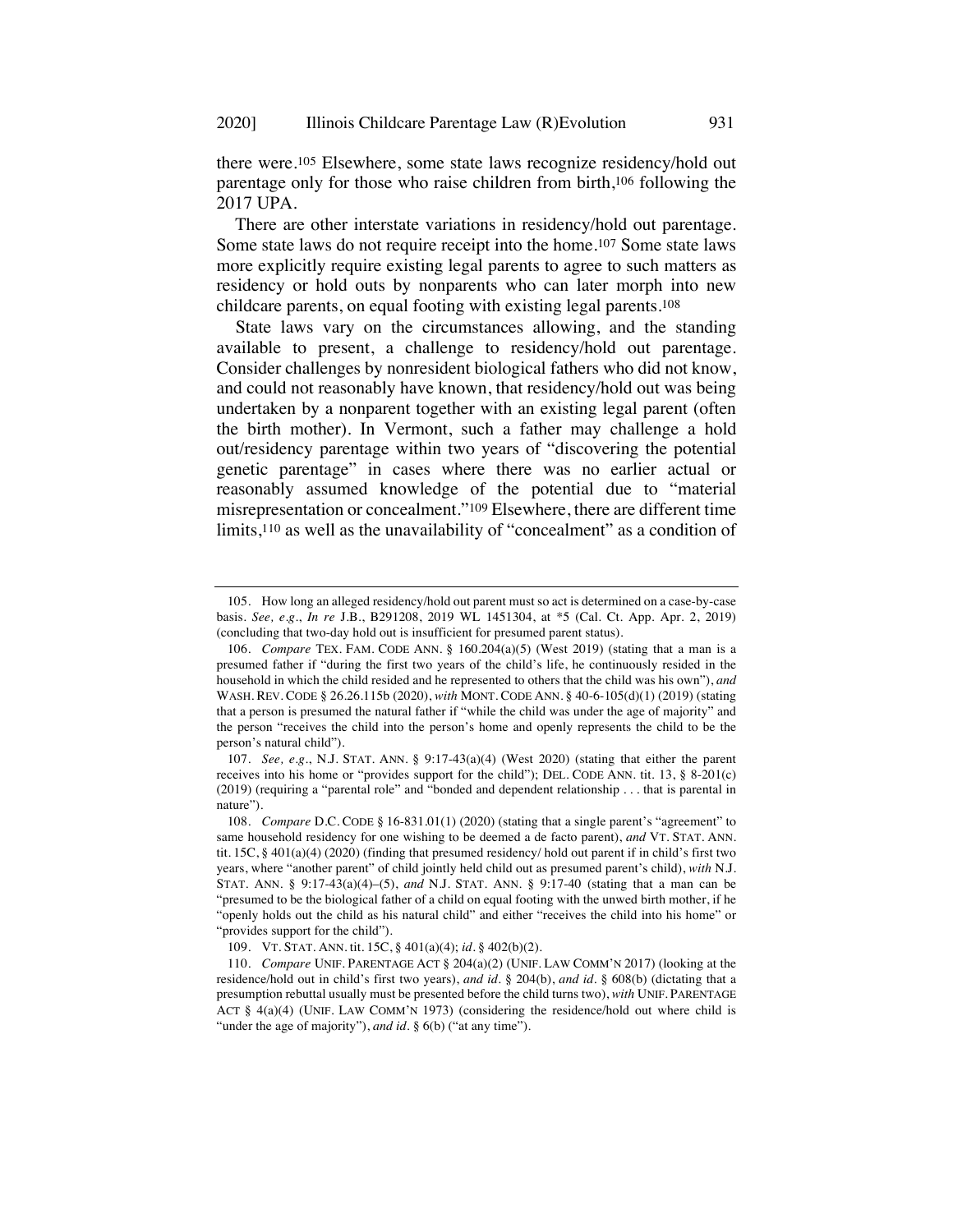there were.105 Elsewhere, some state laws recognize residency/hold out parentage only for those who raise children from birth,106 following the 2017 UPA.

There are other interstate variations in residency/hold out parentage. Some state laws do not require receipt into the home.107 Some state laws more explicitly require existing legal parents to agree to such matters as residency or hold outs by nonparents who can later morph into new childcare parents, on equal footing with existing legal parents.108

State laws vary on the circumstances allowing, and the standing available to present, a challenge to residency/hold out parentage. Consider challenges by nonresident biological fathers who did not know, and could not reasonably have known, that residency/hold out was being undertaken by a nonparent together with an existing legal parent (often the birth mother). In Vermont, such a father may challenge a hold out/residency parentage within two years of "discovering the potential genetic parentage" in cases where there was no earlier actual or reasonably assumed knowledge of the potential due to "material misrepresentation or concealment."109 Elsewhere, there are different time limits,110 as well as the unavailability of "concealment" as a condition of

<sup>105.</sup> How long an alleged residency/hold out parent must so act is determined on a case-by-case basis. *See, e.g.*, *In re* J.B., B291208, 2019 WL 1451304, at \*5 (Cal. Ct. App. Apr. 2, 2019) (concluding that two-day hold out is insufficient for presumed parent status).

<sup>106.</sup> *Compare* TEX. FAM. CODE ANN. § 160.204(a)(5) (West 2019) (stating that a man is a presumed father if "during the first two years of the child's life, he continuously resided in the household in which the child resided and he represented to others that the child was his own"), *and* WASH. REV. CODE § 26.26.115b (2020), *with* MONT. CODE ANN. § 40-6-105(d)(1) (2019) (stating that a person is presumed the natural father if "while the child was under the age of majority" and the person "receives the child into the person's home and openly represents the child to be the person's natural child").

<sup>107.</sup> *See, e.g.*, N.J. STAT. ANN. § 9:17-43(a)(4) (West 2020) (stating that either the parent receives into his home or "provides support for the child"); DEL. CODE ANN. tit. 13, § 8-201(c) (2019) (requiring a "parental role" and "bonded and dependent relationship . . . that is parental in nature").

<sup>108.</sup> *Compare* D.C. CODE § 16-831.01(1) (2020) (stating that a single parent's "agreement" to same household residency for one wishing to be deemed a de facto parent), *and* VT. STAT. ANN. tit. 15C, § 401(a)(4) (2020) (finding that presumed residency/ hold out parent if in child's first two years, where "another parent" of child jointly held child out as presumed parent's child), *with* N.J. STAT. ANN. § 9:17-43(a)(4)–(5), *and* N.J. STAT. ANN. § 9:17-40 (stating that a man can be "presumed to be the biological father of a child on equal footing with the unwed birth mother, if he "openly holds out the child as his natural child" and either "receives the child into his home" or "provides support for the child").

<sup>109.</sup> VT. STAT. ANN. tit. 15C, § 401(a)(4); *id.* § 402(b)(2).

<sup>110.</sup> *Compare* UNIF. PARENTAGE ACT § 204(a)(2) (UNIF. LAW COMM'N 2017) (looking at the residence/hold out in child's first two years), *and id.* § 204(b), *and id.* § 608(b) (dictating that a presumption rebuttal usually must be presented before the child turns two), *with* UNIF. PARENTAGE ACT § 4(a)(4) (UNIF. LAW COMM'N 1973) (considering the residence/hold out where child is "under the age of majority"), *and id*. § 6(b) ("at any time").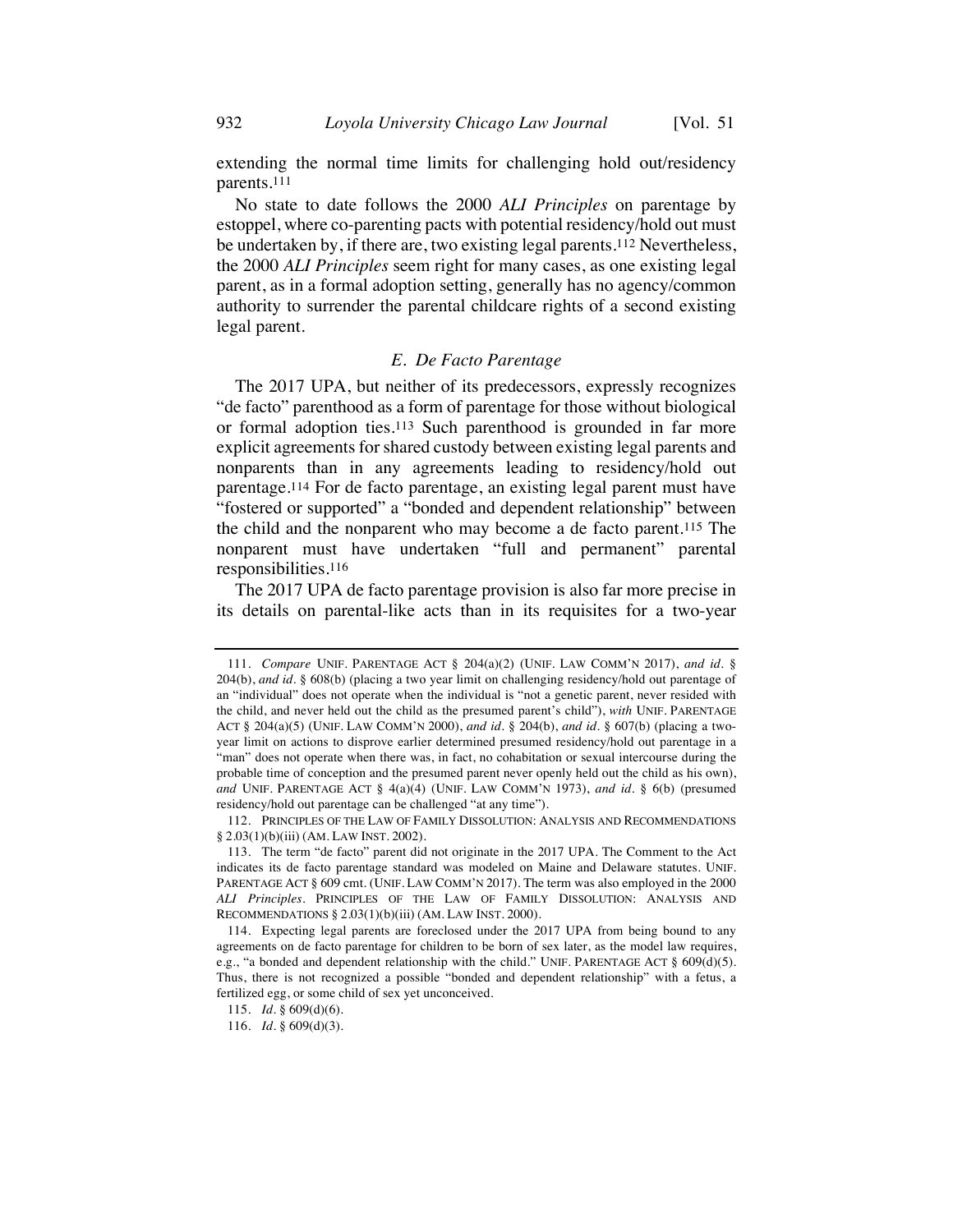extending the normal time limits for challenging hold out/residency parents.111

No state to date follows the 2000 *ALI Principles* on parentage by estoppel, where co-parenting pacts with potential residency/hold out must be undertaken by, if there are, two existing legal parents.112 Nevertheless, the 2000 *ALI Principles* seem right for many cases, as one existing legal parent, as in a formal adoption setting, generally has no agency/common authority to surrender the parental childcare rights of a second existing legal parent.

### *E. De Facto Parentage*

The 2017 UPA, but neither of its predecessors, expressly recognizes "de facto" parenthood as a form of parentage for those without biological or formal adoption ties.113 Such parenthood is grounded in far more explicit agreements for shared custody between existing legal parents and nonparents than in any agreements leading to residency/hold out parentage.114 For de facto parentage, an existing legal parent must have "fostered or supported" a "bonded and dependent relationship" between the child and the nonparent who may become a de facto parent.115 The nonparent must have undertaken "full and permanent" parental responsibilities.116

The 2017 UPA de facto parentage provision is also far more precise in its details on parental-like acts than in its requisites for a two-year

<sup>111.</sup> *Compare* UNIF. PARENTAGE ACT § 204(a)(2) (UNIF. LAW COMM'N 2017), *and id.* § 204(b), *and id.* § 608(b) (placing a two year limit on challenging residency/hold out parentage of an "individual" does not operate when the individual is "not a genetic parent, never resided with the child, and never held out the child as the presumed parent's child"), *with* UNIF. PARENTAGE ACT § 204(a)(5) (UNIF. LAW COMM'N 2000), *and id.* § 204(b), *and id.* § 607(b) (placing a twoyear limit on actions to disprove earlier determined presumed residency/hold out parentage in a "man" does not operate when there was, in fact, no cohabitation or sexual intercourse during the probable time of conception and the presumed parent never openly held out the child as his own), *and* UNIF. PARENTAGE ACT § 4(a)(4) (UNIF. LAW COMM'N 1973), *and id.* § 6(b) (presumed residency/hold out parentage can be challenged "at any time").

<sup>112.</sup> PRINCIPLES OF THE LAW OF FAMILY DISSOLUTION: ANALYSIS AND RECOMMENDATIONS § 2.03(1)(b)(iii) (AM. LAW INST. 2002).

<sup>113.</sup> The term "de facto" parent did not originate in the 2017 UPA. The Comment to the Act indicates its de facto parentage standard was modeled on Maine and Delaware statutes. UNIF. PARENTAGE ACT § 609 cmt. (UNIF. LAW COMM'N 2017). The term was also employed in the 2000 *ALI Principles*. PRINCIPLES OF THE LAW OF FAMILY DISSOLUTION: ANALYSIS AND RECOMMENDATIONS § 2.03(1)(b)(iii) (AM. LAW INST. 2000).

<sup>114.</sup> Expecting legal parents are foreclosed under the 2017 UPA from being bound to any agreements on de facto parentage for children to be born of sex later, as the model law requires, e.g., "a bonded and dependent relationship with the child." UNIF. PARENTAGE ACT § 609(d)(5). Thus, there is not recognized a possible "bonded and dependent relationship" with a fetus, a fertilized egg, or some child of sex yet unconceived.

<sup>115.</sup> *Id.* § 609(d)(6).

<sup>116.</sup> *Id.* § 609(d)(3).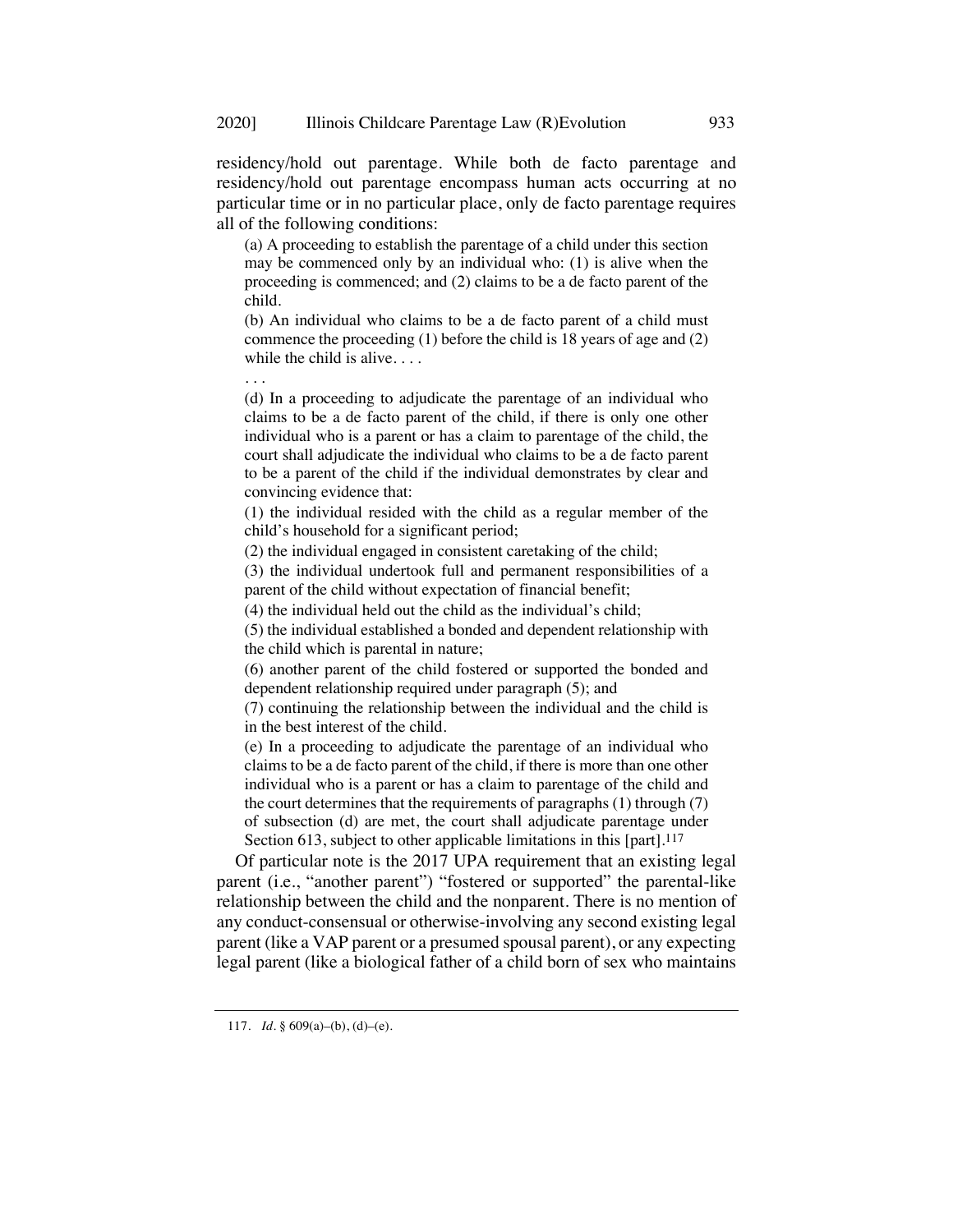residency/hold out parentage. While both de facto parentage and residency/hold out parentage encompass human acts occurring at no particular time or in no particular place, only de facto parentage requires all of the following conditions:

(a) A proceeding to establish the parentage of a child under this section may be commenced only by an individual who: (1) is alive when the proceeding is commenced; and (2) claims to be a de facto parent of the child.

(b) An individual who claims to be a de facto parent of a child must commence the proceeding (1) before the child is 18 years of age and (2) while the child is alive....

(d) In a proceeding to adjudicate the parentage of an individual who claims to be a de facto parent of the child, if there is only one other individual who is a parent or has a claim to parentage of the child, the court shall adjudicate the individual who claims to be a de facto parent to be a parent of the child if the individual demonstrates by clear and convincing evidence that:

(1) the individual resided with the child as a regular member of the child's household for a significant period;

(2) the individual engaged in consistent caretaking of the child;

(3) the individual undertook full and permanent responsibilities of a parent of the child without expectation of financial benefit;

(4) the individual held out the child as the individual's child;

(5) the individual established a bonded and dependent relationship with the child which is parental in nature;

(6) another parent of the child fostered or supported the bonded and dependent relationship required under paragraph (5); and

(7) continuing the relationship between the individual and the child is in the best interest of the child.

(e) In a proceeding to adjudicate the parentage of an individual who claims to be a de facto parent of the child, if there is more than one other individual who is a parent or has a claim to parentage of the child and the court determines that the requirements of paragraphs (1) through (7) of subsection (d) are met, the court shall adjudicate parentage under Section 613, subject to other applicable limitations in this [part].<sup>117</sup>

Of particular note is the 2017 UPA requirement that an existing legal parent (i.e., "another parent") "fostered or supported" the parental-like relationship between the child and the nonparent. There is no mention of any conduct-consensual or otherwise-involving any second existing legal parent (like a VAP parent or a presumed spousal parent), or any expecting legal parent (like a biological father of a child born of sex who maintains

. . .

<sup>117.</sup> *Id.* § 609(a)–(b), (d)–(e).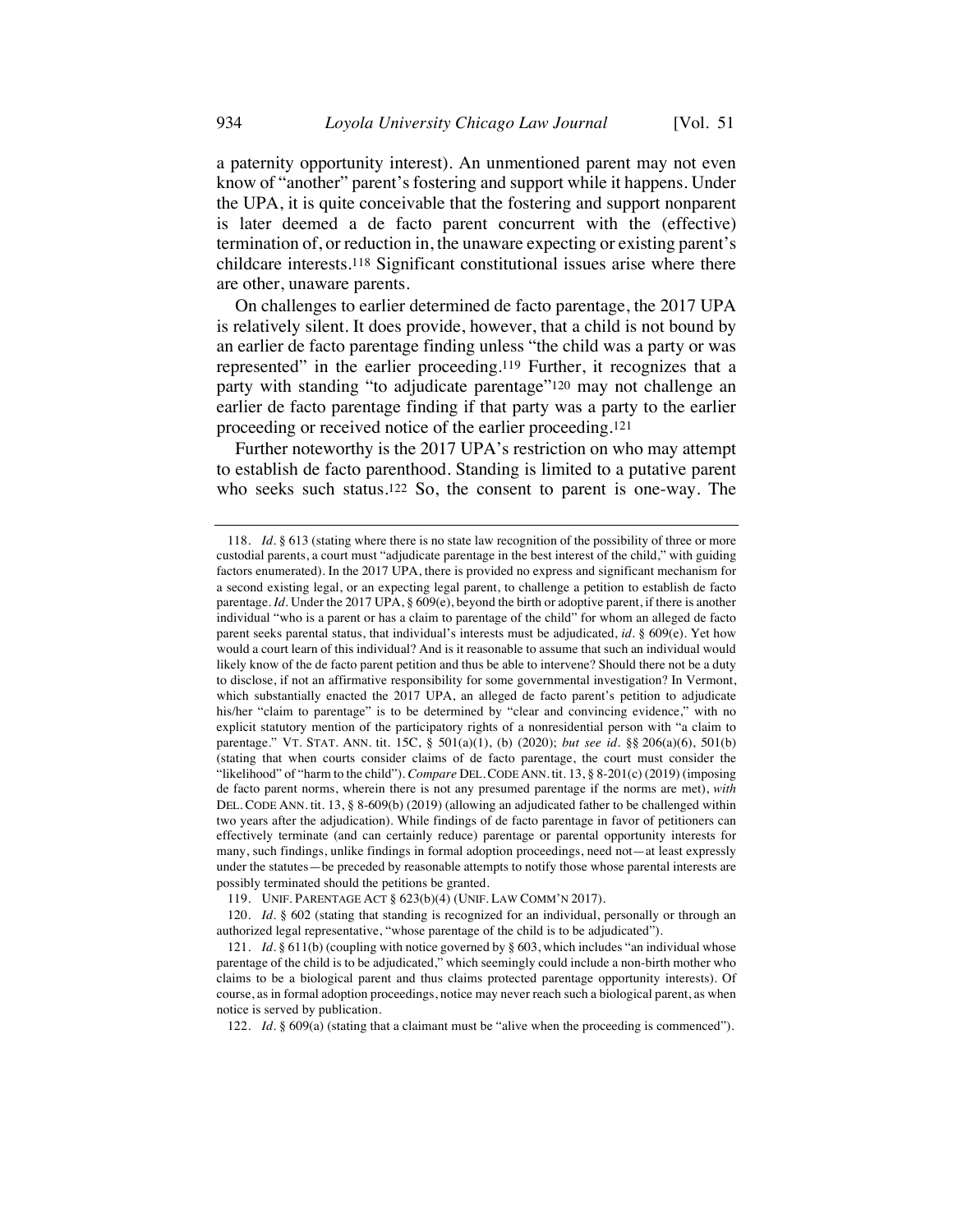a paternity opportunity interest). An unmentioned parent may not even know of "another" parent's fostering and support while it happens. Under the UPA, it is quite conceivable that the fostering and support nonparent is later deemed a de facto parent concurrent with the (effective) termination of, or reduction in, the unaware expecting or existing parent's childcare interests.118 Significant constitutional issues arise where there are other, unaware parents.

On challenges to earlier determined de facto parentage, the 2017 UPA is relatively silent. It does provide, however, that a child is not bound by an earlier de facto parentage finding unless "the child was a party or was represented" in the earlier proceeding.119 Further, it recognizes that a party with standing "to adjudicate parentage"120 may not challenge an earlier de facto parentage finding if that party was a party to the earlier proceeding or received notice of the earlier proceeding.121

Further noteworthy is the 2017 UPA's restriction on who may attempt to establish de facto parenthood. Standing is limited to a putative parent who seeks such status.<sup>122</sup> So, the consent to parent is one-way. The

<sup>118.</sup> *Id.* § 613 (stating where there is no state law recognition of the possibility of three or more custodial parents, a court must "adjudicate parentage in the best interest of the child," with guiding factors enumerated). In the 2017 UPA, there is provided no express and significant mechanism for a second existing legal, or an expecting legal parent, to challenge a petition to establish de facto parentage. *Id.* Under the 2017 UPA, § 609(e), beyond the birth or adoptive parent, if there is another individual "who is a parent or has a claim to parentage of the child" for whom an alleged de facto parent seeks parental status, that individual's interests must be adjudicated, *id.* § 609(e). Yet how would a court learn of this individual? And is it reasonable to assume that such an individual would likely know of the de facto parent petition and thus be able to intervene? Should there not be a duty to disclose, if not an affirmative responsibility for some governmental investigation? In Vermont, which substantially enacted the 2017 UPA, an alleged de facto parent's petition to adjudicate his/her "claim to parentage" is to be determined by "clear and convincing evidence," with no explicit statutory mention of the participatory rights of a nonresidential person with "a claim to parentage." VT. STAT. ANN. tit. 15C, § 501(a)(1), (b) (2020); *but see id.* §§ 206(a)(6), 501(b) (stating that when courts consider claims of de facto parentage, the court must consider the "likelihood" of "harm to the child"). *Compare* DEL.CODE ANN. tit. 13, § 8-201(c) (2019) (imposing de facto parent norms, wherein there is not any presumed parentage if the norms are met), *with* DEL. CODE ANN. tit. 13, § 8-609(b) (2019) (allowing an adjudicated father to be challenged within two years after the adjudication). While findings of de facto parentage in favor of petitioners can effectively terminate (and can certainly reduce) parentage or parental opportunity interests for many, such findings, unlike findings in formal adoption proceedings, need not—at least expressly under the statutes—be preceded by reasonable attempts to notify those whose parental interests are possibly terminated should the petitions be granted.

<sup>119.</sup> UNIF. PARENTAGE ACT § 623(b)(4) (UNIF. LAW COMM'N 2017).

<sup>120.</sup> *Id.* § 602 (stating that standing is recognized for an individual, personally or through an authorized legal representative, "whose parentage of the child is to be adjudicated").

<sup>121.</sup> *Id.* § 611(b) (coupling with notice governed by § 603, which includes "an individual whose parentage of the child is to be adjudicated," which seemingly could include a non-birth mother who claims to be a biological parent and thus claims protected parentage opportunity interests). Of course, as in formal adoption proceedings, notice may never reach such a biological parent, as when notice is served by publication.

<sup>122.</sup> *Id.* § 609(a) (stating that a claimant must be "alive when the proceeding is commenced").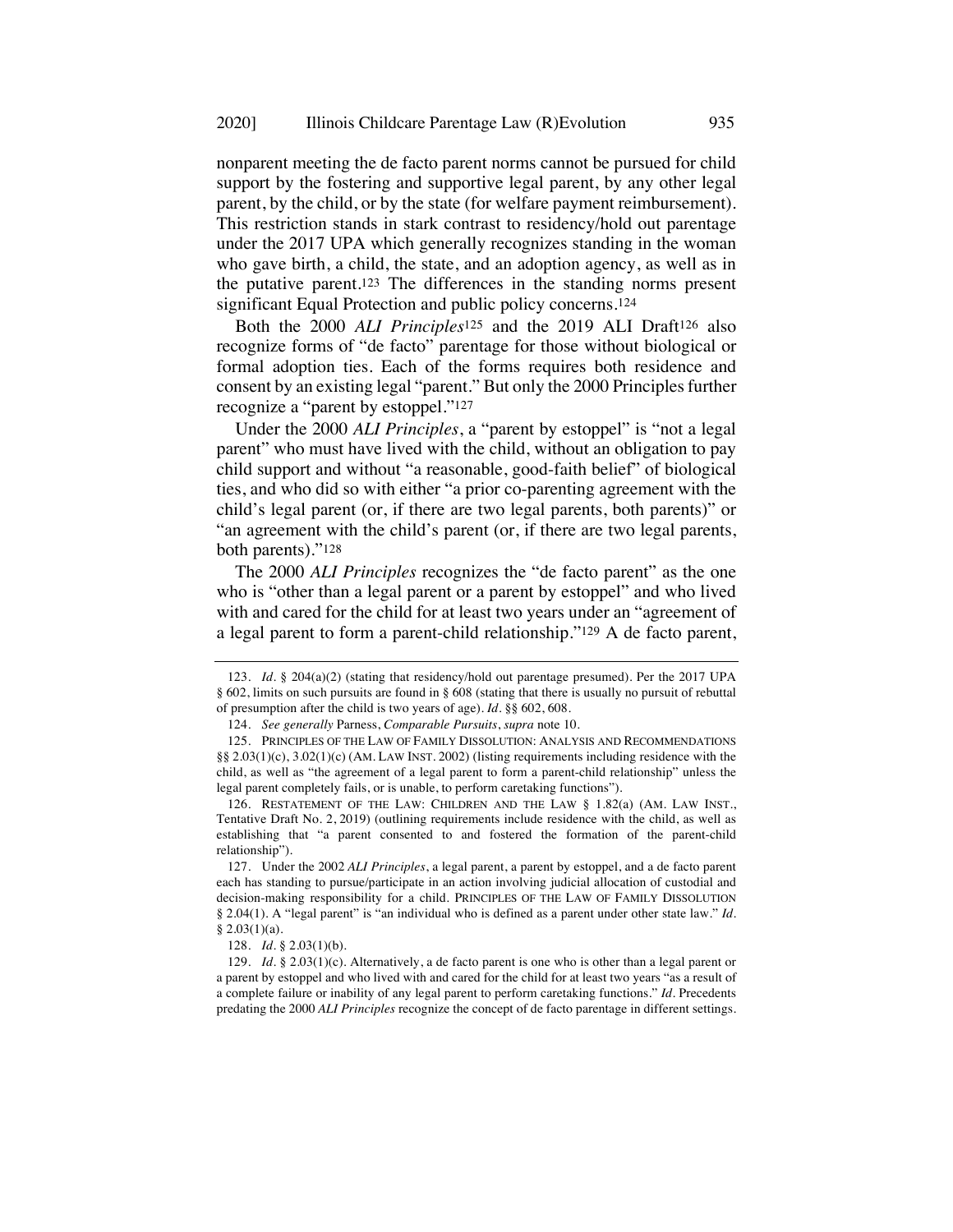nonparent meeting the de facto parent norms cannot be pursued for child support by the fostering and supportive legal parent, by any other legal parent, by the child, or by the state (for welfare payment reimbursement). This restriction stands in stark contrast to residency/hold out parentage under the 2017 UPA which generally recognizes standing in the woman who gave birth, a child, the state, and an adoption agency, as well as in the putative parent.123 The differences in the standing norms present significant Equal Protection and public policy concerns.124

Both the 2000 *ALI Principles*<sup>125</sup> and the 2019 ALI Draft126 also recognize forms of "de facto" parentage for those without biological or formal adoption ties. Each of the forms requires both residence and consent by an existing legal "parent." But only the 2000 Principles further recognize a "parent by estoppel."127

Under the 2000 *ALI Principles*, a "parent by estoppel" is "not a legal parent" who must have lived with the child, without an obligation to pay child support and without "a reasonable, good-faith belief" of biological ties, and who did so with either "a prior co-parenting agreement with the child's legal parent (or, if there are two legal parents, both parents)" or "an agreement with the child's parent (or, if there are two legal parents, both parents)."128

The 2000 *ALI Principles* recognizes the "de facto parent" as the one who is "other than a legal parent or a parent by estoppel" and who lived with and cared for the child for at least two years under an "agreement of a legal parent to form a parent-child relationship."129 A de facto parent,

<sup>123.</sup> *Id.* § 204(a)(2) (stating that residency/hold out parentage presumed). Per the 2017 UPA § 602, limits on such pursuits are found in § 608 (stating that there is usually no pursuit of rebuttal of presumption after the child is two years of age). *Id.* §§ 602, 608.

<sup>124.</sup> *See generally* Parness, *Comparable Pursuits*, *supra* note 10.

<sup>125.</sup> PRINCIPLES OF THE LAW OF FAMILY DISSOLUTION: ANALYSIS AND RECOMMENDATIONS §§ 2.03(1)(c), 3.02(1)(c) (AM. LAW INST. 2002) (listing requirements including residence with the child, as well as "the agreement of a legal parent to form a parent-child relationship" unless the legal parent completely fails, or is unable, to perform caretaking functions").

<sup>126.</sup> RESTATEMENT OF THE LAW: CHILDREN AND THE LAW § 1.82(a) (AM. LAW INST., Tentative Draft No. 2, 2019) (outlining requirements include residence with the child, as well as establishing that "a parent consented to and fostered the formation of the parent-child relationship").

<sup>127.</sup> Under the 2002 *ALI Principles*, a legal parent, a parent by estoppel, and a de facto parent each has standing to pursue/participate in an action involving judicial allocation of custodial and decision-making responsibility for a child. PRINCIPLES OF THE LAW OF FAMILY DISSOLUTION § 2.04(1). A "legal parent" is "an individual who is defined as a parent under other state law." *Id.*   $§ 2.03(1)(a).$ 

<sup>128.</sup> *Id.* § 2.03(1)(b).

<sup>129.</sup> *Id.* § 2.03(1)(c). Alternatively, a de facto parent is one who is other than a legal parent or a parent by estoppel and who lived with and cared for the child for at least two years "as a result of a complete failure or inability of any legal parent to perform caretaking functions." *Id.* Precedents predating the 2000 *ALI Principles* recognize the concept of de facto parentage in different settings.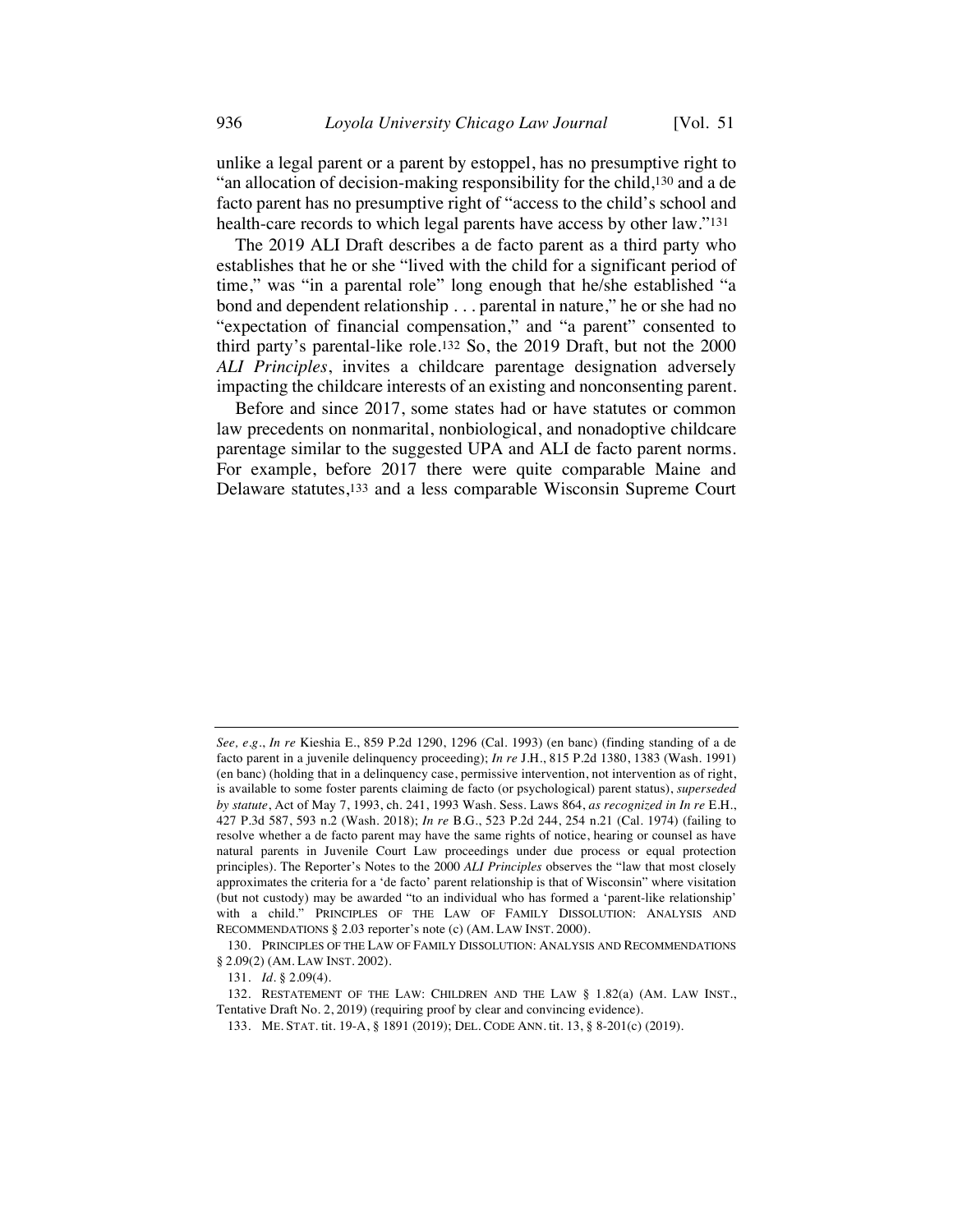unlike a legal parent or a parent by estoppel, has no presumptive right to "an allocation of decision-making responsibility for the child,130 and a de facto parent has no presumptive right of "access to the child's school and health-care records to which legal parents have access by other law."131

The 2019 ALI Draft describes a de facto parent as a third party who establishes that he or she "lived with the child for a significant period of time," was "in a parental role" long enough that he/she established "a bond and dependent relationship . . . parental in nature," he or she had no "expectation of financial compensation," and "a parent" consented to third party's parental-like role.132 So, the 2019 Draft, but not the 2000 *ALI Principles*, invites a childcare parentage designation adversely impacting the childcare interests of an existing and nonconsenting parent.

Before and since 2017, some states had or have statutes or common law precedents on nonmarital, nonbiological, and nonadoptive childcare parentage similar to the suggested UPA and ALI de facto parent norms. For example, before 2017 there were quite comparable Maine and Delaware statutes,133 and a less comparable Wisconsin Supreme Court

*See, e.g.*, *In re* Kieshia E., 859 P.2d 1290, 1296 (Cal. 1993) (en banc) (finding standing of a de facto parent in a juvenile delinquency proceeding); *In re* J.H., 815 P.2d 1380, 1383 (Wash. 1991) (en banc) (holding that in a delinquency case, permissive intervention, not intervention as of right, is available to some foster parents claiming de facto (or psychological) parent status), *superseded by statute*, Act of May 7, 1993, ch. 241, 1993 Wash. Sess. Laws 864, *as recognized in In re* E.H., 427 P.3d 587, 593 n.2 (Wash. 2018); *In re* B.G., 523 P.2d 244, 254 n.21 (Cal. 1974) (failing to resolve whether a de facto parent may have the same rights of notice, hearing or counsel as have natural parents in Juvenile Court Law proceedings under due process or equal protection principles). The Reporter's Notes to the 2000 *ALI Principles* observes the "law that most closely approximates the criteria for a 'de facto' parent relationship is that of Wisconsin" where visitation (but not custody) may be awarded "to an individual who has formed a 'parent-like relationship' with a child." PRINCIPLES OF THE LAW OF FAMILY DISSOLUTION: ANALYSIS AND RECOMMENDATIONS § 2.03 reporter's note (c) (AM. LAW INST. 2000).

<sup>130.</sup> PRINCIPLES OF THE LAW OF FAMILY DISSOLUTION: ANALYSIS AND RECOMMENDATIONS § 2.09(2) (AM. LAW INST. 2002).

<sup>131.</sup> *Id.* § 2.09(4).

<sup>132.</sup> RESTATEMENT OF THE LAW: CHILDREN AND THE LAW § 1.82(a) (AM. LAW INST., Tentative Draft No. 2, 2019) (requiring proof by clear and convincing evidence).

<sup>133.</sup> ME. STAT. tit. 19-A, § 1891 (2019); DEL. CODE ANN. tit. 13, § 8-201(c) (2019).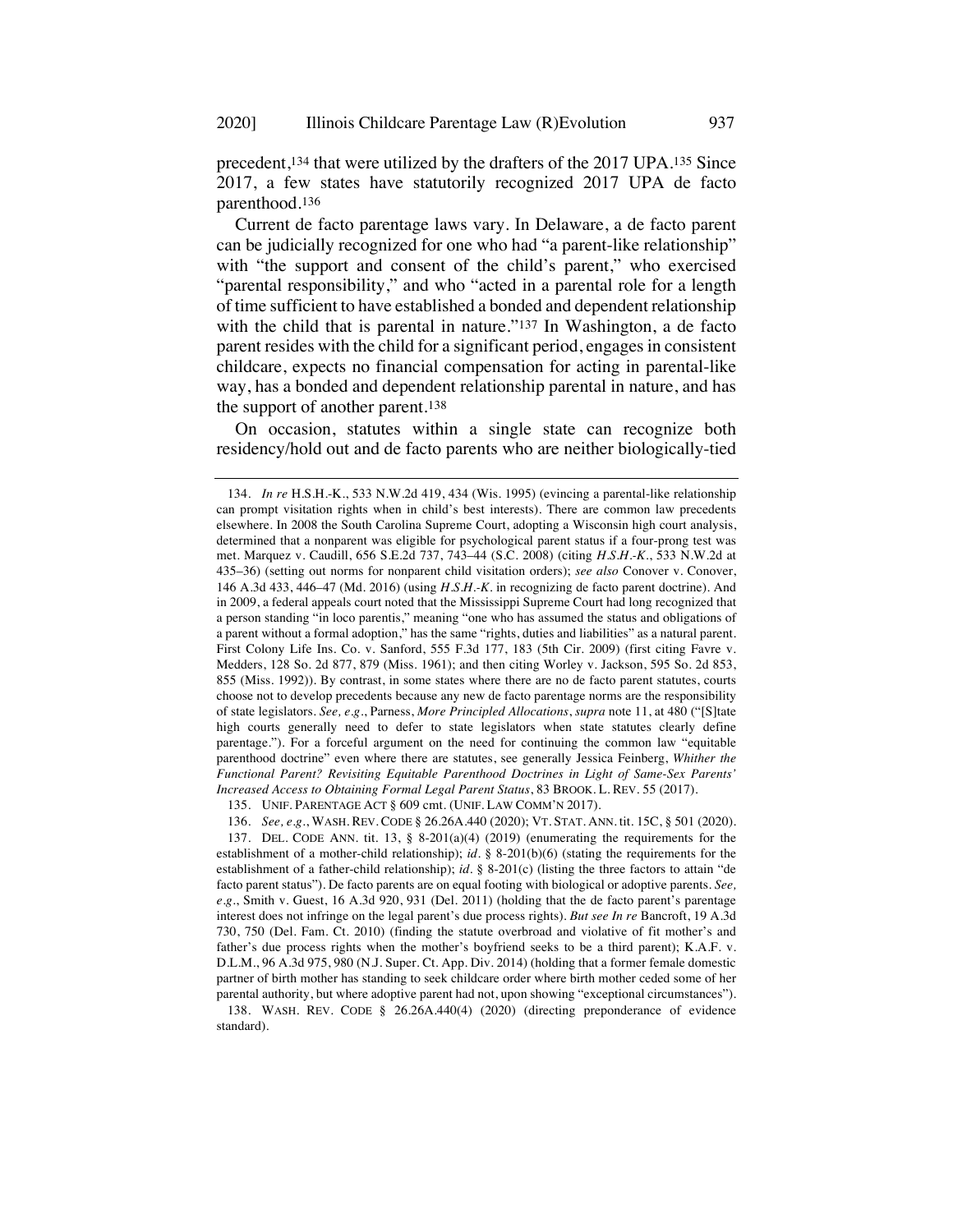precedent,134 that were utilized by the drafters of the 2017 UPA.135 Since 2017, a few states have statutorily recognized 2017 UPA de facto parenthood.136

Current de facto parentage laws vary. In Delaware, a de facto parent can be judicially recognized for one who had "a parent-like relationship" with "the support and consent of the child's parent," who exercised "parental responsibility," and who "acted in a parental role for a length of time sufficient to have established a bonded and dependent relationship with the child that is parental in nature."<sup>137</sup> In Washington, a de facto parent resides with the child for a significant period, engages in consistent childcare, expects no financial compensation for acting in parental-like way, has a bonded and dependent relationship parental in nature, and has the support of another parent.138

On occasion, statutes within a single state can recognize both residency/hold out and de facto parents who are neither biologically-tied

<sup>134.</sup> *In re* H.S.H.-K., 533 N.W.2d 419, 434 (Wis. 1995) (evincing a parental-like relationship can prompt visitation rights when in child's best interests). There are common law precedents elsewhere. In 2008 the South Carolina Supreme Court, adopting a Wisconsin high court analysis, determined that a nonparent was eligible for psychological parent status if a four-prong test was met. Marquez v. Caudill, 656 S.E.2d 737, 743–44 (S.C. 2008) (citing *H.S.H.-K.*, 533 N.W.2d at 435–36) (setting out norms for nonparent child visitation orders); *see also* Conover v. Conover, 146 A.3d 433, 446–47 (Md. 2016) (using *H.S.H.-K.* in recognizing de facto parent doctrine). And in 2009, a federal appeals court noted that the Mississippi Supreme Court had long recognized that a person standing "in loco parentis," meaning "one who has assumed the status and obligations of a parent without a formal adoption," has the same "rights, duties and liabilities" as a natural parent. First Colony Life Ins. Co. v. Sanford, 555 F.3d 177, 183 (5th Cir. 2009) (first citing Favre v. Medders, 128 So. 2d 877, 879 (Miss. 1961); and then citing Worley v. Jackson, 595 So. 2d 853, 855 (Miss. 1992)). By contrast, in some states where there are no de facto parent statutes, courts choose not to develop precedents because any new de facto parentage norms are the responsibility of state legislators. *See, e.g.*, Parness, *More Principled Allocations*, *supra* note 11, at 480 ("[S]tate high courts generally need to defer to state legislators when state statutes clearly define parentage."). For a forceful argument on the need for continuing the common law "equitable parenthood doctrine" even where there are statutes, see generally Jessica Feinberg, *Whither the Functional Parent? Revisiting Equitable Parenthood Doctrines in Light of Same-Sex Parents' Increased Access to Obtaining Formal Legal Parent Status*, 83 BROOK. L. REV. 55 (2017).

<sup>135.</sup> UNIF. PARENTAGE ACT § 609 cmt. (UNIF. LAW COMM'N 2017).

<sup>136.</sup> *See, e.g.*, WASH. REV. CODE § 26.26A.440 (2020); VT. STAT. ANN. tit. 15C, § 501 (2020). 137. DEL. CODE ANN. tit. 13, §  $8-201(a)(4)$  (2019) (enumerating the requirements for the establishment of a mother-child relationship); *id.* § 8-201(b)(6) (stating the requirements for the establishment of a father-child relationship); *id.* § 8-201(c) (listing the three factors to attain "de facto parent status"). De facto parents are on equal footing with biological or adoptive parents. *See, e.g.*, Smith v. Guest, 16 A.3d 920, 931 (Del. 2011) (holding that the de facto parent's parentage interest does not infringe on the legal parent's due process rights). *But see In re* Bancroft, 19 A.3d 730, 750 (Del. Fam. Ct. 2010) (finding the statute overbroad and violative of fit mother's and father's due process rights when the mother's boyfriend seeks to be a third parent); K.A.F. v. D.L.M., 96 A.3d 975, 980 (N.J. Super. Ct. App. Div. 2014) (holding that a former female domestic partner of birth mother has standing to seek childcare order where birth mother ceded some of her parental authority, but where adoptive parent had not, upon showing "exceptional circumstances").

<sup>138.</sup> WASH. REV. CODE § 26.26A.440(4) (2020) (directing preponderance of evidence standard).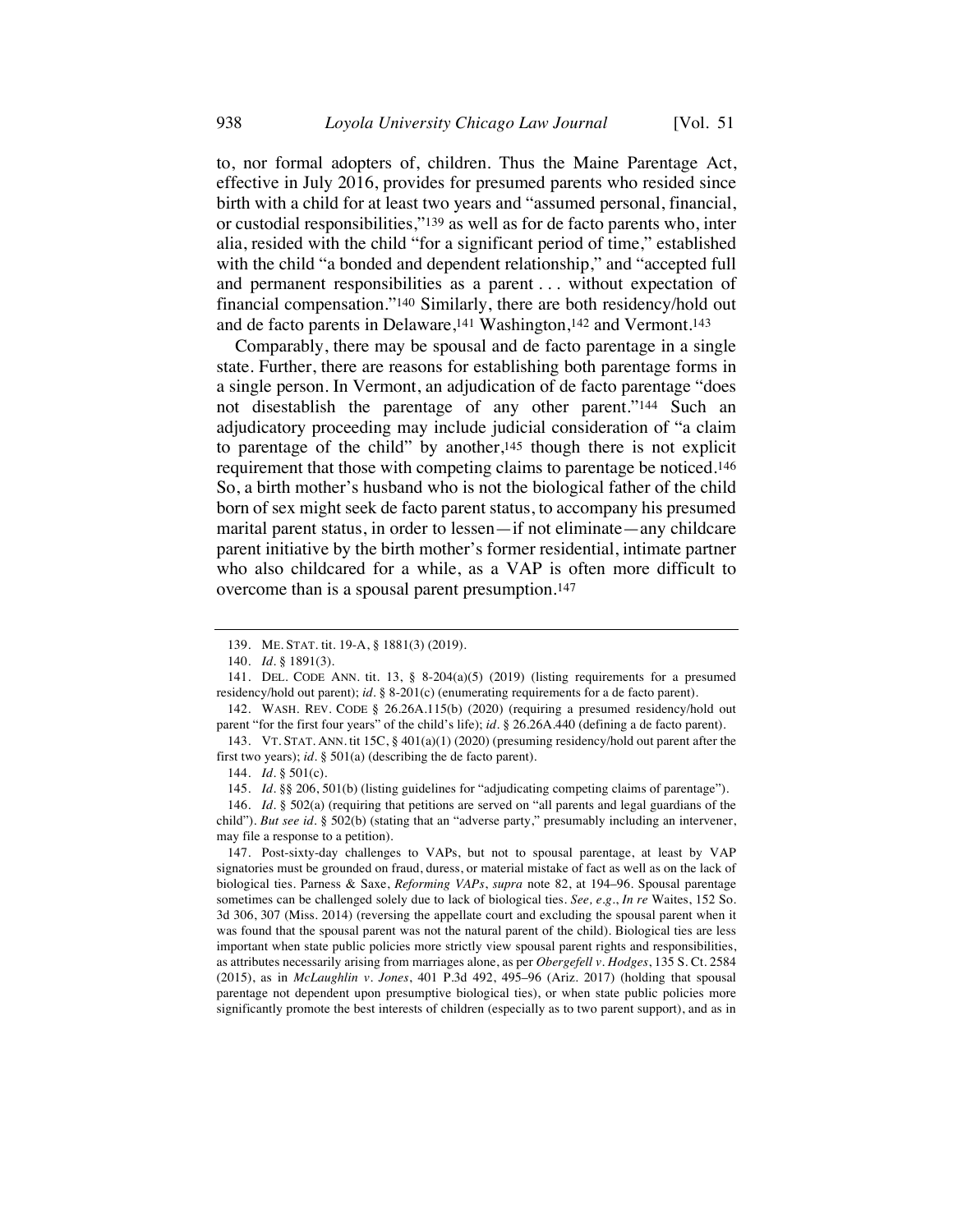to, nor formal adopters of, children. Thus the Maine Parentage Act, effective in July 2016, provides for presumed parents who resided since birth with a child for at least two years and "assumed personal, financial, or custodial responsibilities,"139 as well as for de facto parents who, inter alia, resided with the child "for a significant period of time," established with the child "a bonded and dependent relationship," and "accepted full and permanent responsibilities as a parent . . . without expectation of financial compensation."140 Similarly, there are both residency/hold out and de facto parents in Delaware,<sup>141</sup> Washington,<sup>142</sup> and Vermont.<sup>143</sup>

Comparably, there may be spousal and de facto parentage in a single state. Further, there are reasons for establishing both parentage forms in a single person. In Vermont, an adjudication of de facto parentage "does not disestablish the parentage of any other parent."144 Such an adjudicatory proceeding may include judicial consideration of "a claim to parentage of the child" by another,145 though there is not explicit requirement that those with competing claims to parentage be noticed.146 So, a birth mother's husband who is not the biological father of the child born of sex might seek de facto parent status, to accompany his presumed marital parent status, in order to lessen—if not eliminate—any childcare parent initiative by the birth mother's former residential, intimate partner who also childcared for a while, as a VAP is often more difficult to overcome than is a spousal parent presumption.147

<sup>139.</sup> ME. STAT. tit. 19-A, § 1881(3) (2019).

<sup>140.</sup> *Id.* § 1891(3).

<sup>141.</sup> DEL. CODE ANN. tit. 13, § 8-204(a)(5) (2019) (listing requirements for a presumed residency/hold out parent); *id.* § 8-201(c) (enumerating requirements for a de facto parent).

<sup>142.</sup> WASH. REV. CODE § 26.26A.115(b) (2020) (requiring a presumed residency/hold out parent "for the first four years" of the child's life); *id.* § 26.26A.440 (defining a de facto parent).

<sup>143.</sup> VT. STAT. ANN. tit 15C, § 401(a)(1) (2020) (presuming residency/hold out parent after the first two years); *id.* § 501(a) (describing the de facto parent).

<sup>144.</sup> *Id.* § 501(c).

<sup>145.</sup> *Id.* §§ 206, 501(b) (listing guidelines for "adjudicating competing claims of parentage").

<sup>146.</sup> *Id.* § 502(a) (requiring that petitions are served on "all parents and legal guardians of the child"). *But see id.* § 502(b) (stating that an "adverse party," presumably including an intervener, may file a response to a petition).

<sup>147.</sup> Post-sixty-day challenges to VAPs, but not to spousal parentage, at least by VAP signatories must be grounded on fraud, duress, or material mistake of fact as well as on the lack of biological ties. Parness & Saxe, *Reforming VAPs*, *supra* note 82, at 194–96. Spousal parentage sometimes can be challenged solely due to lack of biological ties*. See, e.g.*, *In re* Waites, 152 So. 3d 306, 307 (Miss. 2014) (reversing the appellate court and excluding the spousal parent when it was found that the spousal parent was not the natural parent of the child). Biological ties are less important when state public policies more strictly view spousal parent rights and responsibilities, as attributes necessarily arising from marriages alone, as per *Obergefell v. Hodges*, 135 S. Ct. 2584 (2015), as in *McLaughlin v. Jones*, 401 P.3d 492, 495–96 (Ariz. 2017) (holding that spousal parentage not dependent upon presumptive biological ties), or when state public policies more significantly promote the best interests of children (especially as to two parent support), and as in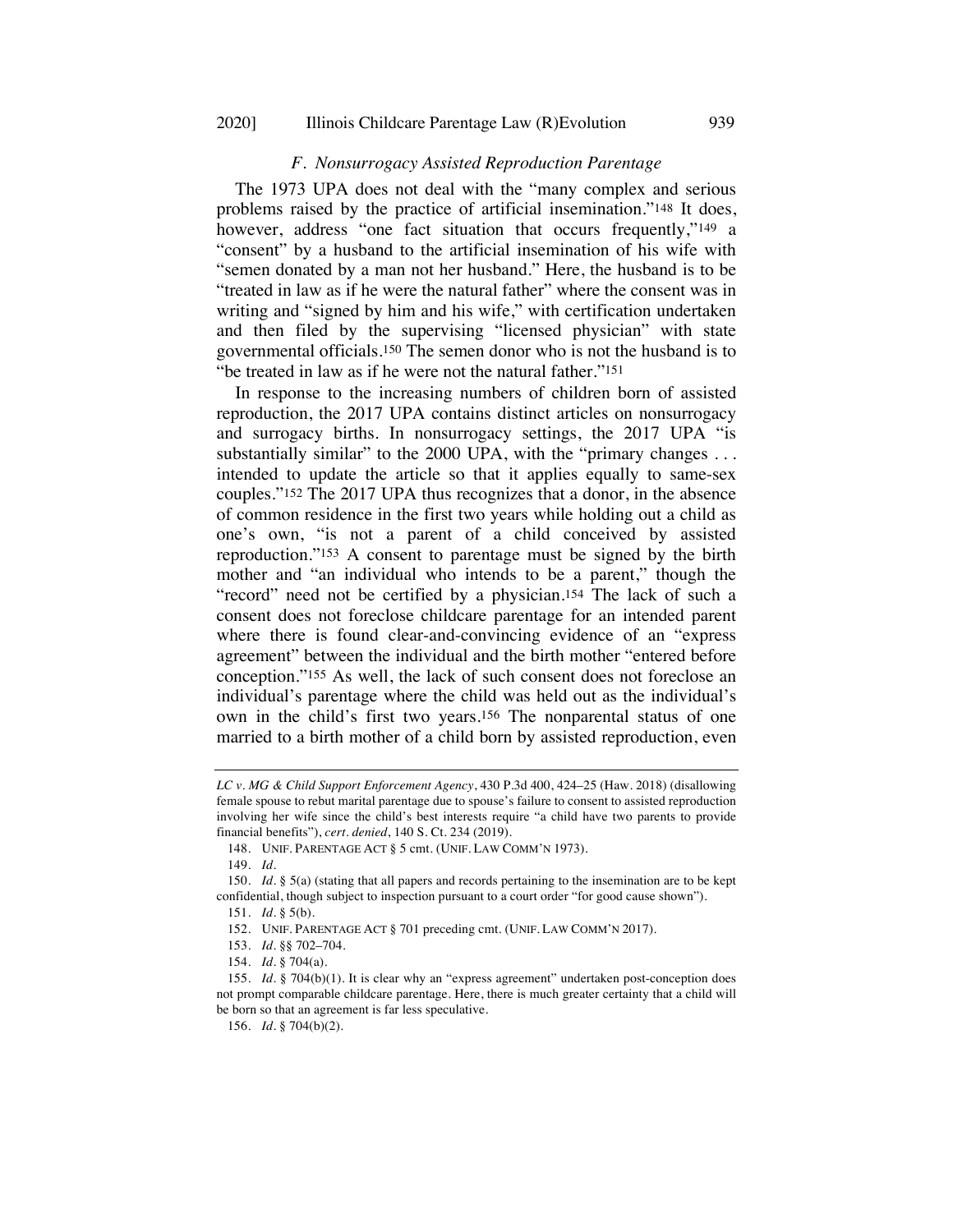## *F. Nonsurrogacy Assisted Reproduction Parentage*

The 1973 UPA does not deal with the "many complex and serious problems raised by the practice of artificial insemination."148 It does, however, address "one fact situation that occurs frequently,"<sup>149</sup> a "consent" by a husband to the artificial insemination of his wife with "semen donated by a man not her husband." Here, the husband is to be "treated in law as if he were the natural father" where the consent was in writing and "signed by him and his wife," with certification undertaken and then filed by the supervising "licensed physician" with state governmental officials.150 The semen donor who is not the husband is to "be treated in law as if he were not the natural father."151

In response to the increasing numbers of children born of assisted reproduction, the 2017 UPA contains distinct articles on nonsurrogacy and surrogacy births. In nonsurrogacy settings, the 2017 UPA "is substantially similar" to the 2000 UPA, with the "primary changes ... intended to update the article so that it applies equally to same-sex couples."152 The 2017 UPA thus recognizes that a donor, in the absence of common residence in the first two years while holding out a child as one's own, "is not a parent of a child conceived by assisted reproduction."153 A consent to parentage must be signed by the birth mother and "an individual who intends to be a parent," though the "record" need not be certified by a physician.154 The lack of such a consent does not foreclose childcare parentage for an intended parent where there is found clear-and-convincing evidence of an "express agreement" between the individual and the birth mother "entered before conception."155 As well, the lack of such consent does not foreclose an individual's parentage where the child was held out as the individual's own in the child's first two years.156 The nonparental status of one married to a birth mother of a child born by assisted reproduction, even

*LC v. MG & Child Support Enforcement Agency*, 430 P.3d 400, 424–25 (Haw. 2018) (disallowing female spouse to rebut marital parentage due to spouse's failure to consent to assisted reproduction involving her wife since the child's best interests require "a child have two parents to provide financial benefits"), *cert. denied*, 140 S. Ct. 234 (2019).

<sup>148.</sup> UNIF. PARENTAGE ACT § 5 cmt. (UNIF. LAW COMM'N 1973).

<sup>149.</sup> *Id.*

<sup>150.</sup> *Id.* § 5(a) (stating that all papers and records pertaining to the insemination are to be kept confidential, though subject to inspection pursuant to a court order "for good cause shown").

<sup>151.</sup> *Id.* § 5(b).

<sup>152.</sup> UNIF. PARENTAGE ACT § 701 preceding cmt. (UNIF. LAW COMM'N 2017).

<sup>153.</sup> *Id.* §§ 702–704.

<sup>154.</sup> *Id.* § 704(a).

<sup>155.</sup> *Id.* § 704(b)(1). It is clear why an "express agreement" undertaken post-conception does not prompt comparable childcare parentage. Here, there is much greater certainty that a child will be born so that an agreement is far less speculative.

<sup>156.</sup> *Id.* § 704(b)(2).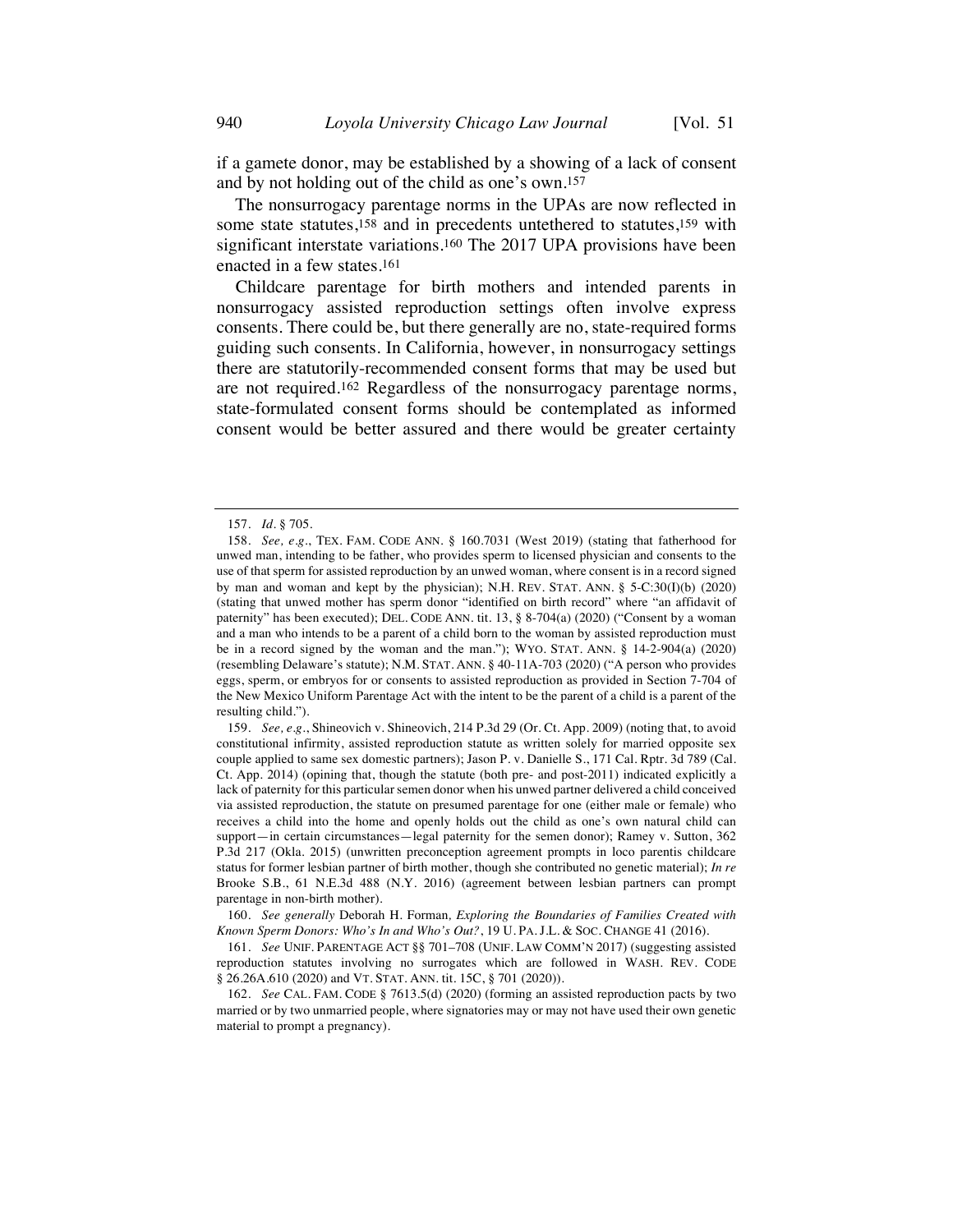if a gamete donor, may be established by a showing of a lack of consent and by not holding out of the child as one's own.157

The nonsurrogacy parentage norms in the UPAs are now reflected in some state statutes,158 and in precedents untethered to statutes,159 with significant interstate variations.160 The 2017 UPA provisions have been enacted in a few states.161

Childcare parentage for birth mothers and intended parents in nonsurrogacy assisted reproduction settings often involve express consents. There could be, but there generally are no, state-required forms guiding such consents. In California, however, in nonsurrogacy settings there are statutorily-recommended consent forms that may be used but are not required.162 Regardless of the nonsurrogacy parentage norms, state-formulated consent forms should be contemplated as informed consent would be better assured and there would be greater certainty

<sup>157.</sup> *Id.* § 705.

<sup>158.</sup> *See, e.g.*, TEX. FAM. CODE ANN. § 160.7031 (West 2019) (stating that fatherhood for unwed man, intending to be father, who provides sperm to licensed physician and consents to the use of that sperm for assisted reproduction by an unwed woman, where consent is in a record signed by man and woman and kept by the physician); N.H. REV. STAT. ANN. § 5-C:30(I)(b) (2020) (stating that unwed mother has sperm donor "identified on birth record" where "an affidavit of paternity" has been executed); DEL. CODE ANN. tit. 13, § 8-704(a) (2020) ("Consent by a woman and a man who intends to be a parent of a child born to the woman by assisted reproduction must be in a record signed by the woman and the man."); WYO. STAT. ANN.  $\S$  14-2-904(a) (2020) (resembling Delaware's statute); N.M. STAT. ANN. § 40-11A-703 (2020) ("A person who provides eggs, sperm, or embryos for or consents to assisted reproduction as provided in Section 7-704 of the New Mexico Uniform Parentage Act with the intent to be the parent of a child is a parent of the resulting child.").

<sup>159.</sup> *See, e.g.*, Shineovich v. Shineovich, 214 P.3d 29 (Or. Ct. App. 2009) (noting that, to avoid constitutional infirmity, assisted reproduction statute as written solely for married opposite sex couple applied to same sex domestic partners); Jason P. v. Danielle S., 171 Cal. Rptr. 3d 789 (Cal. Ct. App. 2014) (opining that, though the statute (both pre- and post-2011) indicated explicitly a lack of paternity for this particular semen donor when his unwed partner delivered a child conceived via assisted reproduction, the statute on presumed parentage for one (either male or female) who receives a child into the home and openly holds out the child as one's own natural child can support—in certain circumstances—legal paternity for the semen donor); Ramey v. Sutton, 362 P.3d 217 (Okla. 2015) (unwritten preconception agreement prompts in loco parentis childcare status for former lesbian partner of birth mother, though she contributed no genetic material); *In re* Brooke S.B., 61 N.E.3d 488 (N.Y. 2016) (agreement between lesbian partners can prompt parentage in non-birth mother).

<sup>160.</sup> *See generally* Deborah H. Forman*, Exploring the Boundaries of Families Created with Known Sperm Donors: Who's In and Who's Out?*, 19 U. PA. J.L. & SOC. CHANGE 41 (2016).

<sup>161.</sup> *See* UNIF. PARENTAGE ACT §§ 701–708 (UNIF. LAW COMM'N 2017) (suggesting assisted reproduction statutes involving no surrogates which are followed in WASH. REV. CODE § 26.26A.610 (2020) and VT. STAT. ANN. tit. 15C, § 701 (2020)).

<sup>162.</sup> *See* CAL. FAM. CODE § 7613.5(d) (2020) (forming an assisted reproduction pacts by two married or by two unmarried people, where signatories may or may not have used their own genetic material to prompt a pregnancy).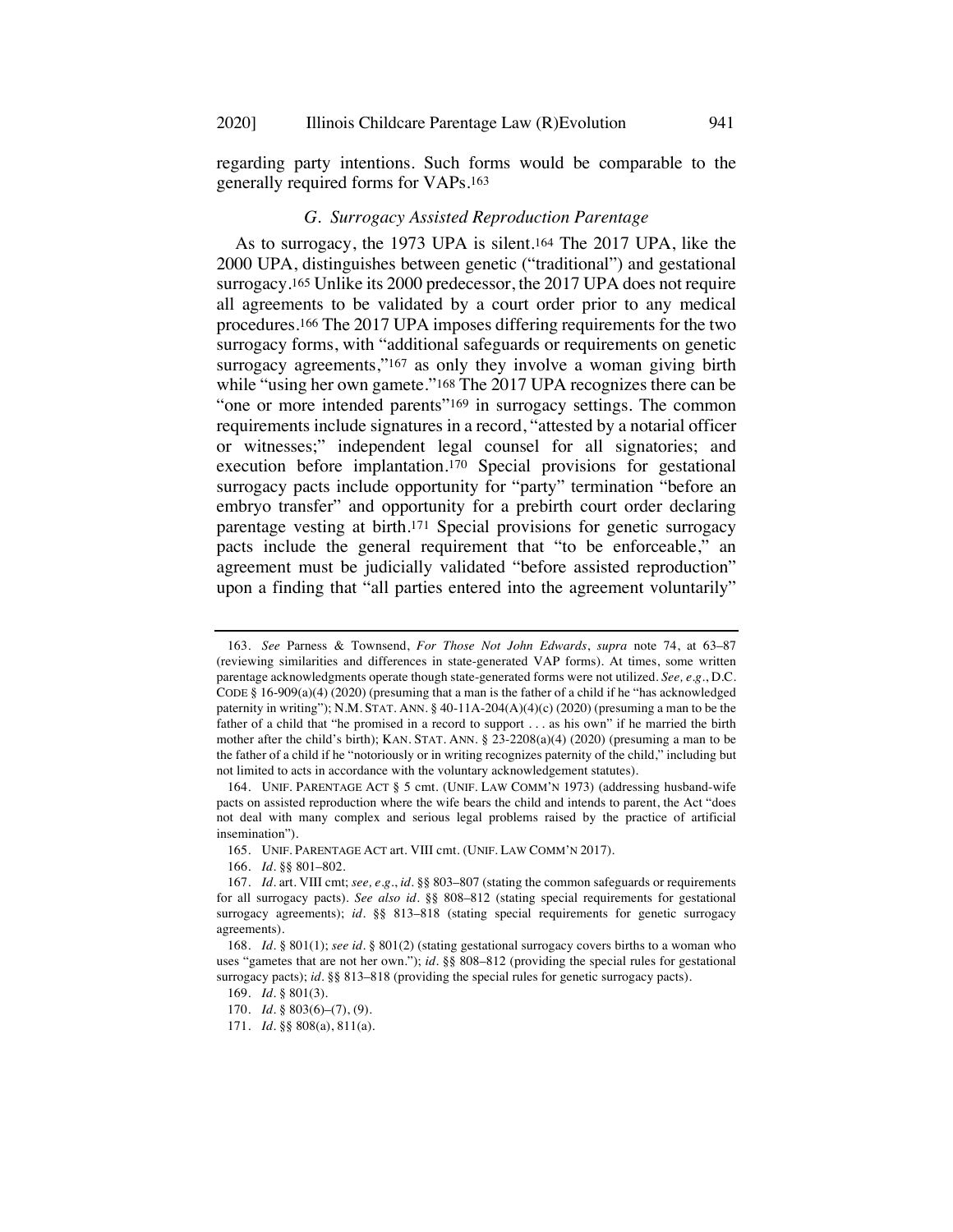regarding party intentions. Such forms would be comparable to the generally required forms for VAPs.163

## *G. Surrogacy Assisted Reproduction Parentage*

As to surrogacy, the 1973 UPA is silent.164 The 2017 UPA, like the 2000 UPA, distinguishes between genetic ("traditional") and gestational surrogacy.165 Unlike its 2000 predecessor, the 2017 UPA does not require all agreements to be validated by a court order prior to any medical procedures.166 The 2017 UPA imposes differing requirements for the two surrogacy forms, with "additional safeguards or requirements on genetic surrogacy agreements,"<sup>167</sup> as only they involve a woman giving birth while "using her own gamete."<sup>168</sup> The 2017 UPA recognizes there can be "one or more intended parents"<sup>169</sup> in surrogacy settings. The common requirements include signatures in a record, "attested by a notarial officer or witnesses;" independent legal counsel for all signatories; and execution before implantation.170 Special provisions for gestational surrogacy pacts include opportunity for "party" termination "before an embryo transfer" and opportunity for a prebirth court order declaring parentage vesting at birth.171 Special provisions for genetic surrogacy pacts include the general requirement that "to be enforceable," an agreement must be judicially validated "before assisted reproduction" upon a finding that "all parties entered into the agreement voluntarily"

<sup>163.</sup> *See* Parness & Townsend, *For Those Not John Edwards*, *supra* note 74, at 63–87 (reviewing similarities and differences in state-generated VAP forms). At times, some written parentage acknowledgments operate though state-generated forms were not utilized. *See, e.g.*, D.C. CODE § 16-909(a)(4) (2020) (presuming that a man is the father of a child if he "has acknowledged paternity in writing"); N.M. STAT. ANN. § 40-11A-204(A)(4)(c) (2020) (presuming a man to be the father of a child that "he promised in a record to support . . . as his own" if he married the birth mother after the child's birth); KAN. STAT. ANN.  $\S$  23-2208(a)(4) (2020) (presuming a man to be the father of a child if he "notoriously or in writing recognizes paternity of the child," including but not limited to acts in accordance with the voluntary acknowledgement statutes).

<sup>164.</sup> UNIF. PARENTAGE ACT § 5 cmt. (UNIF. LAW COMM'N 1973) (addressing husband-wife pacts on assisted reproduction where the wife bears the child and intends to parent, the Act "does not deal with many complex and serious legal problems raised by the practice of artificial insemination").

<sup>165.</sup> UNIF. PARENTAGE ACT art. VIII cmt. (UNIF. LAW COMM'N 2017).

<sup>166.</sup> *Id.* §§ 801–802.

<sup>167.</sup> *Id.* art. VIII cmt; *see, e.g.*, *id.* §§ 803–807 (stating the common safeguards or requirements for all surrogacy pacts). *See also id.* §§ 808–812 (stating special requirements for gestational surrogacy agreements); *id.* §§ 813-818 (stating special requirements for genetic surrogacy agreements).

<sup>168.</sup> *Id.* § 801(1); *see id.* § 801(2) (stating gestational surrogacy covers births to a woman who uses "gametes that are not her own."); *id.* §§ 808–812 (providing the special rules for gestational surrogacy pacts); *id.* §§ 813-818 (providing the special rules for genetic surrogacy pacts).

<sup>169.</sup> *Id.* § 801(3).

<sup>170.</sup> *Id.* § 803(6)–(7), (9).

<sup>171.</sup> *Id.* §§ 808(a), 811(a).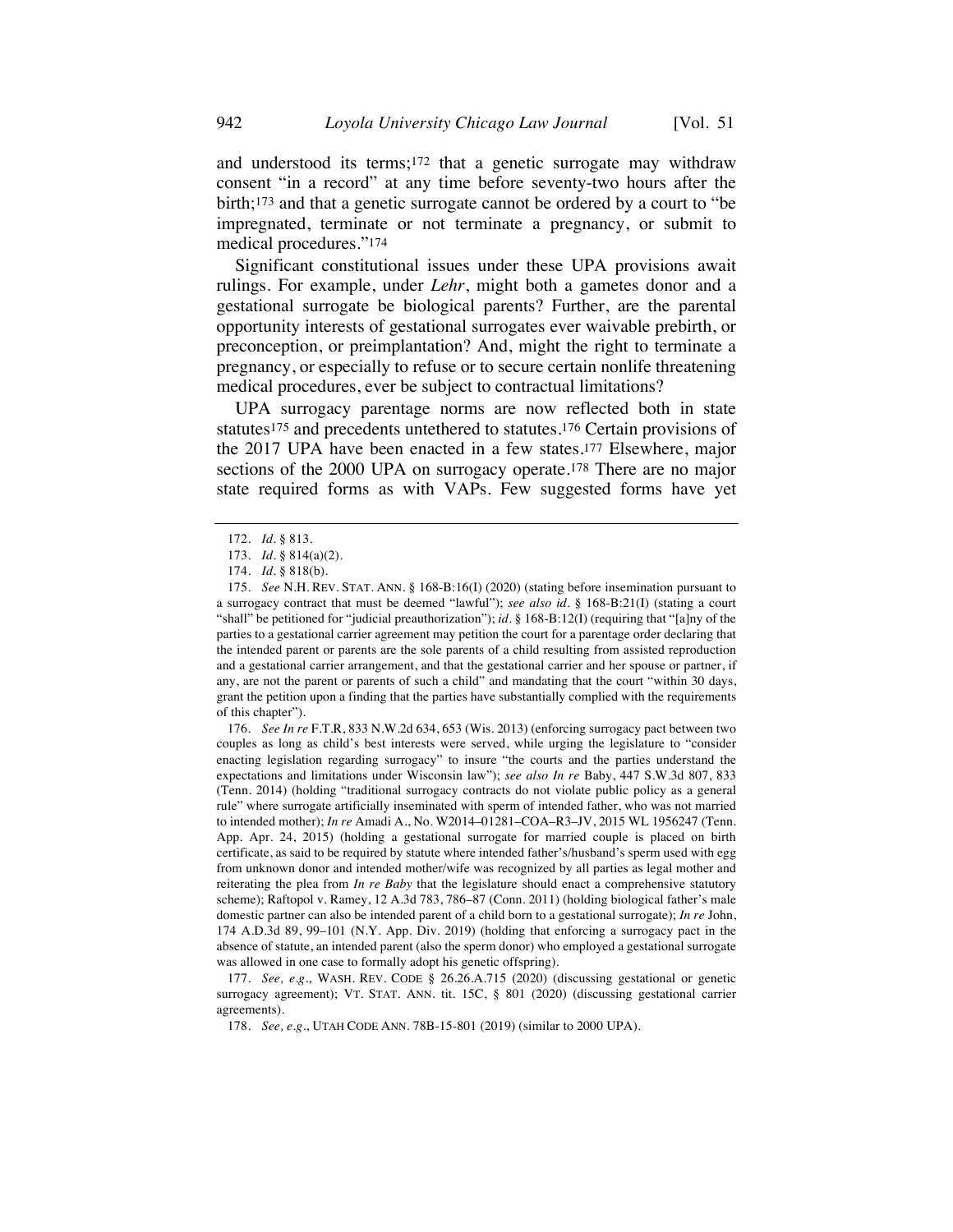and understood its terms;172 that a genetic surrogate may withdraw consent "in a record" at any time before seventy-two hours after the birth;173 and that a genetic surrogate cannot be ordered by a court to "be impregnated, terminate or not terminate a pregnancy, or submit to medical procedures."174

Significant constitutional issues under these UPA provisions await rulings. For example, under *Lehr*, might both a gametes donor and a gestational surrogate be biological parents? Further, are the parental opportunity interests of gestational surrogates ever waivable prebirth, or preconception, or preimplantation? And, might the right to terminate a pregnancy, or especially to refuse or to secure certain nonlife threatening medical procedures, ever be subject to contractual limitations?

UPA surrogacy parentage norms are now reflected both in state statutes175 and precedents untethered to statutes.176 Certain provisions of the 2017 UPA have been enacted in a few states.177 Elsewhere, major sections of the 2000 UPA on surrogacy operate.178 There are no major state required forms as with VAPs. Few suggested forms have yet

176. *See In re* F.T.R, 833 N.W.2d 634, 653 (Wis. 2013) (enforcing surrogacy pact between two couples as long as child's best interests were served, while urging the legislature to "consider enacting legislation regarding surrogacy" to insure "the courts and the parties understand the expectations and limitations under Wisconsin law"); *see also In re* Baby, 447 S.W.3d 807, 833 (Tenn. 2014) (holding "traditional surrogacy contracts do not violate public policy as a general rule" where surrogate artificially inseminated with sperm of intended father, who was not married to intended mother); *In re* Amadi A., No. W2014–01281–COA–R3–JV, 2015 WL 1956247 (Tenn. App. Apr. 24, 2015) (holding a gestational surrogate for married couple is placed on birth certificate, as said to be required by statute where intended father's/husband's sperm used with egg from unknown donor and intended mother/wife was recognized by all parties as legal mother and reiterating the plea from *In re Baby* that the legislature should enact a comprehensive statutory scheme); Raftopol v. Ramey, 12 A.3d 783, 786–87 (Conn. 2011) (holding biological father's male domestic partner can also be intended parent of a child born to a gestational surrogate); *In re* John, 174 A.D.3d 89, 99–101 (N.Y. App. Div. 2019) (holding that enforcing a surrogacy pact in the absence of statute, an intended parent (also the sperm donor) who employed a gestational surrogate was allowed in one case to formally adopt his genetic offspring).

177. *See, e.g.*, WASH. REV. CODE § 26.26.A.715 (2020) (discussing gestational or genetic surrogacy agreement); VT. STAT. ANN. tit. 15C, § 801 (2020) (discussing gestational carrier agreements).

<sup>172.</sup> *Id.* § 813.

<sup>173.</sup> *Id.* § 814(a)(2).

<sup>174.</sup> *Id.* § 818(b).

<sup>175.</sup> *See* N.H. REV. STAT. ANN. § 168-B:16(I) (2020) (stating before insemination pursuant to a surrogacy contract that must be deemed "lawful"); *see also id.* § 168-B:21(I) (stating a court "shall" be petitioned for "judicial preauthorization"); *id.* § 168-B:12(I) (requiring that "[a]ny of the parties to a gestational carrier agreement may petition the court for a parentage order declaring that the intended parent or parents are the sole parents of a child resulting from assisted reproduction and a gestational carrier arrangement, and that the gestational carrier and her spouse or partner, if any, are not the parent or parents of such a child" and mandating that the court "within 30 days, grant the petition upon a finding that the parties have substantially complied with the requirements of this chapter").

<sup>178.</sup> *See, e.g.*, UTAH CODE ANN. 78B-15-801 (2019) (similar to 2000 UPA).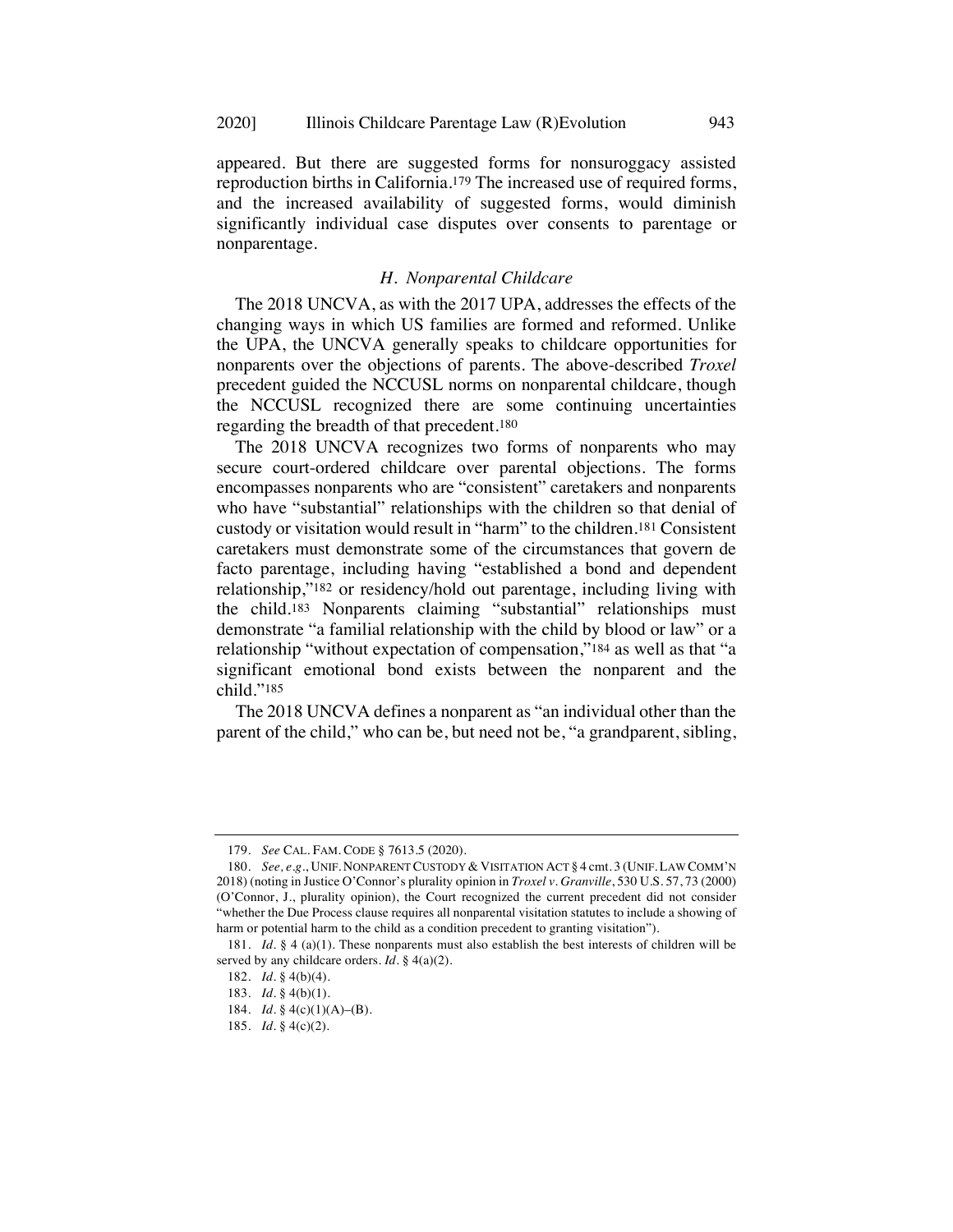appeared. But there are suggested forms for nonsuroggacy assisted reproduction births in California.179 The increased use of required forms, and the increased availability of suggested forms, would diminish significantly individual case disputes over consents to parentage or nonparentage.

## *H. Nonparental Childcare*

The 2018 UNCVA, as with the 2017 UPA, addresses the effects of the changing ways in which US families are formed and reformed. Unlike the UPA, the UNCVA generally speaks to childcare opportunities for nonparents over the objections of parents. The above-described *Troxel* precedent guided the NCCUSL norms on nonparental childcare, though the NCCUSL recognized there are some continuing uncertainties regarding the breadth of that precedent.180

The 2018 UNCVA recognizes two forms of nonparents who may secure court-ordered childcare over parental objections. The forms encompasses nonparents who are "consistent" caretakers and nonparents who have "substantial" relationships with the children so that denial of custody or visitation would result in "harm" to the children.181 Consistent caretakers must demonstrate some of the circumstances that govern de facto parentage, including having "established a bond and dependent relationship,"182 or residency/hold out parentage, including living with the child.183 Nonparents claiming "substantial" relationships must demonstrate "a familial relationship with the child by blood or law" or a relationship "without expectation of compensation,"184 as well as that "a significant emotional bond exists between the nonparent and the child."185

The 2018 UNCVA defines a nonparent as "an individual other than the parent of the child," who can be, but need not be, "a grandparent, sibling,

<sup>179.</sup> *See* CAL. FAM. CODE § 7613.5 (2020).

<sup>180.</sup> *See, e.g.*, UNIF. NONPARENT CUSTODY & VISITATION ACT § 4 cmt. 3 (UNIF. LAW COMM'N 2018) (noting in Justice O'Connor's plurality opinion in *Troxel v. Granville*, 530 U.S. 57, 73 (2000) (O'Connor, J., plurality opinion), the Court recognized the current precedent did not consider "whether the Due Process clause requires all nonparental visitation statutes to include a showing of harm or potential harm to the child as a condition precedent to granting visitation").

<sup>181.</sup> *Id.* § 4 (a)(1). These nonparents must also establish the best interests of children will be served by any childcare orders. *Id.* § 4(a)(2).

<sup>182.</sup> *Id.* § 4(b)(4).

<sup>183.</sup> *Id.* § 4(b)(1).

<sup>184.</sup> *Id.* § 4(c)(1)(A)–(B).

<sup>185.</sup> *Id.* § 4(c)(2).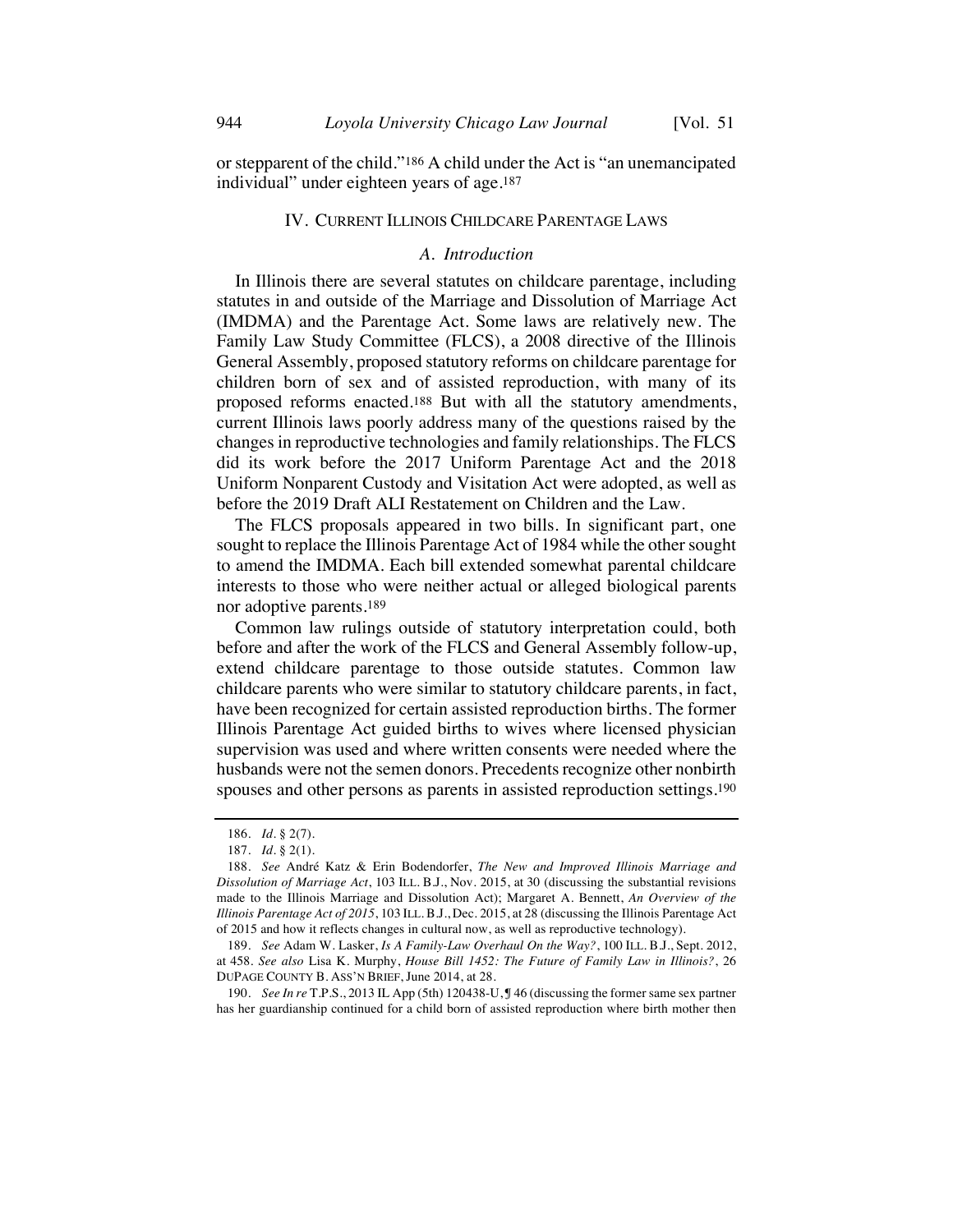or stepparent of the child."186 A child under the Act is "an unemancipated individual" under eighteen years of age.187

#### IV. CURRENT ILLINOIS CHILDCARE PARENTAGE LAWS

#### *A. Introduction*

In Illinois there are several statutes on childcare parentage, including statutes in and outside of the Marriage and Dissolution of Marriage Act (IMDMA) and the Parentage Act. Some laws are relatively new. The Family Law Study Committee (FLCS), a 2008 directive of the Illinois General Assembly, proposed statutory reforms on childcare parentage for children born of sex and of assisted reproduction, with many of its proposed reforms enacted.188 But with all the statutory amendments, current Illinois laws poorly address many of the questions raised by the changes in reproductive technologies and family relationships. The FLCS did its work before the 2017 Uniform Parentage Act and the 2018 Uniform Nonparent Custody and Visitation Act were adopted, as well as before the 2019 Draft ALI Restatement on Children and the Law.

The FLCS proposals appeared in two bills. In significant part, one sought to replace the Illinois Parentage Act of 1984 while the other sought to amend the IMDMA. Each bill extended somewhat parental childcare interests to those who were neither actual or alleged biological parents nor adoptive parents.189

Common law rulings outside of statutory interpretation could, both before and after the work of the FLCS and General Assembly follow-up, extend childcare parentage to those outside statutes. Common law childcare parents who were similar to statutory childcare parents, in fact, have been recognized for certain assisted reproduction births. The former Illinois Parentage Act guided births to wives where licensed physician supervision was used and where written consents were needed where the husbands were not the semen donors. Precedents recognize other nonbirth spouses and other persons as parents in assisted reproduction settings.190

190. *See In re* T.P.S., 2013 IL App (5th) 120438-U, ¶ 46 (discussing the former same sex partner has her guardianship continued for a child born of assisted reproduction where birth mother then

<sup>186.</sup> *Id.* § 2(7).

<sup>187.</sup> *Id.* § 2(1).

<sup>188.</sup> *See* André Katz & Erin Bodendorfer, *The New and Improved Illinois Marriage and Dissolution of Marriage Act*, 103 ILL. B.J., Nov. 2015, at 30 (discussing the substantial revisions made to the Illinois Marriage and Dissolution Act); Margaret A. Bennett, *An Overview of the Illinois Parentage Act of 2015*, 103 ILL. B.J., Dec. 2015, at 28 (discussing the Illinois Parentage Act of 2015 and how it reflects changes in cultural now, as well as reproductive technology).

<sup>189.</sup> *See* Adam W. Lasker, *Is A Family-Law Overhaul On the Way?*, 100 ILL. B.J., Sept. 2012, at 458. *See also* Lisa K. Murphy, *House Bill 1452: The Future of Family Law in Illinois?*, 26 DUPAGE COUNTY B. ASS'N BRIEF, June 2014, at 28.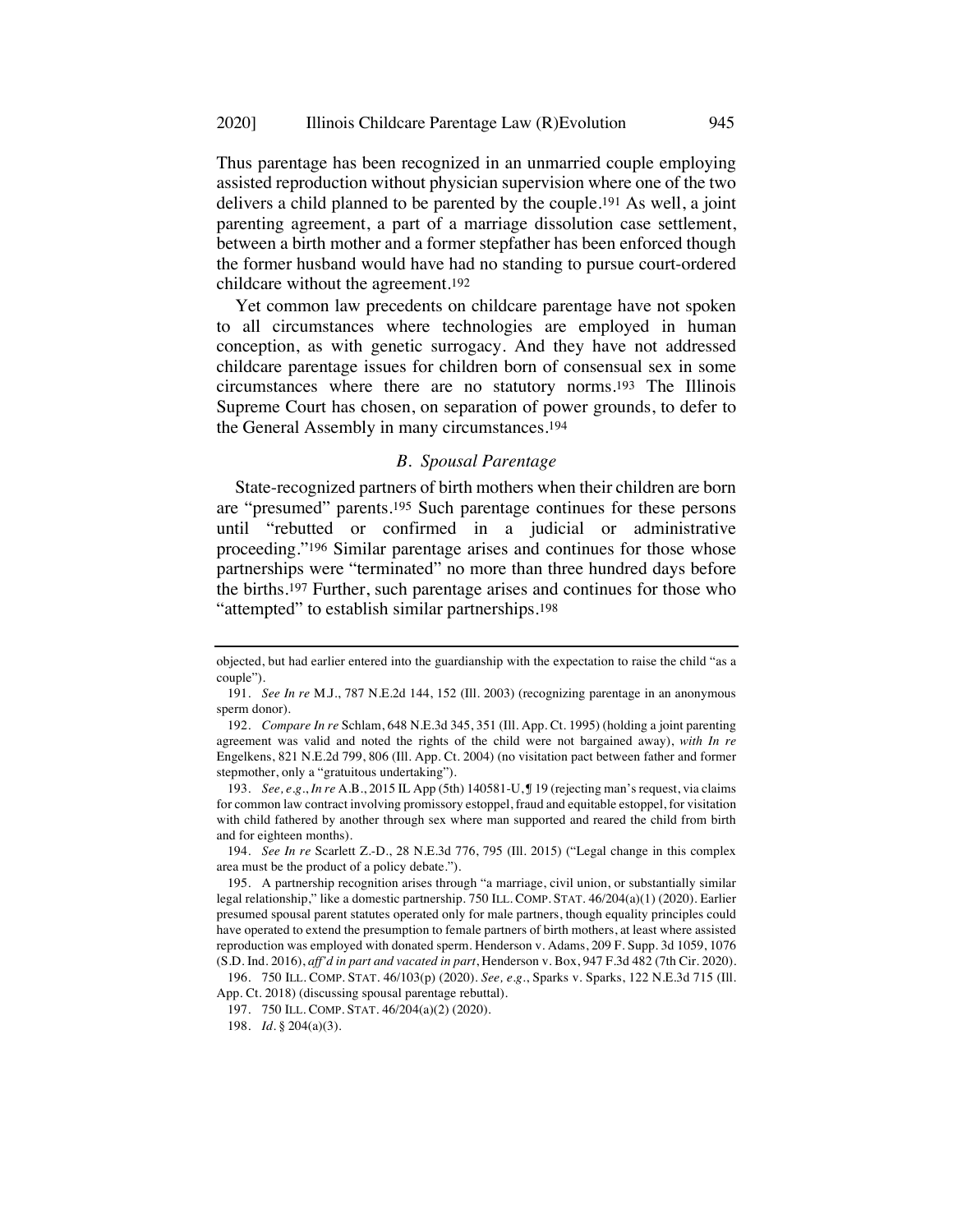Thus parentage has been recognized in an unmarried couple employing assisted reproduction without physician supervision where one of the two delivers a child planned to be parented by the couple.191 As well, a joint parenting agreement, a part of a marriage dissolution case settlement, between a birth mother and a former stepfather has been enforced though the former husband would have had no standing to pursue court-ordered childcare without the agreement.192

Yet common law precedents on childcare parentage have not spoken to all circumstances where technologies are employed in human conception, as with genetic surrogacy. And they have not addressed childcare parentage issues for children born of consensual sex in some circumstances where there are no statutory norms.193 The Illinois Supreme Court has chosen, on separation of power grounds, to defer to the General Assembly in many circumstances.194

## *B. Spousal Parentage*

State-recognized partners of birth mothers when their children are born are "presumed" parents.195 Such parentage continues for these persons until "rebutted or confirmed in a judicial or administrative proceeding."196 Similar parentage arises and continues for those whose partnerships were "terminated" no more than three hundred days before the births.197 Further, such parentage arises and continues for those who "attempted" to establish similar partnerships.198

193. *See, e.g.*, *In re* A.B., 2015 IL App (5th) 140581-U, ¶ 19 (rejecting man's request, via claims for common law contract involving promissory estoppel, fraud and equitable estoppel, for visitation with child fathered by another through sex where man supported and reared the child from birth and for eighteen months).

194. *See In re* Scarlett Z.-D., 28 N.E.3d 776, 795 (Ill. 2015) ("Legal change in this complex area must be the product of a policy debate.").

objected, but had earlier entered into the guardianship with the expectation to raise the child "as a couple").

<sup>191.</sup> *See In re* M.J., 787 N.E.2d 144, 152 (Ill. 2003) (recognizing parentage in an anonymous sperm donor).

<sup>192.</sup> *Compare In re* Schlam, 648 N.E.3d 345, 351 (Ill. App. Ct. 1995) (holding a joint parenting agreement was valid and noted the rights of the child were not bargained away), *with In re* Engelkens, 821 N.E.2d 799, 806 (Ill. App. Ct. 2004) (no visitation pact between father and former stepmother, only a "gratuitous undertaking").

<sup>195.</sup> A partnership recognition arises through "a marriage, civil union, or substantially similar legal relationship," like a domestic partnership. 750 ILL. COMP. STAT. 46/204(a)(1) (2020). Earlier presumed spousal parent statutes operated only for male partners, though equality principles could have operated to extend the presumption to female partners of birth mothers, at least where assisted reproduction was employed with donated sperm. Henderson v. Adams, 209 F. Supp. 3d 1059, 1076 (S.D. Ind. 2016), *aff'd in part and vacated in part*, Henderson v. Box, 947 F.3d 482 (7th Cir. 2020).

<sup>196.</sup> 750 ILL. COMP. STAT. 46/103(p) (2020). *See, e.g.*, Sparks v. Sparks, 122 N.E.3d 715 (Ill. App. Ct. 2018) (discussing spousal parentage rebuttal).

<sup>197.</sup> 750 ILL. COMP. STAT. 46/204(a)(2) (2020).

<sup>198.</sup> *Id.* § 204(a)(3).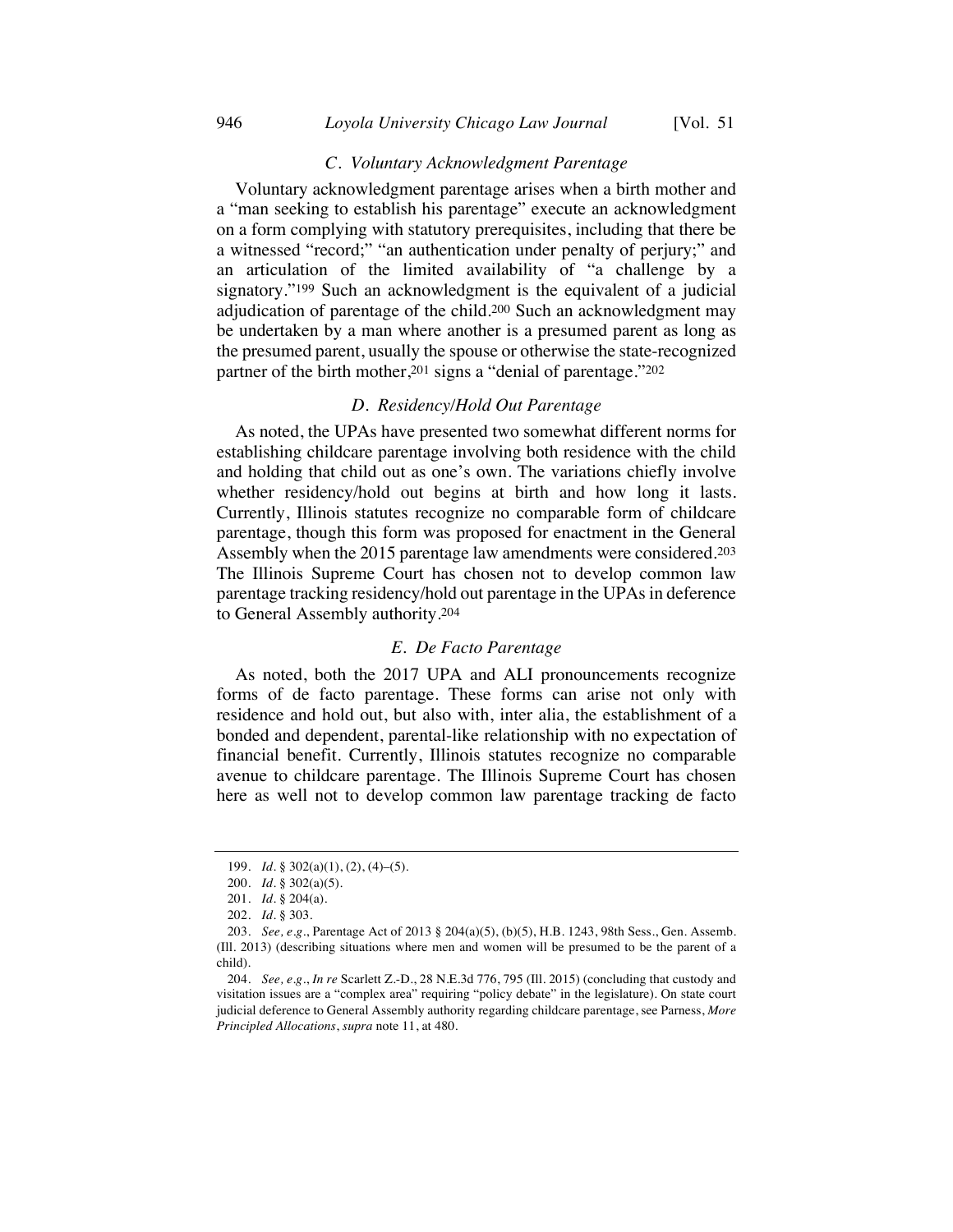## *C. Voluntary Acknowledgment Parentage*

Voluntary acknowledgment parentage arises when a birth mother and a "man seeking to establish his parentage" execute an acknowledgment on a form complying with statutory prerequisites, including that there be a witnessed "record;" "an authentication under penalty of perjury;" and an articulation of the limited availability of "a challenge by a signatory."199 Such an acknowledgment is the equivalent of a judicial adjudication of parentage of the child.200 Such an acknowledgment may be undertaken by a man where another is a presumed parent as long as the presumed parent, usually the spouse or otherwise the state-recognized partner of the birth mother,201 signs a "denial of parentage."202

## *D. Residency/Hold Out Parentage*

As noted, the UPAs have presented two somewhat different norms for establishing childcare parentage involving both residence with the child and holding that child out as one's own. The variations chiefly involve whether residency/hold out begins at birth and how long it lasts. Currently, Illinois statutes recognize no comparable form of childcare parentage, though this form was proposed for enactment in the General Assembly when the 2015 parentage law amendments were considered.203 The Illinois Supreme Court has chosen not to develop common law parentage tracking residency/hold out parentage in the UPAs in deference to General Assembly authority.204

#### *E. De Facto Parentage*

As noted, both the 2017 UPA and ALI pronouncements recognize forms of de facto parentage. These forms can arise not only with residence and hold out, but also with, inter alia, the establishment of a bonded and dependent, parental-like relationship with no expectation of financial benefit. Currently, Illinois statutes recognize no comparable avenue to childcare parentage. The Illinois Supreme Court has chosen here as well not to develop common law parentage tracking de facto

<sup>199.</sup> *Id.* § 302(a)(1), (2), (4)–(5).

<sup>200.</sup> *Id.* § 302(a)(5).

<sup>201.</sup> *Id.* § 204(a).

<sup>202.</sup> *Id.* § 303.

<sup>203.</sup> *See, e.g.*, Parentage Act of 2013 § 204(a)(5), (b)(5), H.B. 1243, 98th Sess., Gen. Assemb. (Ill. 2013) (describing situations where men and women will be presumed to be the parent of a child).

<sup>204.</sup> *See, e.g.*, *In re* Scarlett Z.-D., 28 N.E.3d 776, 795 (Ill. 2015) (concluding that custody and visitation issues are a "complex area" requiring "policy debate" in the legislature). On state court judicial deference to General Assembly authority regarding childcare parentage, see Parness, *More Principled Allocations*, *supra* note 11, at 480.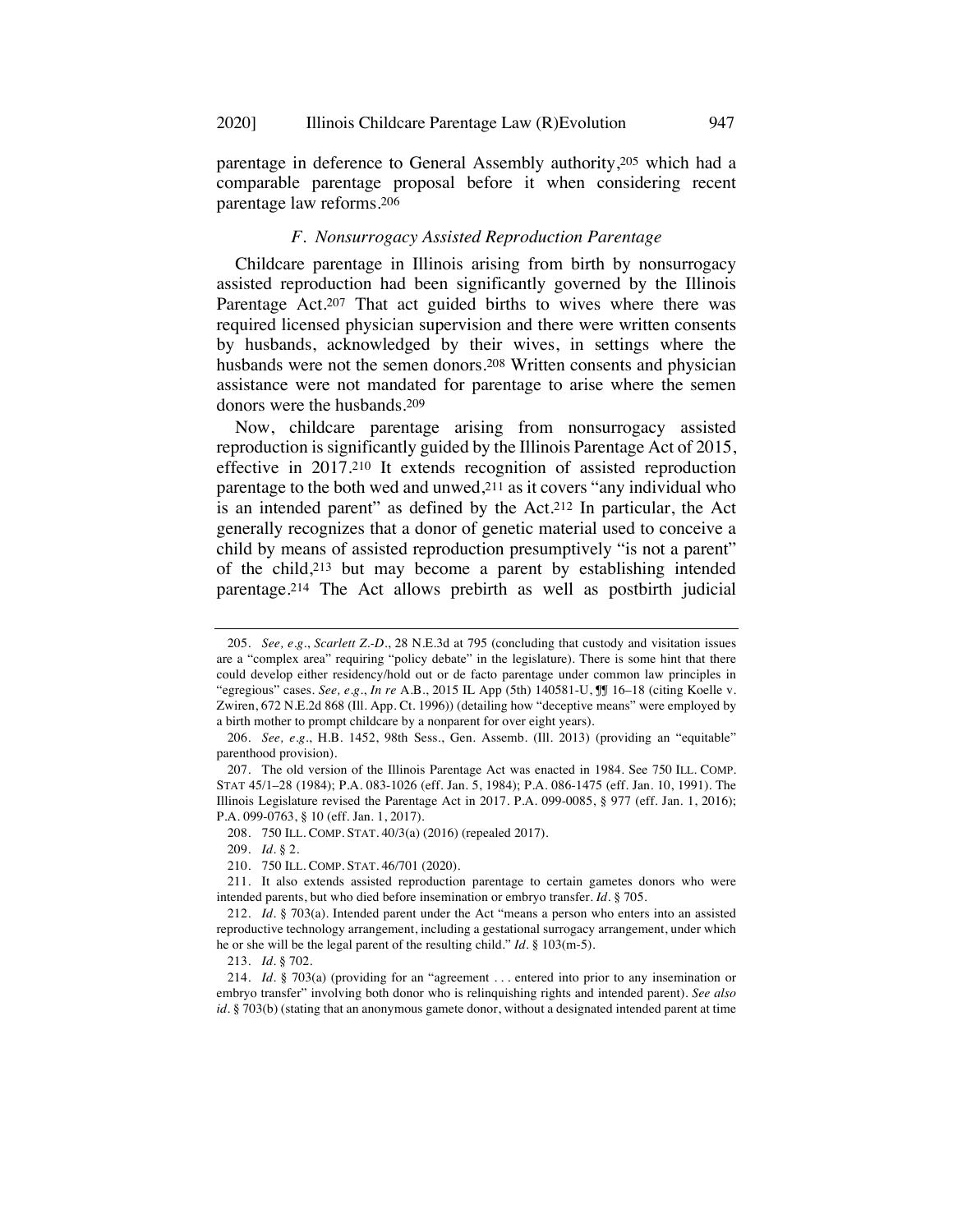parentage in deference to General Assembly authority,205 which had a comparable parentage proposal before it when considering recent parentage law reforms.206

#### *F. Nonsurrogacy Assisted Reproduction Parentage*

Childcare parentage in Illinois arising from birth by nonsurrogacy assisted reproduction had been significantly governed by the Illinois Parentage Act.207 That act guided births to wives where there was required licensed physician supervision and there were written consents by husbands, acknowledged by their wives, in settings where the husbands were not the semen donors.208 Written consents and physician assistance were not mandated for parentage to arise where the semen donors were the husbands.209

Now, childcare parentage arising from nonsurrogacy assisted reproduction is significantly guided by the Illinois Parentage Act of 2015, effective in 2017.210 It extends recognition of assisted reproduction parentage to the both wed and unwed,211 as it covers "any individual who is an intended parent" as defined by the Act.212 In particular, the Act generally recognizes that a donor of genetic material used to conceive a child by means of assisted reproduction presumptively "is not a parent" of the child,213 but may become a parent by establishing intended parentage.214 The Act allows prebirth as well as postbirth judicial

209. *Id.* § 2.

<sup>205.</sup> *See, e.g.*, *Scarlett Z.-D.*, 28 N.E.3d at 795 (concluding that custody and visitation issues are a "complex area" requiring "policy debate" in the legislature). There is some hint that there could develop either residency/hold out or de facto parentage under common law principles in "egregious" cases. *See, e.g.*, *In re* A.B., 2015 IL App (5th) 140581-U, ¶¶ 16–18 (citing Koelle v. Zwiren, 672 N.E.2d 868 (Ill. App. Ct. 1996)) (detailing how "deceptive means" were employed by a birth mother to prompt childcare by a nonparent for over eight years).

<sup>206.</sup> *See, e.g.*, H.B. 1452, 98th Sess., Gen. Assemb. (Ill. 2013) (providing an "equitable" parenthood provision).

<sup>207.</sup> The old version of the Illinois Parentage Act was enacted in 1984. See 750 ILL. COMP. STAT 45/1–28 (1984); P.A. 083-1026 (eff. Jan. 5, 1984); P.A. 086-1475 (eff. Jan. 10, 1991). The Illinois Legislature revised the Parentage Act in 2017. P.A. 099-0085, § 977 (eff. Jan. 1, 2016); P.A. 099-0763, § 10 (eff. Jan. 1, 2017).

<sup>208.</sup> 750 ILL. COMP. STAT. 40/3(a) (2016) (repealed 2017).

<sup>210.</sup> 750 ILL. COMP. STAT. 46/701 (2020).

<sup>211.</sup> It also extends assisted reproduction parentage to certain gametes donors who were intended parents, but who died before insemination or embryo transfer. *Id.* § 705.

<sup>212.</sup> *Id.* § 703(a). Intended parent under the Act "means a person who enters into an assisted reproductive technology arrangement, including a gestational surrogacy arrangement, under which he or she will be the legal parent of the resulting child." *Id.* § 103(m-5).

<sup>213.</sup> *Id.* § 702.

<sup>214.</sup> *Id.* § 703(a) (providing for an "agreement . . . entered into prior to any insemination or embryo transfer" involving both donor who is relinquishing rights and intended parent). *See also id.* § 703(b) (stating that an anonymous gamete donor, without a designated intended parent at time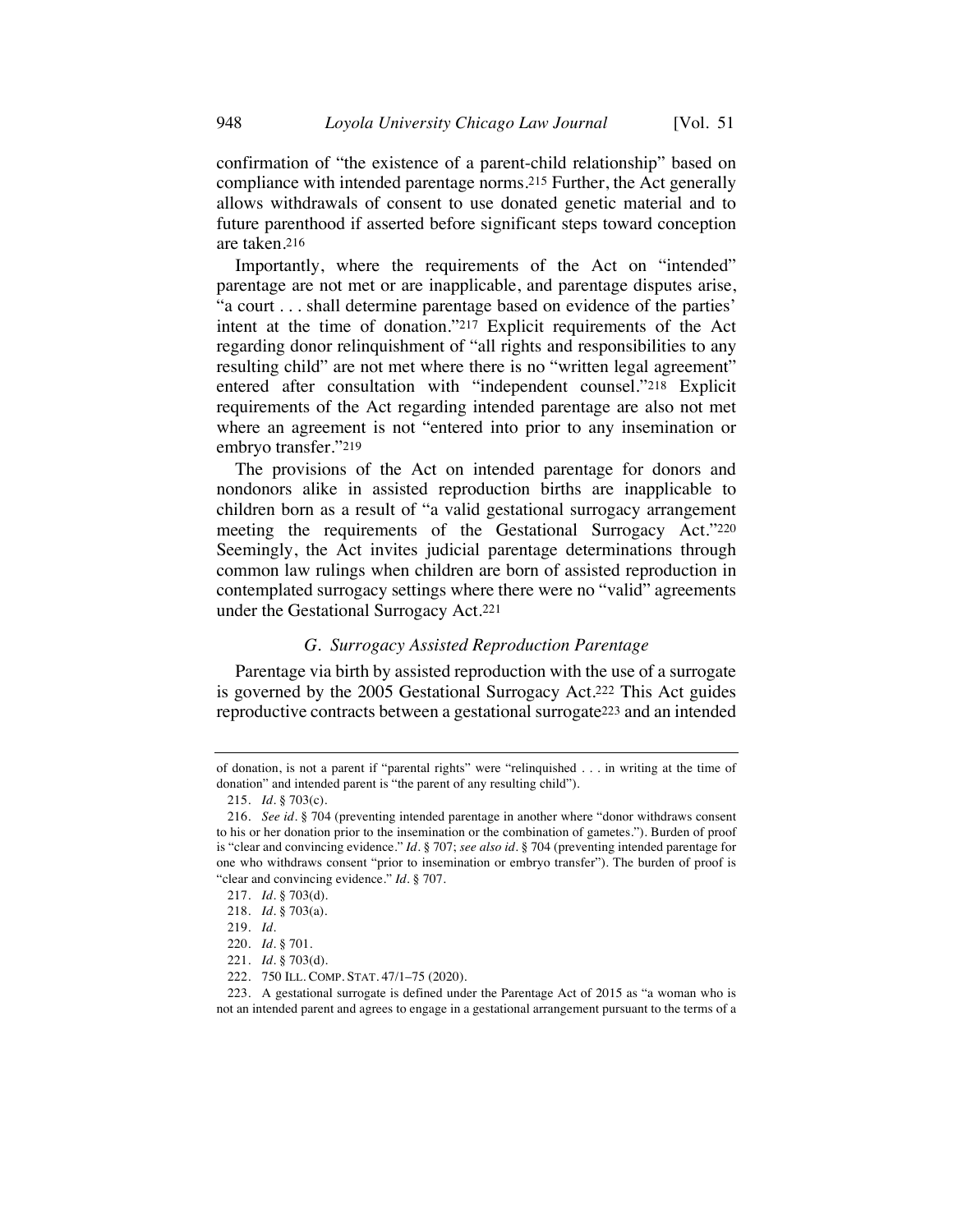confirmation of "the existence of a parent-child relationship" based on compliance with intended parentage norms.215 Further, the Act generally allows withdrawals of consent to use donated genetic material and to future parenthood if asserted before significant steps toward conception are taken.216

Importantly, where the requirements of the Act on "intended" parentage are not met or are inapplicable, and parentage disputes arise, "a court . . . shall determine parentage based on evidence of the parties' intent at the time of donation."217 Explicit requirements of the Act regarding donor relinquishment of "all rights and responsibilities to any resulting child" are not met where there is no "written legal agreement" entered after consultation with "independent counsel."218 Explicit requirements of the Act regarding intended parentage are also not met where an agreement is not "entered into prior to any insemination or embryo transfer."219

The provisions of the Act on intended parentage for donors and nondonors alike in assisted reproduction births are inapplicable to children born as a result of "a valid gestational surrogacy arrangement meeting the requirements of the Gestational Surrogacy Act."220 Seemingly, the Act invites judicial parentage determinations through common law rulings when children are born of assisted reproduction in contemplated surrogacy settings where there were no "valid" agreements under the Gestational Surrogacy Act.221

## *G. Surrogacy Assisted Reproduction Parentage*

Parentage via birth by assisted reproduction with the use of a surrogate is governed by the 2005 Gestational Surrogacy Act.222 This Act guides reproductive contracts between a gestational surrogate223 and an intended

of donation, is not a parent if "parental rights" were "relinquished . . . in writing at the time of donation" and intended parent is "the parent of any resulting child").

<sup>215.</sup> *Id.* § 703(c).

<sup>216.</sup> *See id.* § 704 (preventing intended parentage in another where "donor withdraws consent to his or her donation prior to the insemination or the combination of gametes."). Burden of proof is "clear and convincing evidence." *Id.* § 707; *see also id.* § 704 (preventing intended parentage for one who withdraws consent "prior to insemination or embryo transfer"). The burden of proof is "clear and convincing evidence." *Id.* § 707.

<sup>217.</sup> *Id.* § 703(d).

<sup>218.</sup> *Id.* § 703(a).

<sup>219.</sup> *Id.*

<sup>220.</sup> *Id.* § 701.

<sup>221.</sup> *Id.* § 703(d).

<sup>222.</sup> 750 ILL. COMP. STAT. 47/1–75 (2020).

<sup>223.</sup> A gestational surrogate is defined under the Parentage Act of 2015 as "a woman who is not an intended parent and agrees to engage in a gestational arrangement pursuant to the terms of a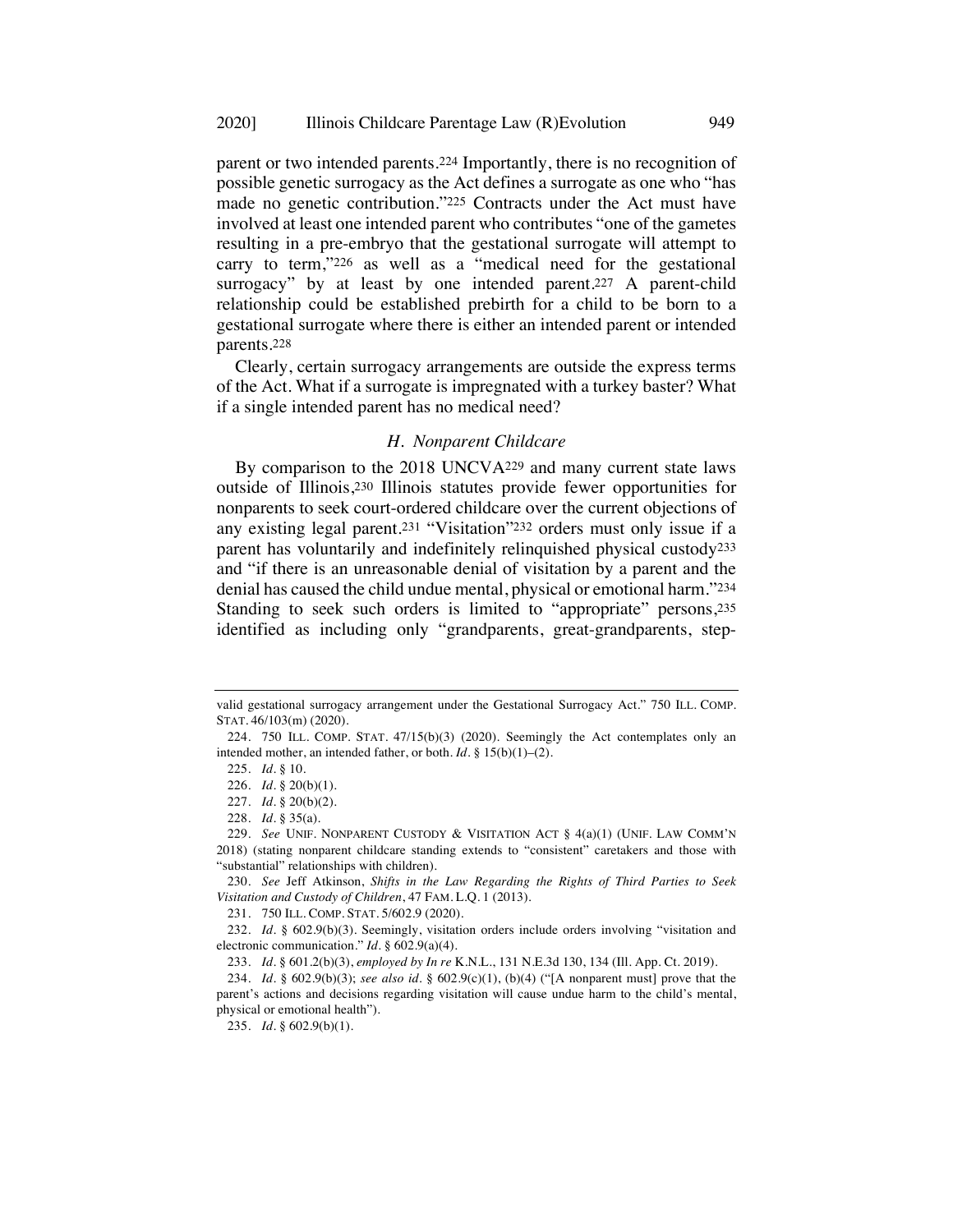parent or two intended parents.224 Importantly, there is no recognition of possible genetic surrogacy as the Act defines a surrogate as one who "has made no genetic contribution."225 Contracts under the Act must have involved at least one intended parent who contributes "one of the gametes resulting in a pre-embryo that the gestational surrogate will attempt to carry to term,"226 as well as a "medical need for the gestational surrogacy" by at least by one intended parent.<sup>227</sup> A parent-child relationship could be established prebirth for a child to be born to a gestational surrogate where there is either an intended parent or intended parents.228

Clearly, certain surrogacy arrangements are outside the express terms of the Act. What if a surrogate is impregnated with a turkey baster? What if a single intended parent has no medical need?

#### *H. Nonparent Childcare*

By comparison to the 2018 UNCVA229 and many current state laws outside of Illinois,230 Illinois statutes provide fewer opportunities for nonparents to seek court-ordered childcare over the current objections of any existing legal parent.231 "Visitation"232 orders must only issue if a parent has voluntarily and indefinitely relinquished physical custody233 and "if there is an unreasonable denial of visitation by a parent and the denial has caused the child undue mental, physical or emotional harm."234 Standing to seek such orders is limited to "appropriate" persons, 235 identified as including only "grandparents, great-grandparents, step-

231. 750 ILL. COMP. STAT. 5/602.9 (2020).

232. *Id.* § 602.9(b)(3). Seemingly, visitation orders include orders involving "visitation and electronic communication." *Id.* § 602.9(a)(4).

233. *Id.* § 601.2(b)(3), *employed by In re* K.N.L., 131 N.E.3d 130, 134 (Ill. App. Ct. 2019).

valid gestational surrogacy arrangement under the Gestational Surrogacy Act." 750 ILL. COMP. STAT. 46/103(m) (2020).

<sup>224.</sup> 750 ILL. COMP. STAT. 47/15(b)(3) (2020). Seemingly the Act contemplates only an intended mother, an intended father, or both. *Id.* § 15(b)(1)–(2).

<sup>225.</sup> *Id.* § 10.

<sup>226.</sup> *Id.* § 20(b)(1).

<sup>227.</sup> *Id.* § 20(b)(2).

<sup>228.</sup> *Id.* § 35(a).

<sup>229.</sup> *See* UNIF. NONPARENT CUSTODY & VISITATION ACT § 4(a)(1) (UNIF. LAW COMM'N 2018) (stating nonparent childcare standing extends to "consistent" caretakers and those with "substantial" relationships with children).

<sup>230.</sup> *See* Jeff Atkinson, *Shifts in the Law Regarding the Rights of Third Parties to Seek Visitation and Custody of Children*, 47 FAM. L.Q. 1 (2013).

<sup>234.</sup> *Id.* § 602.9(b)(3); *see also id.* § 602.9(c)(1), (b)(4) ("[A nonparent must] prove that the parent's actions and decisions regarding visitation will cause undue harm to the child's mental, physical or emotional health").

<sup>235.</sup> *Id.* § 602.9(b)(1).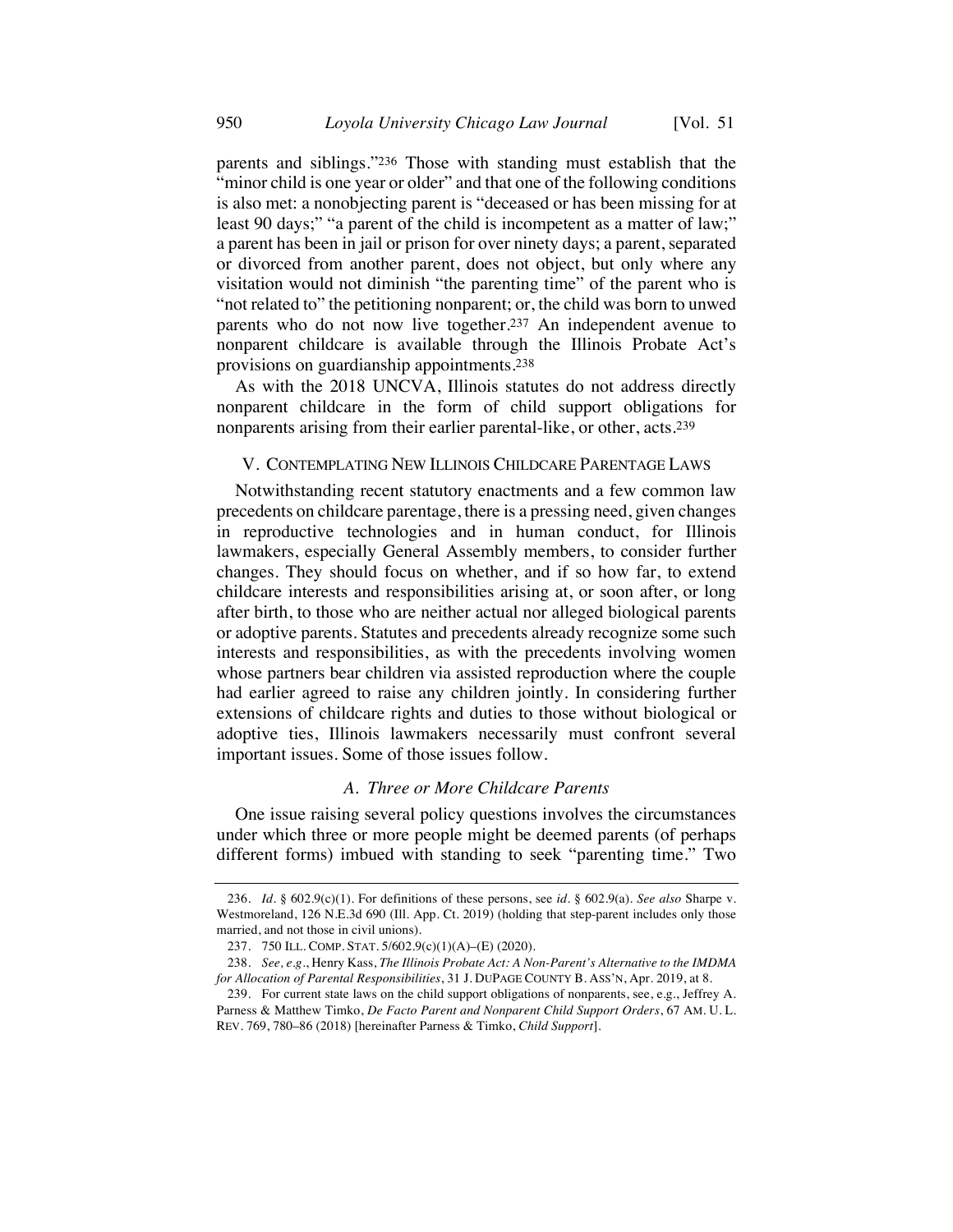parents and siblings."236 Those with standing must establish that the "minor child is one year or older" and that one of the following conditions is also met: a nonobjecting parent is "deceased or has been missing for at least 90 days;" "a parent of the child is incompetent as a matter of law;" a parent has been in jail or prison for over ninety days; a parent, separated or divorced from another parent, does not object, but only where any visitation would not diminish "the parenting time" of the parent who is "not related to" the petitioning nonparent; or, the child was born to unwed parents who do not now live together.237 An independent avenue to nonparent childcare is available through the Illinois Probate Act's provisions on guardianship appointments.238

As with the 2018 UNCVA, Illinois statutes do not address directly nonparent childcare in the form of child support obligations for nonparents arising from their earlier parental-like, or other, acts.239

#### V. CONTEMPLATING NEW ILLINOIS CHILDCARE PARENTAGE LAWS

Notwithstanding recent statutory enactments and a few common law precedents on childcare parentage, there is a pressing need, given changes in reproductive technologies and in human conduct, for Illinois lawmakers, especially General Assembly members, to consider further changes. They should focus on whether, and if so how far, to extend childcare interests and responsibilities arising at, or soon after, or long after birth, to those who are neither actual nor alleged biological parents or adoptive parents. Statutes and precedents already recognize some such interests and responsibilities, as with the precedents involving women whose partners bear children via assisted reproduction where the couple had earlier agreed to raise any children jointly. In considering further extensions of childcare rights and duties to those without biological or adoptive ties, Illinois lawmakers necessarily must confront several important issues. Some of those issues follow.

#### *A. Three or More Childcare Parents*

One issue raising several policy questions involves the circumstances under which three or more people might be deemed parents (of perhaps different forms) imbued with standing to seek "parenting time." Two

<sup>236.</sup> *Id.* § 602.9(c)(1). For definitions of these persons, see *id.* § 602.9(a). *See also* Sharpe v. Westmoreland, 126 N.E.3d 690 (Ill. App. Ct. 2019) (holding that step-parent includes only those married, and not those in civil unions).

<sup>237.</sup> 750 ILL. COMP. STAT. 5/602.9(c)(1)(A)–(E) (2020).

<sup>238.</sup> *See, e.g.*, Henry Kass, *The Illinois Probate Act: A Non-Parent's Alternative to the IMDMA for Allocation of Parental Responsibilities*, 31 J. DUPAGE COUNTY B. ASS'N, Apr. 2019, at 8.

<sup>239.</sup> For current state laws on the child support obligations of nonparents, see, e.g., Jeffrey A. Parness & Matthew Timko, *De Facto Parent and Nonparent Child Support Orders*, 67 AM. U. L. REV. 769, 780–86 (2018) [hereinafter Parness & Timko, *Child Support*].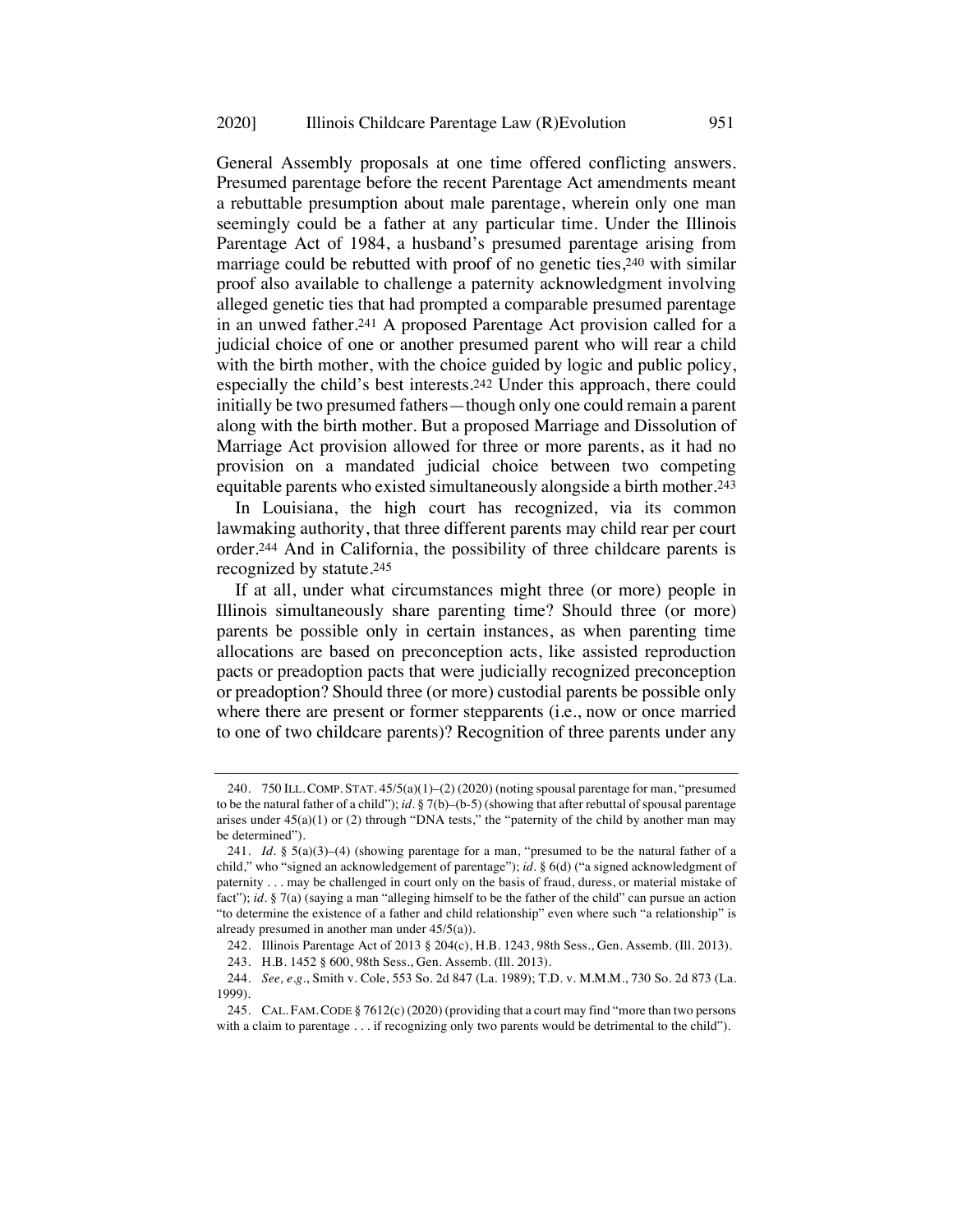General Assembly proposals at one time offered conflicting answers. Presumed parentage before the recent Parentage Act amendments meant a rebuttable presumption about male parentage, wherein only one man seemingly could be a father at any particular time. Under the Illinois Parentage Act of 1984, a husband's presumed parentage arising from marriage could be rebutted with proof of no genetic ties,<sup>240</sup> with similar proof also available to challenge a paternity acknowledgment involving alleged genetic ties that had prompted a comparable presumed parentage in an unwed father.241 A proposed Parentage Act provision called for a judicial choice of one or another presumed parent who will rear a child with the birth mother, with the choice guided by logic and public policy, especially the child's best interests.242 Under this approach, there could initially be two presumed fathers—though only one could remain a parent along with the birth mother. But a proposed Marriage and Dissolution of Marriage Act provision allowed for three or more parents, as it had no provision on a mandated judicial choice between two competing equitable parents who existed simultaneously alongside a birth mother.243

In Louisiana, the high court has recognized, via its common lawmaking authority, that three different parents may child rear per court order.244 And in California, the possibility of three childcare parents is recognized by statute.245

If at all, under what circumstances might three (or more) people in Illinois simultaneously share parenting time? Should three (or more) parents be possible only in certain instances, as when parenting time allocations are based on preconception acts, like assisted reproduction pacts or preadoption pacts that were judicially recognized preconception or preadoption? Should three (or more) custodial parents be possible only where there are present or former stepparents (i.e., now or once married to one of two childcare parents)? Recognition of three parents under any

<sup>240.</sup> 750 ILL.COMP. STAT. 45/5(a)(1)–(2) (2020) (noting spousal parentage for man, "presumed to be the natural father of a child"); *id.* § 7(b)–(b-5) (showing that after rebuttal of spousal parentage arises under  $45(a)(1)$  or (2) through "DNA tests," the "paternity of the child by another man may be determined").

<sup>241.</sup> *Id.* § 5(a)(3)–(4) (showing parentage for a man, "presumed to be the natural father of a child," who "signed an acknowledgement of parentage"); *id.* § 6(d) ("a signed acknowledgment of paternity . . . may be challenged in court only on the basis of fraud, duress, or material mistake of fact"); *id.* § 7(a) (saying a man "alleging himself to be the father of the child" can pursue an action "to determine the existence of a father and child relationship" even where such "a relationship" is already presumed in another man under 45/5(a)).

<sup>242.</sup> Illinois Parentage Act of 2013 § 204(c), H.B. 1243, 98th Sess., Gen. Assemb. (Ill. 2013).

<sup>243.</sup> H.B. 1452 § 600, 98th Sess., Gen. Assemb. (Ill. 2013).

<sup>244.</sup> *See, e.g.*, Smith v. Cole, 553 So. 2d 847 (La. 1989); T.D. v. M.M.M., 730 So. 2d 873 (La. 1999).

<sup>245.</sup> CAL. FAM.CODE § 7612(c) (2020) (providing that a court may find "more than two persons with a claim to parentage . . . if recognizing only two parents would be detrimental to the child").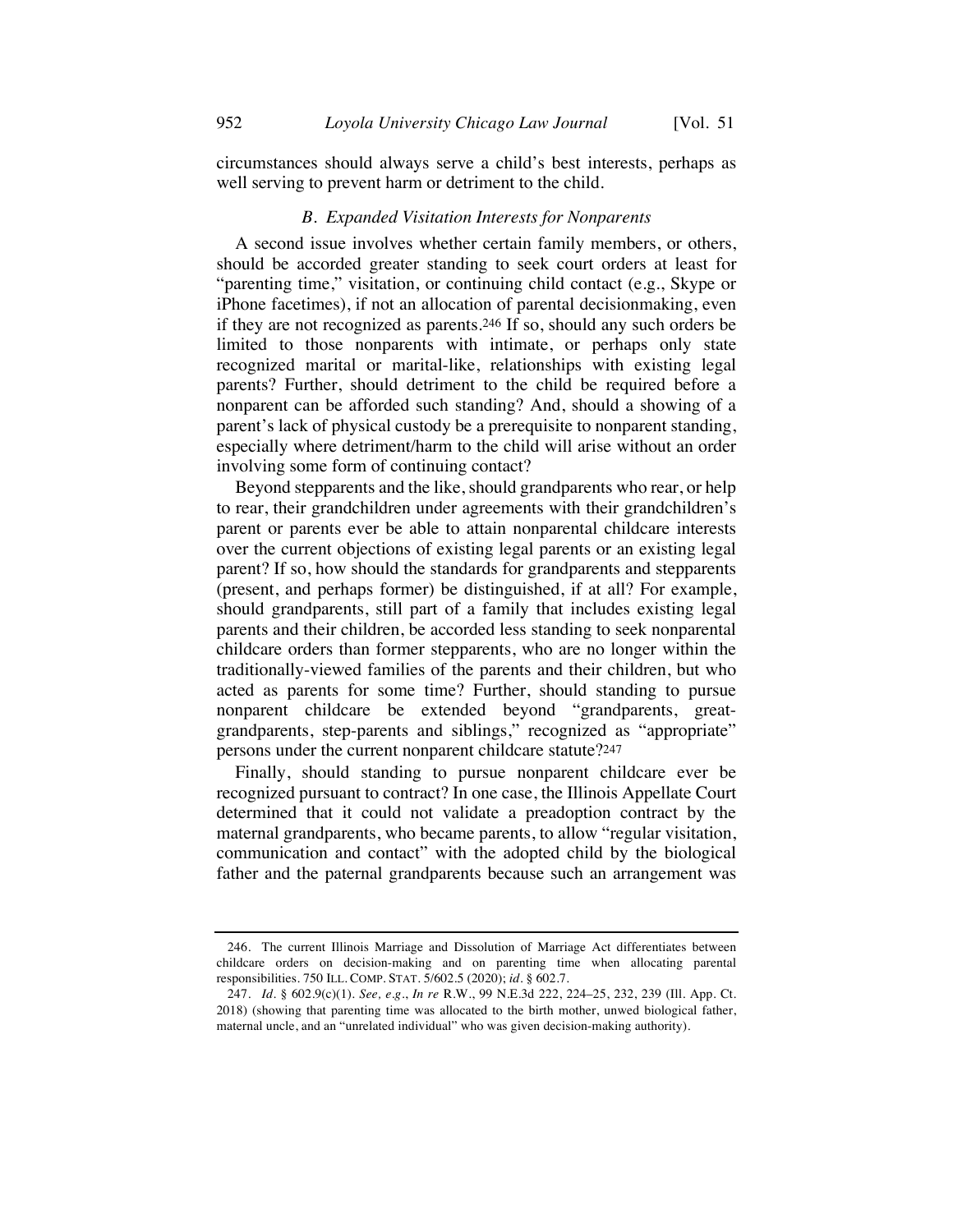circumstances should always serve a child's best interests, perhaps as well serving to prevent harm or detriment to the child.

#### *B. Expanded Visitation Interests for Nonparents*

A second issue involves whether certain family members, or others, should be accorded greater standing to seek court orders at least for "parenting time," visitation, or continuing child contact (e.g., Skype or iPhone facetimes), if not an allocation of parental decisionmaking, even if they are not recognized as parents.246 If so, should any such orders be limited to those nonparents with intimate, or perhaps only state recognized marital or marital-like, relationships with existing legal parents? Further, should detriment to the child be required before a nonparent can be afforded such standing? And, should a showing of a parent's lack of physical custody be a prerequisite to nonparent standing, especially where detriment/harm to the child will arise without an order involving some form of continuing contact?

Beyond stepparents and the like, should grandparents who rear, or help to rear, their grandchildren under agreements with their grandchildren's parent or parents ever be able to attain nonparental childcare interests over the current objections of existing legal parents or an existing legal parent? If so, how should the standards for grandparents and stepparents (present, and perhaps former) be distinguished, if at all? For example, should grandparents, still part of a family that includes existing legal parents and their children, be accorded less standing to seek nonparental childcare orders than former stepparents, who are no longer within the traditionally-viewed families of the parents and their children, but who acted as parents for some time? Further, should standing to pursue nonparent childcare be extended beyond "grandparents, greatgrandparents, step-parents and siblings," recognized as "appropriate" persons under the current nonparent childcare statute?247

Finally, should standing to pursue nonparent childcare ever be recognized pursuant to contract? In one case, the Illinois Appellate Court determined that it could not validate a preadoption contract by the maternal grandparents, who became parents, to allow "regular visitation, communication and contact" with the adopted child by the biological father and the paternal grandparents because such an arrangement was

<sup>246.</sup> The current Illinois Marriage and Dissolution of Marriage Act differentiates between childcare orders on decision-making and on parenting time when allocating parental responsibilities. 750 ILL. COMP. STAT. 5/602.5 (2020); *id.* § 602.7.

<sup>247.</sup> *Id.* § 602.9(c)(1). *See, e.g.*, *In re* R.W., 99 N.E.3d 222, 224–25, 232, 239 (Ill. App. Ct. 2018) (showing that parenting time was allocated to the birth mother, unwed biological father, maternal uncle, and an "unrelated individual" who was given decision-making authority).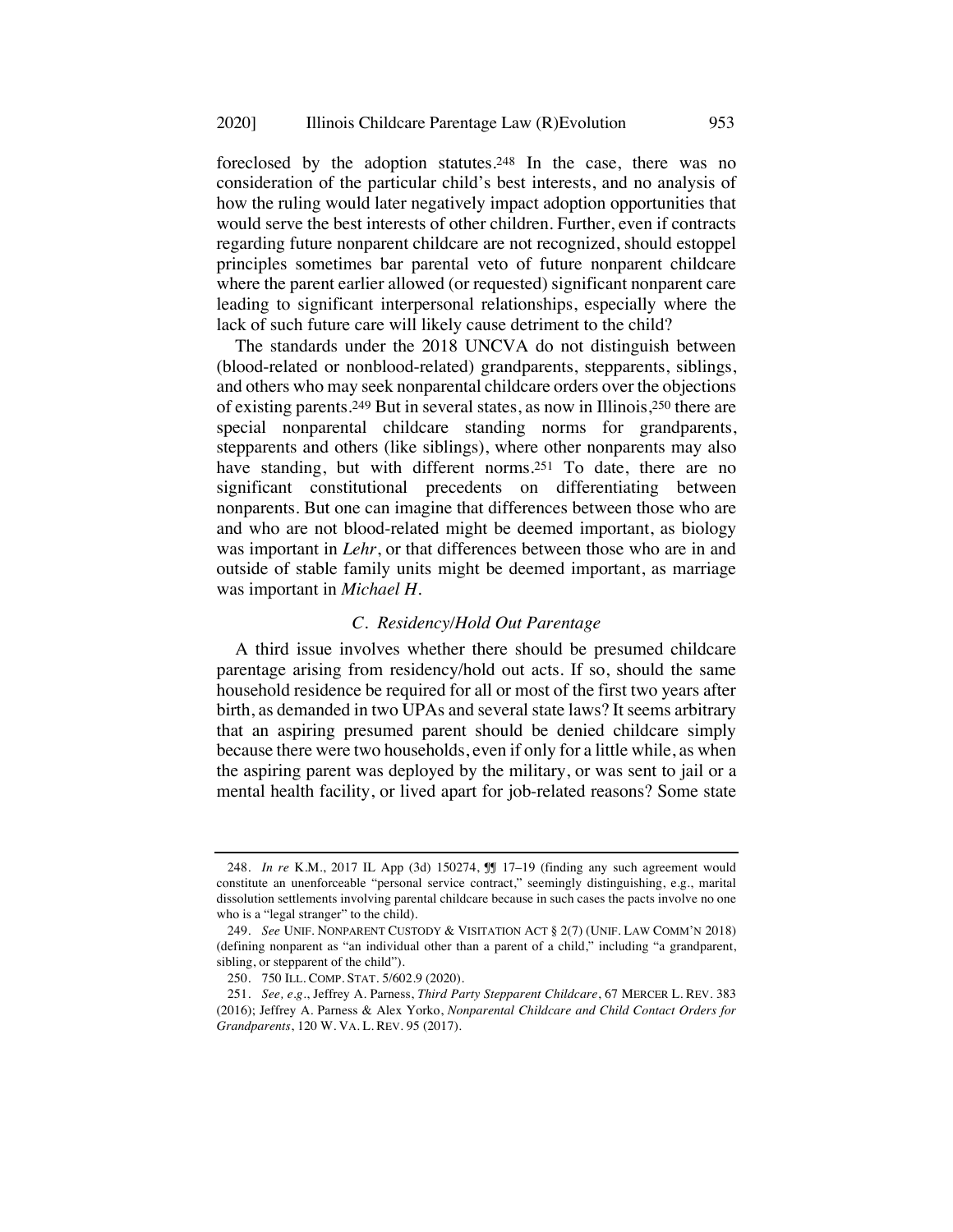foreclosed by the adoption statutes.248 In the case, there was no consideration of the particular child's best interests, and no analysis of how the ruling would later negatively impact adoption opportunities that would serve the best interests of other children. Further, even if contracts regarding future nonparent childcare are not recognized, should estoppel principles sometimes bar parental veto of future nonparent childcare where the parent earlier allowed (or requested) significant nonparent care leading to significant interpersonal relationships, especially where the lack of such future care will likely cause detriment to the child?

The standards under the 2018 UNCVA do not distinguish between (blood-related or nonblood-related) grandparents, stepparents, siblings, and others who may seek nonparental childcare orders over the objections of existing parents.249 But in several states, as now in Illinois,250 there are special nonparental childcare standing norms for grandparents, stepparents and others (like siblings), where other nonparents may also have standing, but with different norms.<sup>251</sup> To date, there are no significant constitutional precedents on differentiating between nonparents. But one can imagine that differences between those who are and who are not blood-related might be deemed important, as biology was important in *Lehr*, or that differences between those who are in and outside of stable family units might be deemed important, as marriage was important in *Michael H.*

#### *C. Residency/Hold Out Parentage*

A third issue involves whether there should be presumed childcare parentage arising from residency/hold out acts. If so, should the same household residence be required for all or most of the first two years after birth, as demanded in two UPAs and several state laws? It seems arbitrary that an aspiring presumed parent should be denied childcare simply because there were two households, even if only for a little while, as when the aspiring parent was deployed by the military, or was sent to jail or a mental health facility, or lived apart for job-related reasons? Some state

<sup>248.</sup> *In re* K.M., 2017 IL App (3d) 150274, ¶¶ 17–19 (finding any such agreement would constitute an unenforceable "personal service contract," seemingly distinguishing, e.g., marital dissolution settlements involving parental childcare because in such cases the pacts involve no one who is a "legal stranger" to the child).

<sup>249.</sup> *See* UNIF. NONPARENT CUSTODY & VISITATION ACT § 2(7) (UNIF. LAW COMM'N 2018) (defining nonparent as "an individual other than a parent of a child," including "a grandparent, sibling, or stepparent of the child").

<sup>250.</sup> 750 ILL. COMP. STAT. 5/602.9 (2020).

<sup>251.</sup> *See, e.g.*, Jeffrey A. Parness, *Third Party Stepparent Childcare*, 67 MERCER L. REV. 383 (2016); Jeffrey A. Parness & Alex Yorko, *Nonparental Childcare and Child Contact Orders for Grandparents*, 120 W. VA. L. REV. 95 (2017).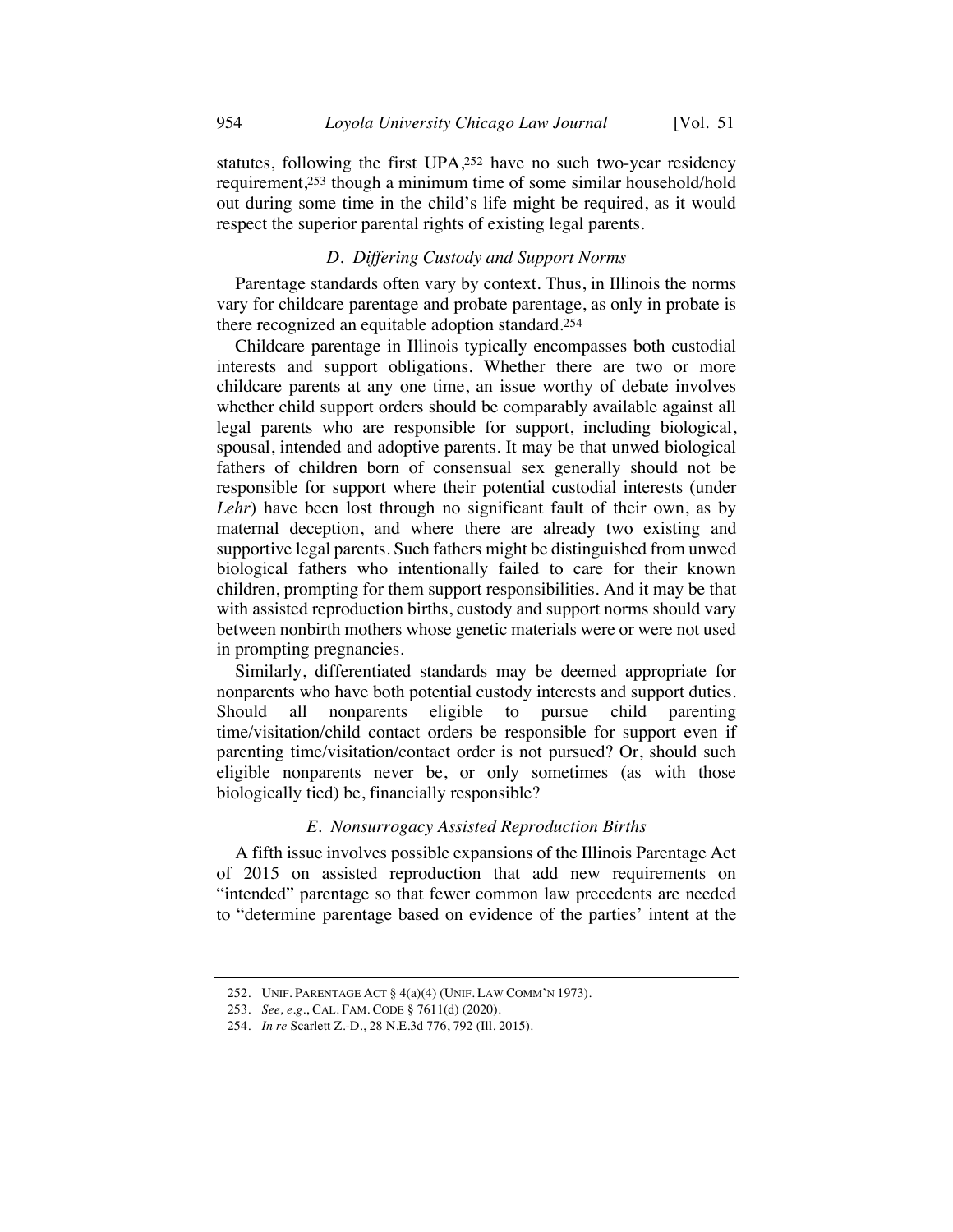statutes, following the first UPA,252 have no such two-year residency requirement,253 though a minimum time of some similar household/hold out during some time in the child's life might be required, as it would respect the superior parental rights of existing legal parents.

## *D. Differing Custody and Support Norms*

Parentage standards often vary by context. Thus, in Illinois the norms vary for childcare parentage and probate parentage, as only in probate is there recognized an equitable adoption standard.254

Childcare parentage in Illinois typically encompasses both custodial interests and support obligations. Whether there are two or more childcare parents at any one time, an issue worthy of debate involves whether child support orders should be comparably available against all legal parents who are responsible for support, including biological, spousal, intended and adoptive parents. It may be that unwed biological fathers of children born of consensual sex generally should not be responsible for support where their potential custodial interests (under *Lehr*) have been lost through no significant fault of their own, as by maternal deception, and where there are already two existing and supportive legal parents. Such fathers might be distinguished from unwed biological fathers who intentionally failed to care for their known children, prompting for them support responsibilities. And it may be that with assisted reproduction births, custody and support norms should vary between nonbirth mothers whose genetic materials were or were not used in prompting pregnancies.

Similarly, differentiated standards may be deemed appropriate for nonparents who have both potential custody interests and support duties. Should all nonparents eligible to pursue child parenting time/visitation/child contact orders be responsible for support even if parenting time/visitation/contact order is not pursued? Or, should such eligible nonparents never be, or only sometimes (as with those biologically tied) be, financially responsible?

#### *E. Nonsurrogacy Assisted Reproduction Births*

A fifth issue involves possible expansions of the Illinois Parentage Act of 2015 on assisted reproduction that add new requirements on "intended" parentage so that fewer common law precedents are needed to "determine parentage based on evidence of the parties' intent at the

<sup>252.</sup> UNIF. PARENTAGE ACT § 4(a)(4) (UNIF. LAW COMM'N 1973).

<sup>253.</sup> *See, e.g*., CAL. FAM. CODE § 7611(d) (2020).

<sup>254.</sup> *In re* Scarlett Z.-D., 28 N.E.3d 776, 792 (Ill. 2015).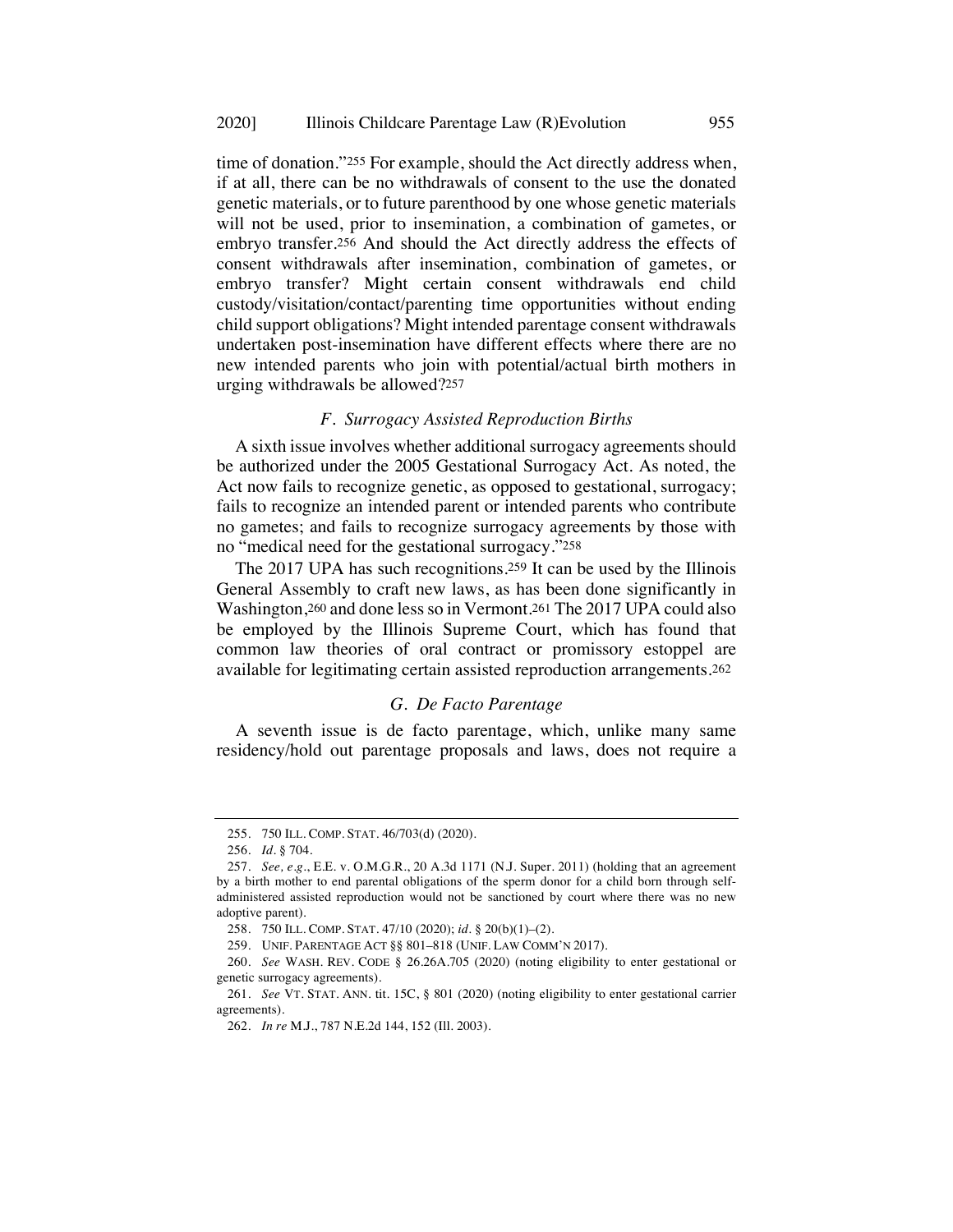time of donation."255 For example, should the Act directly address when, if at all, there can be no withdrawals of consent to the use the donated genetic materials, or to future parenthood by one whose genetic materials will not be used, prior to insemination, a combination of gametes, or embryo transfer.256 And should the Act directly address the effects of consent withdrawals after insemination, combination of gametes, or embryo transfer? Might certain consent withdrawals end child custody/visitation/contact/parenting time opportunities without ending child support obligations? Might intended parentage consent withdrawals undertaken post-insemination have different effects where there are no new intended parents who join with potential/actual birth mothers in urging withdrawals be allowed?257

## *F. Surrogacy Assisted Reproduction Births*

A sixth issue involves whether additional surrogacy agreements should be authorized under the 2005 Gestational Surrogacy Act. As noted, the Act now fails to recognize genetic, as opposed to gestational, surrogacy; fails to recognize an intended parent or intended parents who contribute no gametes; and fails to recognize surrogacy agreements by those with no "medical need for the gestational surrogacy."258

The 2017 UPA has such recognitions.259 It can be used by the Illinois General Assembly to craft new laws, as has been done significantly in Washington,260 and done less so in Vermont.261 The 2017 UPA could also be employed by the Illinois Supreme Court, which has found that common law theories of oral contract or promissory estoppel are available for legitimating certain assisted reproduction arrangements.262

## *G. De Facto Parentage*

A seventh issue is de facto parentage, which, unlike many same residency/hold out parentage proposals and laws, does not require a

<sup>255.</sup> 750 ILL. COMP. STAT. 46/703(d) (2020).

<sup>256.</sup> *Id.* § 704.

<sup>257.</sup> *See, e.g.*, E.E. v. O.M.G.R., 20 A.3d 1171 (N.J. Super. 2011) (holding that an agreement by a birth mother to end parental obligations of the sperm donor for a child born through selfadministered assisted reproduction would not be sanctioned by court where there was no new adoptive parent).

<sup>258.</sup> 750 ILL. COMP. STAT. 47/10 (2020); *id.* § 20(b)(1)–(2).

<sup>259.</sup> UNIF. PARENTAGE ACT §§ 801–818 (UNIF. LAW COMM'N 2017).

<sup>260.</sup> *See* WASH. REV. CODE § 26.26A.705 (2020) (noting eligibility to enter gestational or genetic surrogacy agreements).

<sup>261.</sup> *See* VT. STAT. ANN. tit. 15C, § 801 (2020) (noting eligibility to enter gestational carrier agreements).

<sup>262.</sup> *In re* M.J., 787 N.E.2d 144, 152 (Ill. 2003).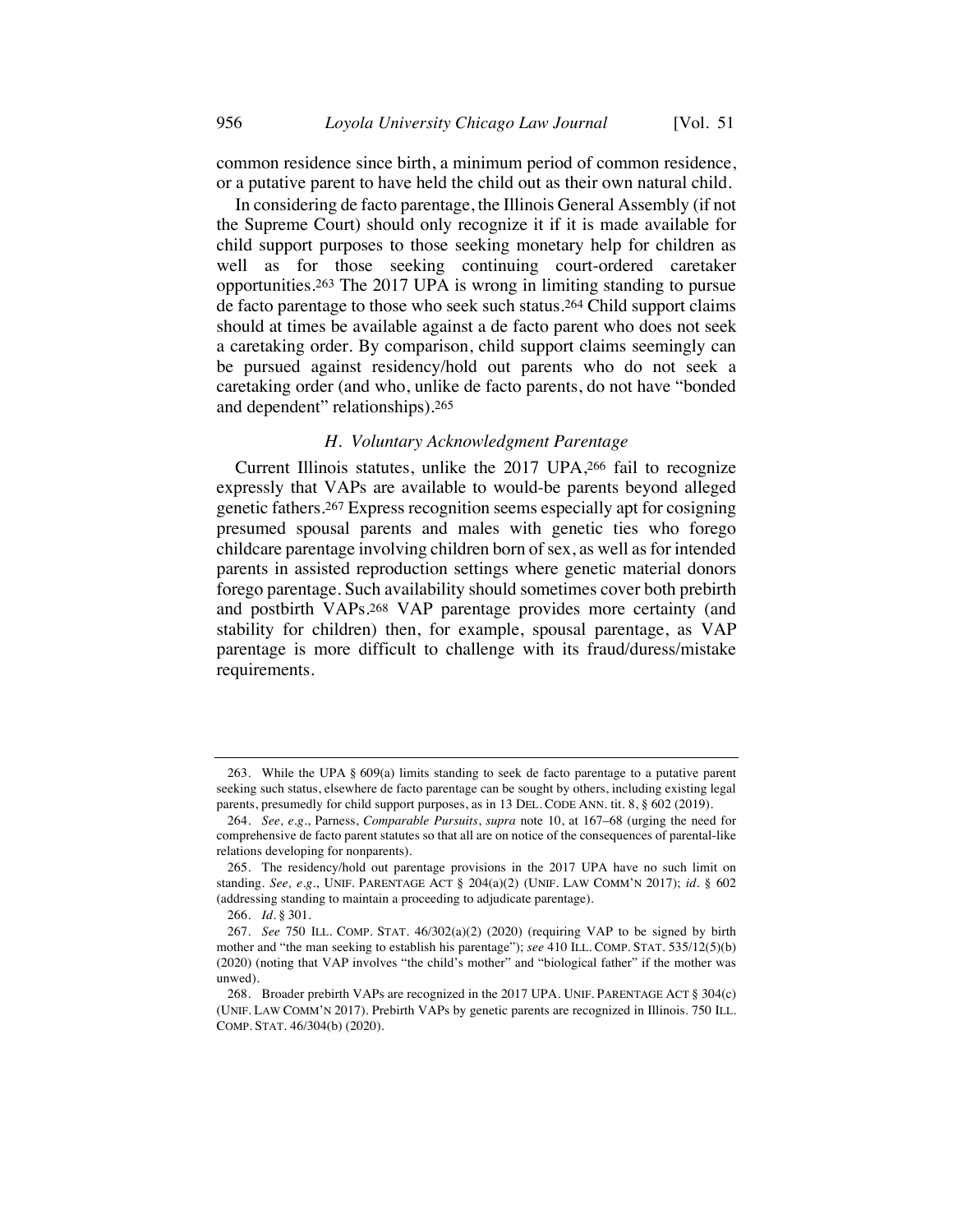common residence since birth, a minimum period of common residence, or a putative parent to have held the child out as their own natural child.

In considering de facto parentage, the Illinois General Assembly (if not the Supreme Court) should only recognize it if it is made available for child support purposes to those seeking monetary help for children as well as for those seeking continuing court-ordered caretaker opportunities.263 The 2017 UPA is wrong in limiting standing to pursue de facto parentage to those who seek such status.264 Child support claims should at times be available against a de facto parent who does not seek a caretaking order. By comparison, child support claims seemingly can be pursued against residency/hold out parents who do not seek a caretaking order (and who, unlike de facto parents, do not have "bonded and dependent" relationships).265

## *H. Voluntary Acknowledgment Parentage*

Current Illinois statutes, unlike the 2017 UPA,266 fail to recognize expressly that VAPs are available to would-be parents beyond alleged genetic fathers.267 Express recognition seems especially apt for cosigning presumed spousal parents and males with genetic ties who forego childcare parentage involving children born of sex, as well as for intended parents in assisted reproduction settings where genetic material donors forego parentage. Such availability should sometimes cover both prebirth and postbirth VAPs.268 VAP parentage provides more certainty (and stability for children) then, for example, spousal parentage, as VAP parentage is more difficult to challenge with its fraud/duress/mistake requirements.

<sup>263.</sup> While the UPA § 609(a) limits standing to seek de facto parentage to a putative parent seeking such status, elsewhere de facto parentage can be sought by others, including existing legal parents, presumedly for child support purposes, as in 13 DEL. CODE ANN. tit. 8, § 602 (2019).

<sup>264.</sup> *See, e.g.*, Parness, *Comparable Pursuits*, *supra* note 10, at 167–68 (urging the need for comprehensive de facto parent statutes so that all are on notice of the consequences of parental-like relations developing for nonparents).

<sup>265.</sup> The residency/hold out parentage provisions in the 2017 UPA have no such limit on standing. *See, e.g.*, UNIF. PARENTAGE ACT § 204(a)(2) (UNIF. LAW COMM'N 2017); *id.* § 602 (addressing standing to maintain a proceeding to adjudicate parentage).

<sup>266.</sup> *Id.* § 301.

<sup>267.</sup> *See* 750 ILL. COMP. STAT. 46/302(a)(2) (2020) (requiring VAP to be signed by birth mother and "the man seeking to establish his parentage"); *see* 410 ILL. COMP. STAT. 535/12(5)(b) (2020) (noting that VAP involves "the child's mother" and "biological father" if the mother was unwed).

<sup>268.</sup> Broader prebirth VAPs are recognized in the 2017 UPA. UNIF. PARENTAGE ACT § 304(c) (UNIF. LAW COMM'N 2017). Prebirth VAPs by genetic parents are recognized in Illinois. 750 ILL. COMP. STAT. 46/304(b) (2020).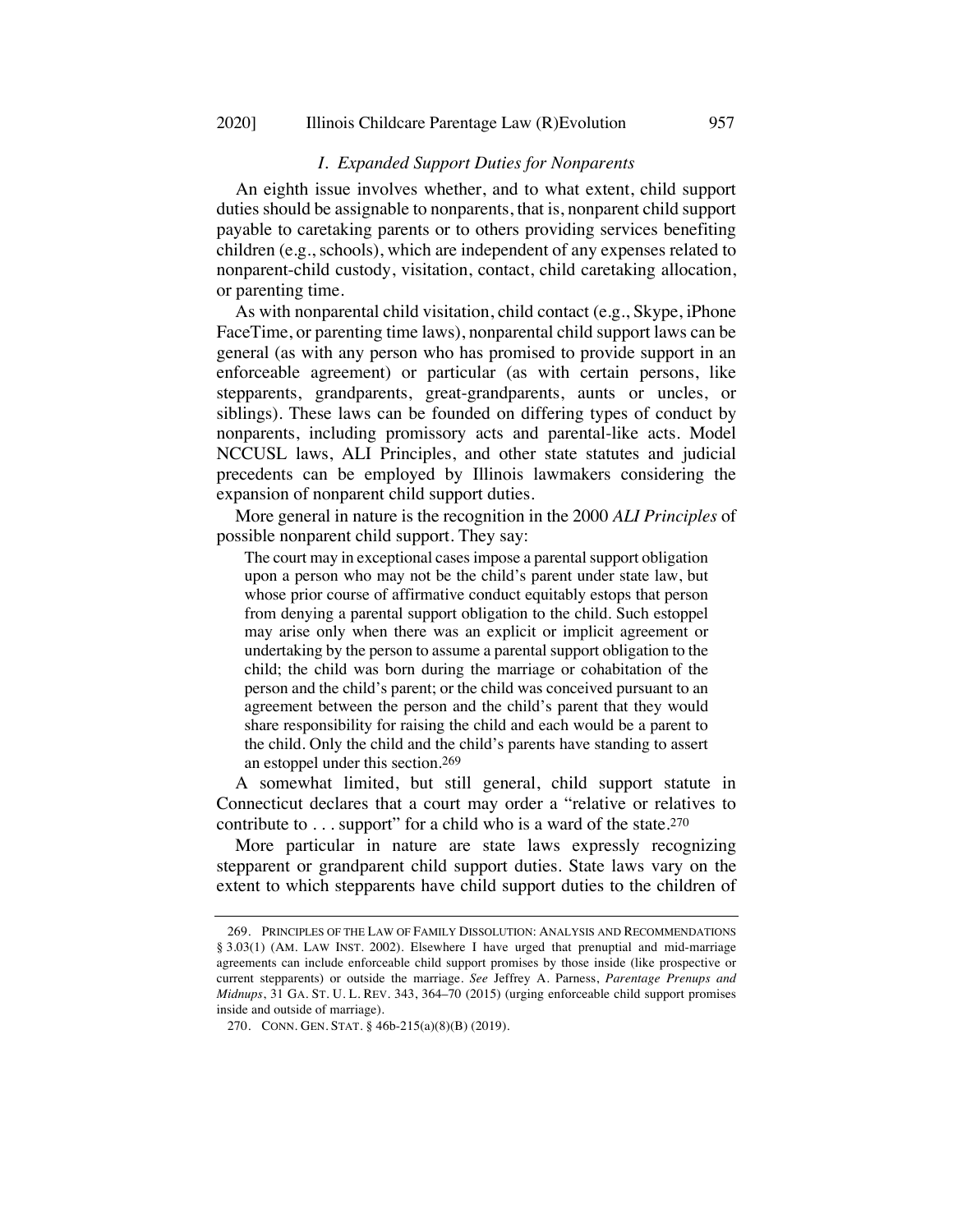## *I. Expanded Support Duties for Nonparents*

An eighth issue involves whether, and to what extent, child support duties should be assignable to nonparents, that is, nonparent child support payable to caretaking parents or to others providing services benefiting children (e.g., schools), which are independent of any expenses related to nonparent-child custody, visitation, contact, child caretaking allocation, or parenting time.

As with nonparental child visitation, child contact (e.g., Skype, iPhone FaceTime, or parenting time laws), nonparental child support laws can be general (as with any person who has promised to provide support in an enforceable agreement) or particular (as with certain persons, like stepparents, grandparents, great-grandparents, aunts or uncles, or siblings). These laws can be founded on differing types of conduct by nonparents, including promissory acts and parental-like acts. Model NCCUSL laws, ALI Principles, and other state statutes and judicial precedents can be employed by Illinois lawmakers considering the expansion of nonparent child support duties.

More general in nature is the recognition in the 2000 *ALI Principles* of possible nonparent child support. They say:

The court may in exceptional cases impose a parental support obligation upon a person who may not be the child's parent under state law, but whose prior course of affirmative conduct equitably estops that person from denying a parental support obligation to the child. Such estoppel may arise only when there was an explicit or implicit agreement or undertaking by the person to assume a parental support obligation to the child; the child was born during the marriage or cohabitation of the person and the child's parent; or the child was conceived pursuant to an agreement between the person and the child's parent that they would share responsibility for raising the child and each would be a parent to the child. Only the child and the child's parents have standing to assert an estoppel under this section.269

A somewhat limited, but still general, child support statute in Connecticut declares that a court may order a "relative or relatives to contribute to  $\dots$  support" for a child who is a ward of the state.<sup>270</sup>

More particular in nature are state laws expressly recognizing stepparent or grandparent child support duties. State laws vary on the extent to which stepparents have child support duties to the children of

<sup>269.</sup> PRINCIPLES OF THE LAW OF FAMILY DISSOLUTION: ANALYSIS AND RECOMMENDATIONS § 3.03(1) (AM. LAW INST. 2002). Elsewhere I have urged that prenuptial and mid-marriage agreements can include enforceable child support promises by those inside (like prospective or current stepparents) or outside the marriage. *See* Jeffrey A. Parness, *Parentage Prenups and Midnups*, 31 GA. ST. U. L. REV. 343, 364–70 (2015) (urging enforceable child support promises inside and outside of marriage).

<sup>270.</sup> CONN. GEN. STAT. § 46b-215(a)(8)(B) (2019).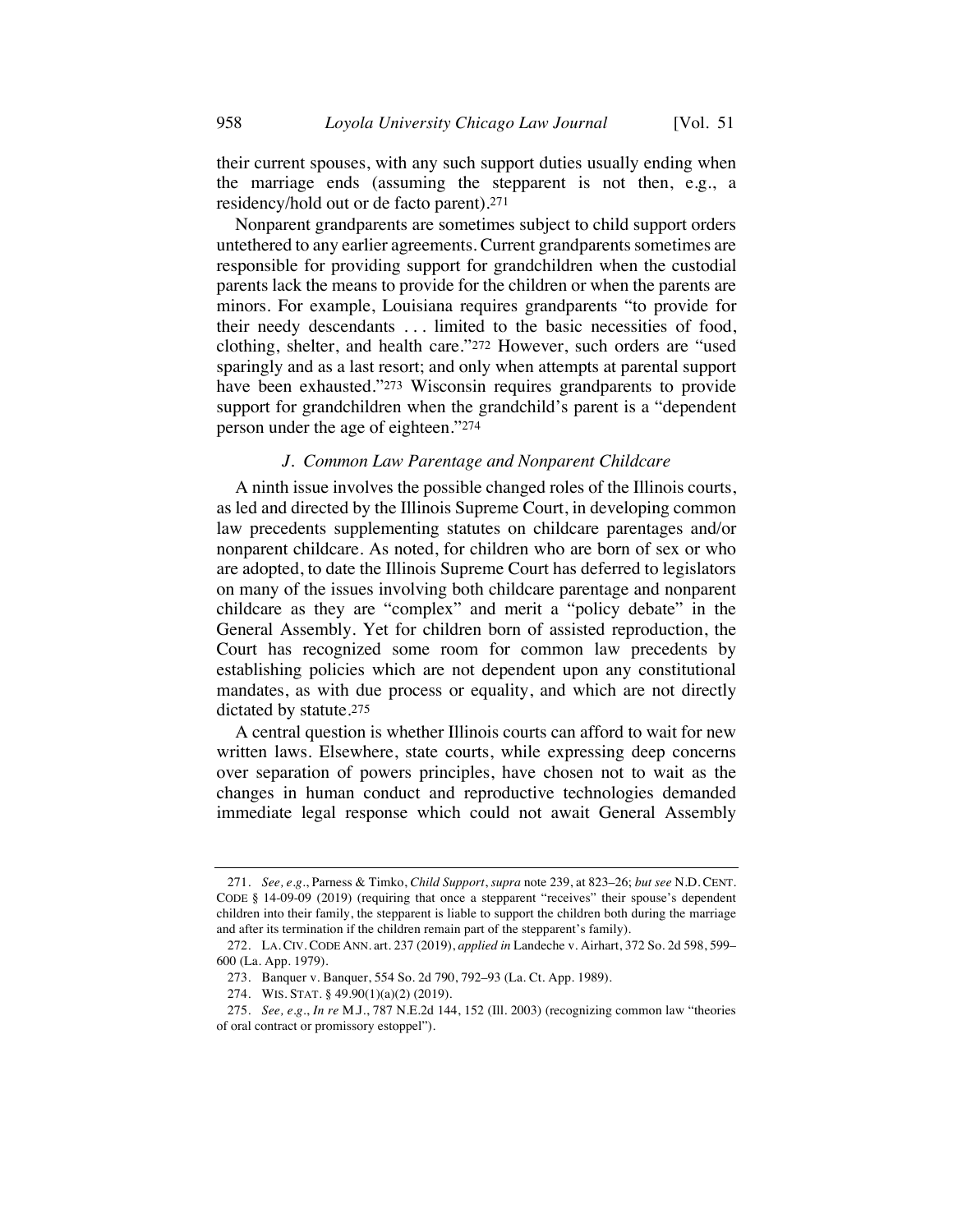their current spouses, with any such support duties usually ending when the marriage ends (assuming the stepparent is not then, e.g., a residency/hold out or de facto parent).271

Nonparent grandparents are sometimes subject to child support orders untethered to any earlier agreements. Current grandparents sometimes are responsible for providing support for grandchildren when the custodial parents lack the means to provide for the children or when the parents are minors. For example, Louisiana requires grandparents "to provide for their needy descendants . . . limited to the basic necessities of food, clothing, shelter, and health care."272 However, such orders are "used sparingly and as a last resort; and only when attempts at parental support have been exhausted."<sup>273</sup> Wisconsin requires grandparents to provide support for grandchildren when the grandchild's parent is a "dependent person under the age of eighteen."274

## *J. Common Law Parentage and Nonparent Childcare*

A ninth issue involves the possible changed roles of the Illinois courts, as led and directed by the Illinois Supreme Court, in developing common law precedents supplementing statutes on childcare parentages and/or nonparent childcare. As noted, for children who are born of sex or who are adopted, to date the Illinois Supreme Court has deferred to legislators on many of the issues involving both childcare parentage and nonparent childcare as they are "complex" and merit a "policy debate" in the General Assembly. Yet for children born of assisted reproduction, the Court has recognized some room for common law precedents by establishing policies which are not dependent upon any constitutional mandates, as with due process or equality, and which are not directly dictated by statute.275

A central question is whether Illinois courts can afford to wait for new written laws. Elsewhere, state courts, while expressing deep concerns over separation of powers principles, have chosen not to wait as the changes in human conduct and reproductive technologies demanded immediate legal response which could not await General Assembly

<sup>271.</sup> *See, e.g.*, Parness & Timko, *Child Support*, *supra* note 239, at 823–26; *but see* N.D. CENT. CODE § 14-09-09 (2019) (requiring that once a stepparent "receives" their spouse's dependent children into their family, the stepparent is liable to support the children both during the marriage and after its termination if the children remain part of the stepparent's family).

<sup>272.</sup> LA. CIV. CODE ANN. art. 237 (2019), *applied in* Landeche v. Airhart, 372 So. 2d 598, 599– 600 (La. App. 1979).

<sup>273.</sup> Banquer v. Banquer, 554 So. 2d 790, 792–93 (La. Ct. App. 1989).

<sup>274.</sup> WIS. STAT. § 49.90(1)(a)(2) (2019).

<sup>275.</sup> *See, e.g.*, *In re* M.J., 787 N.E.2d 144, 152 (Ill. 2003) (recognizing common law "theories of oral contract or promissory estoppel").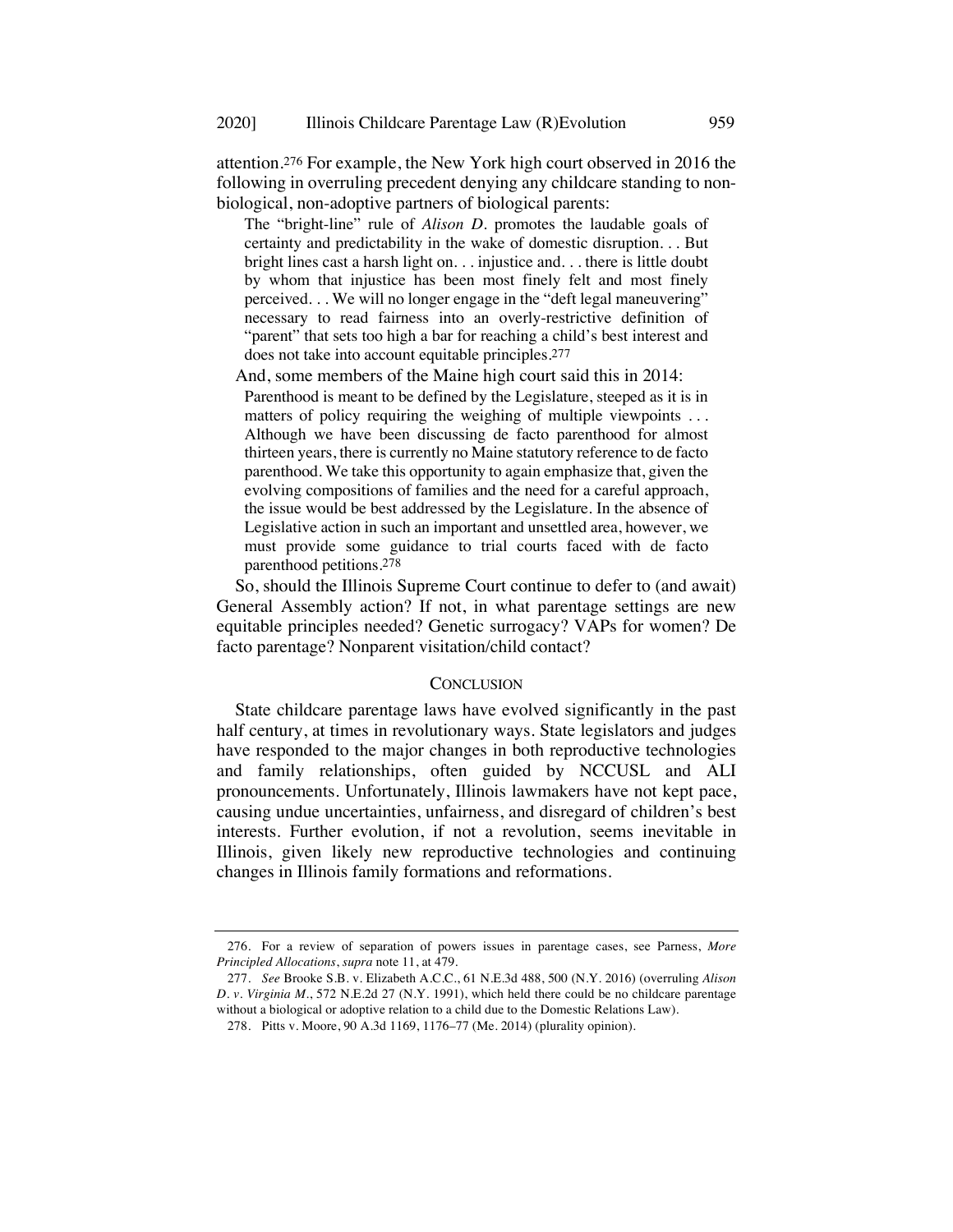attention.276 For example, the New York high court observed in 2016 the following in overruling precedent denying any childcare standing to nonbiological, non-adoptive partners of biological parents:

The "bright-line" rule of *Alison D.* promotes the laudable goals of certainty and predictability in the wake of domestic disruption. . . But bright lines cast a harsh light on. . . injustice and. . . there is little doubt by whom that injustice has been most finely felt and most finely perceived. . . We will no longer engage in the "deft legal maneuvering" necessary to read fairness into an overly-restrictive definition of "parent" that sets too high a bar for reaching a child's best interest and does not take into account equitable principles.277

And, some members of the Maine high court said this in 2014:

Parenthood is meant to be defined by the Legislature, steeped as it is in matters of policy requiring the weighing of multiple viewpoints . . . Although we have been discussing de facto parenthood for almost thirteen years, there is currently no Maine statutory reference to de facto parenthood. We take this opportunity to again emphasize that, given the evolving compositions of families and the need for a careful approach, the issue would be best addressed by the Legislature. In the absence of Legislative action in such an important and unsettled area, however, we must provide some guidance to trial courts faced with de facto parenthood petitions.278

So, should the Illinois Supreme Court continue to defer to (and await) General Assembly action? If not, in what parentage settings are new equitable principles needed? Genetic surrogacy? VAPs for women? De facto parentage? Nonparent visitation/child contact?

## **CONCLUSION**

State childcare parentage laws have evolved significantly in the past half century, at times in revolutionary ways. State legislators and judges have responded to the major changes in both reproductive technologies and family relationships, often guided by NCCUSL and ALI pronouncements. Unfortunately, Illinois lawmakers have not kept pace, causing undue uncertainties, unfairness, and disregard of children's best interests. Further evolution, if not a revolution, seems inevitable in Illinois, given likely new reproductive technologies and continuing changes in Illinois family formations and reformations.

<sup>276.</sup> For a review of separation of powers issues in parentage cases, see Parness, *More Principled Allocations*, *supra* note 11, at 479.

<sup>277.</sup> *See* Brooke S.B. v. Elizabeth A.C.C., 61 N.E.3d 488, 500 (N.Y. 2016) (overruling *Alison D. v. Virginia M.*, 572 N.E.2d 27 (N.Y. 1991), which held there could be no childcare parentage without a biological or adoptive relation to a child due to the Domestic Relations Law).

<sup>278.</sup> Pitts v. Moore, 90 A.3d 1169, 1176–77 (Me. 2014) (plurality opinion).